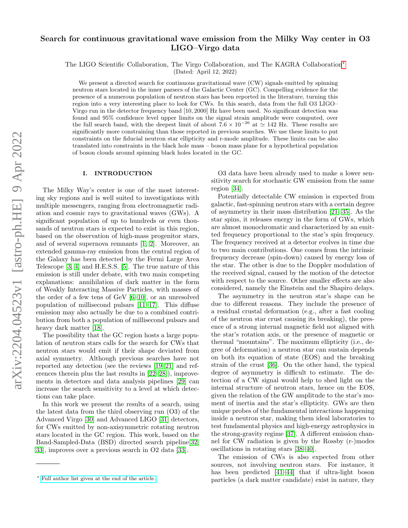# Search for continuous gravitational wave emission from the Milky Way center in O3 LIGO–Virgo data

The LIGO Scientific Collaboration, The Virgo Collaboration, and The KAGRA Collaboration[∗](#page-0-0)

(Dated: April 12, 2022)

We present a directed search for continuous gravitational wave  $(CW)$  signals emitted by spinning neutron stars located in the inner parsecs of the Galactic Center (GC). Compelling evidence for the presence of a numerous population of neutron stars has been reported in the literature, turning this region into a very interesting place to look for CWs. In this search, data from the full O3 LIGO– Virgo run in the detector frequency band [10, 2000] Hz have been used. No significant detection was found and 95% confidence level upper limits on the signal strain amplitude were computed, over the full search band, with the deepest limit of about  $7.6 \times 10^{-26}$  at  $\simeq 142$  Hz. These results are significantly more constraining than those reported in previous searches. We use these limits to put constraints on the fiducial neutron star ellipticity and r-mode amplitude. These limits can be also translated into constraints in the black hole mass – boson mass plane for a hypothetical population of boson clouds around spinning black holes located in the GC.

# I. INTRODUCTION

The Milky Way's center is one of the most interesting sky regions and is well suited to investigations with multiple messengers, ranging from electromagnetic radiation and cosmic rays to gravitational waves (GWs). A significant population of up to hundreds or even thousands of neutron stars is expected to exist in this region, based on the observation of high-mass progenitor stars, and of several supernova remnants [\[1,](#page-11-0) [2\]](#page-11-1). Moreover, an extended gamma-ray emission from the central region of the Galaxy has been detected by the Fermi Large Area Telescope [\[3,](#page-11-2) [4\]](#page-11-3) and H.E.S.S. [\[5\]](#page-11-4). The true nature of this emission is still under debate, with two main competing explanations: annihilation of dark matter in the form of Weakly Interacting Massive Particles, with masses of the order of a few tens of GeV [\[6–](#page-11-5)[10\]](#page-11-6), or an unresolved population of millisecond pulsars [\[11–](#page-11-7)[17\]](#page-11-8). This diffuse emission may also actually be due to a combined contribution from both a population of millisecond pulsars and heavy dark matter [\[18\]](#page-11-9).

The possibility that the GC region hosts a large population of neutron stars calls for the search for CWs that neutron stars would emit if their shape deviated from axial symmetry. Although previous searches have not reported any detection (see the reviews [\[19](#page-11-10)[–21\]](#page-11-11) and references therein plus the last results in [\[22–](#page-11-12)[28\]](#page-11-13)), improvements in detectors and data analysis pipelines [\[29\]](#page-11-14) can increase the search sensitivity to a level at which detections can take place.

In this work we present the results of a search, using the latest data from the third observing run (O3) of the Advanced Virgo [\[30\]](#page-11-15) and Advanced LIGO [\[31\]](#page-11-16) detectors, for CWs emitted by non-axisymmetric rotating neutron stars located in the GC region. This work, based on the Band-Sampled-Data (BSD) directed search pipeline[\[32,](#page-11-17) [33\]](#page-11-18), improves over a previous search in O2 data [\[33\]](#page-11-18).

O3 data have been already used to make a lower sensitivity search for stochastic GW emission from the same region [\[34\]](#page-11-19).

Potentially detectable CW emission is expected from galactic, fast-spinning neutron stars with a certain degree of asymmetry in their mass distribution [\[21,](#page-11-11) [35\]](#page-12-0). As the star spins, it releases energy in the form of GWs, which are almost monochromatic and characterized by an emitted frequency proportional to the star's spin frequency. The frequency received at a detector evolves in time due to two main contributions. One comes from the intrinsic frequency decrease (spin-down) caused by energy loss of the star. The other is due to the Doppler modulation of the received signal, caused by the motion of the detector with respect to the source. Other smaller effects are also considered, namely the Einstein and the Shapiro delays.

The asymmetry in the neutron star's shape can be due to different reasons. They include the presence of a residual crustal deformation (e.g., after a fast cooling of the neutron star crust causing its breaking), the presence of a strong internal magnetic field not aligned with the star's rotation axis, or the presence of magnetic or thermal "mountains". The maximum ellipticity (i.e., degree of deformation) a neutron star can sustain depends on both its equation of state (EOS) and the breaking strain of the crust [\[36\]](#page-12-1). On the other hand, the typical degree of asymmetry is difficult to estimate. The detection of a CW signal would help to shed light on the internal structure of neutron stars, hence on the EOS, given the relation of the GW amplitude to the star's moment of inertia and the star's ellipticity. GWs are then unique probes of the fundamental interactions happening inside a neutron star, making them ideal laboratories to test fundamental physics and high-energy astrophysics in the strong-gravity regime [\[37\]](#page-12-2). A different emission channel for CW radiation is given by the Rossby (r-)modes oscillations in rotating stars [\[38–](#page-12-3)[40\]](#page-12-4).

The emission of CWs is also expected from other sources, not involving neutron stars. For instance, it has been predicted [\[41–](#page-12-5)[44\]](#page-12-6) that if ultra-light boson particles (a dark matter candidate) exist in nature, they

<span id="page-0-0"></span><sup>∗</sup> [Full author list given at the end of the article.](mailto:Full author list given at the end of the article.)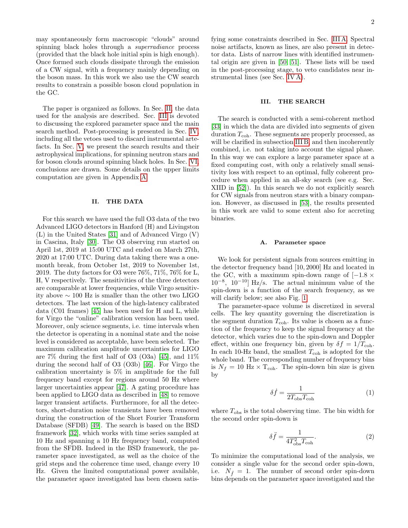may spontaneously form macroscopic "clouds" around spinning black holes through a *superradiance* process (provided that the black hole initial spin is high enough). Once formed such clouds dissipate through the emission of a CW signal, with a frequency mainly depending on the boson mass. In this work we also use the CW search results to constrain a possible boson cloud population in the GC.

The paper is organized as follows. In Sec. [II,](#page-1-0) the data used for the analysis are described. Sec. [III](#page-1-1) is devoted to discussing the explored parameter space and the main search method. Post-processing is presented in Sec. [IV,](#page-3-0) including all the vetoes used to discard instrumental artefacts. In Sec. [V,](#page-5-0) we present the search results and their astrophysical implications, for spinning neutron stars and for boson clouds around spinning black holes. In Sec. [VI,](#page-8-0) conclusions are drawn. Some details on the upper limits computation are given in Appendix [A.](#page-9-0)

# <span id="page-1-0"></span>II. THE DATA

For this search we have used the full O3 data of the two Advanced LIGO detectors in Hanford (H) and Livingston (L) in the United States [\[31\]](#page-11-16) and of Advanced Virgo (V) in Cascina, Italy [\[30\]](#page-11-15). The O3 observing run started on April 1st, 2019 at 15:00 UTC and ended on March 27th, 2020 at 17:00 UTC. During data taking there was a onemonth break, from October 1st, 2019 to November 1st, 2019. The duty factors for O3 were 76%, 71%, 76% for L, H, V respectively. The sensitivities of the three detectors are comparable at lower frequencies, while Virgo sensitivity above ∼ 100 Hz is smaller than the other two LIGO detectors. The last version of the high-latency calibrated data (C01 frames) [\[45\]](#page-12-7) has been used for H and L, while for Virgo the "online" calibration version has been used. Moreover, only science segments, i.e. time intervals when the detector is operating in a nominal state and the noise level is considered as acceptable, have been selected. The maximum calibration amplitude uncertainties for LIGO are  $7\%$  during the first half of O3 (O3a) [\[45\]](#page-12-7), and  $11\%$ during the second half of O3 (O3b) [\[46\]](#page-12-8). For Virgo the calibration uncertainty is 5% in amplitude for the full frequency band except for regions around 50 Hz where larger uncertainties appear [\[47\]](#page-12-9). A gating procedure has been applied to LIGO data as described in [\[48\]](#page-12-10) to remove larger transient artifacts. Furthermore, for all the detectors, short-duration noise transients have been removed during the construction of the Short Fourier Transform Database (SFDB) [\[49\]](#page-12-11). The search is based on the BSD framework [\[32\]](#page-11-17), which works with time series sampled at 10 Hz and spanning a 10 Hz frequency band, computed from the SFDB. Indeed in the BSD framework, the parameter space investigated, as well as the choice of the grid steps and the coherence time used, change every 10 Hz. Given the limited computational power available, the parameter space investigated has been chosen satis-

fying some constraints described in Sec. [III A.](#page-1-2) Spectral noise artifacts, known as lines, are also present in detector data. Lists of narrow lines with identified instrumental origin are given in [\[50,](#page-12-12) [51\]](#page-12-13). These lists will be used in the post-processing stage, to veto candidates near instrumental lines (see Sec. [IV A\)](#page-3-1).

## <span id="page-1-1"></span>III. THE SEARCH

The search is conducted with a semi-coherent method [\[33\]](#page-11-18) in which the data are divided into segments of given duration  $T_{\text{coh}}$ . These segments are properly processed, as will be clarified in subsection [III B,](#page-2-0) and then incoherently combined, i.e. not taking into account the signal phase. In this way we can explore a large parameter space at a fixed computing cost, with only a relatively small sensitivity loss with respect to an optimal, fully coherent procedure when applied in an all-sky search (see e.g. Sec. XIID in [\[52\]](#page-12-14)). In this search we do not explicitly search for CW signals from neutron stars with a binary companion. However, as discussed in [\[53\]](#page-12-15), the results presented in this work are valid to some extent also for accreting binaries.

# <span id="page-1-2"></span>A. Parameter space

We look for persistent signals from sources emitting in the detector frequency band [10, 2000] Hz and located in the GC, with a maximum spin-down range of  $[-1.8 \times$ 10<sup>−</sup><sup>8</sup> , 10<sup>−</sup>10] Hz/s. The actual minimum value of the spin-down is a function of the search frequency, as we will clarify below; see also Fig. [1.](#page-2-1)

The parameter-space volume is discretized in several cells. The key quantity governing the discretization is the segment duration  $T_{\text{coh}}$ . Its value is chosen as a function of the frequency to keep the signal frequency at the detector, which varies due to the spin-down and Doppler effect, within one frequency bin, given by  $\delta f = 1/T_{\text{coh}}$ . In each 10-Hz band, the smallest  $T_{\text{coh}}$  is adopted for the whole band. The corresponding number of frequency bins is  $N_f = 10$  Hz  $\times$  T<sub>coh</sub>. The spin-down bin size is given by

$$
\delta \dot{f} = \frac{1}{2T_{\text{obs}}T_{\text{coh}}} \tag{1}
$$

where  $T_{\text{obs}}$  is the total observing time. The bin width for the second order spin-down is

$$
\delta \ddot{f} = \frac{1}{4T_{\text{obs}}^2 T_{\text{coh}}}.
$$
\n(2)

To minimize the computational load of the analysis, we consider a single value for the second order spin-down, i.e.  $N_{\tilde{f}} = 1$ . The number of second order spin-down bins depends on the parameter space investigated and the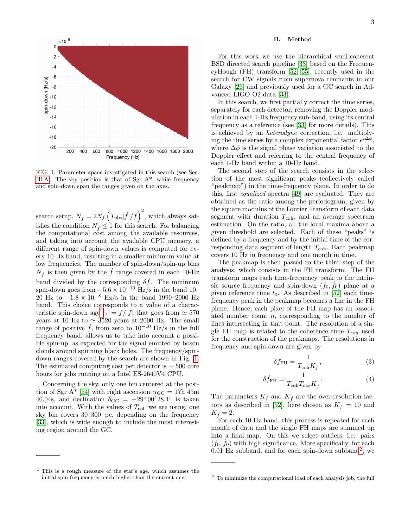

<span id="page-2-1"></span>FIG. 1. Parameter space investigated in this search (see Sec. [III A\)](#page-1-2). The sky position is that of Sgr  $A^*$ , while frequency and spin-down span the ranges given on the axes.

search setup,  $N_{\ddot{f}} = 2N_f \left( T_{\text{obs}} |\dot{f}| / f \right)^2$ , which always satisfies the condition  $N_f \leq 1$  for this search. For balancing the computational cost among the available resources, and taking into account the available CPU memory, a different range of spin-down values is computed for every 10-Hz band, resulting in a smaller minimum value at low frequencies. The number of spin-down/spin-up bins  $N_f$  is then given by the f range covered in each 10-Hz band divided by the corresponding  $\delta \dot{f}$ . The minimum spin-down goes from  $-5.6 \times 10^{-10}$  Hz/s in the band 10– 20 Hz to  $-1.8 \times 10^{-8}$  Hz/s in the band 1990–2000 Hz band. This choice corresponds to a value of a charac-teristic spin-down age<sup>[1](#page-2-2)</sup>  $\tau = f/|\dot{f}|$  that goes from  $\simeq 570$ years at 10 Hz to  $\simeq$  3520 years at 2000 Hz. The small range of positive  $\dot{f}$ , from zero to 10<sup>-10</sup> Hz/s in the full frequency band, allows us to take into account a possible spin-up, as expected for the signal emitted by boson clouds around spinning black holes. The frequency/spindown ranges covered by the search are shown in Fig. [1.](#page-2-1) The estimated computing cost per detector is  $\sim$  500 core hours for jobs running on a Intel ES-2640V4 CPU.

Concerning the sky, only one bin centered at the posi-tion of Sgr A\* [\[54\]](#page-12-16) with right ascension  $\alpha_{\rm GC} = 17h$  45m 40.04s, and declination  $\delta_{\rm GC} = -29^{\circ} 00' 28.1"$  is taken into account. With the values of  $T_{coh}$  we are using, one sky bin covers 30–300 pc, depending on the frequency [\[33\]](#page-11-18), which is wide enough to include the most interesting region around the GC.

# <span id="page-2-0"></span>B. Method

For this work we use the hierarchical semi-coherent BSD directed search pipeline [\[33\]](#page-11-18) based on the FrequencyHough (FH) transform [\[52,](#page-12-14) [55\]](#page-12-17), recently used in the search for CW signals from supernova remnants in our Galaxy [\[26\]](#page-11-20) and previously used for a GC search in Advanced LIGO O2 data [\[33\]](#page-11-18).

In this search, we first partially correct the time series, separately for each detector, removing the Doppler modulation in each 1-Hz frequency sub-band, using its central frequency as a reference (see [\[33\]](#page-11-18) for more details). This is achieved by an heterodyne correction, i.e. multiplying the time series by a complex exponential factor  $e^{i\Delta\phi}$ , where  $\Delta \phi$  is the signal phase variation associated to the Doppler effect and referring to the central frequency of each 1-Hz band within a 10-Hz band.

The second step of the search consists in the selection of the most significant peaks (collectively called "peakmap") in the time-frequency plane. In order to do this, first equalized spectra [\[49\]](#page-12-11) are evaluated. They are obtained as the ratio among the periodogram, given by the square modulus of the Fourier Transform of each data segment with duration  $T_{\text{coh}}$ , and an average spectrum estimation. On the ratio, all the local maxima above a given threshold are selected. Each of these "peaks" is defined by a frequency and by the initial time of the corresponding data segment of length  $T_{\text{coh}}$ . Each peakmap covers 10 Hz in frequency and one month in time.

The peakmap is then passed to the third step of the analysis, which consists in the FH transform. The FH transform maps each time-frequency peak to the intrinsic source frequency and spin-down  $(f_0, f_0)$  plane at a given reference time  $t_0$ . As described in [\[52\]](#page-12-14) each timefrequency peak in the peakmap becomes a line in the FH plane. Hence, each pixel of the FH map has an associated number count  $n$ , corresponding to the number of lines intersecting in that point. The resolution of a single FH map is related to the coherence time  $T_{\rm coh}$  used for the construction of the peakmaps. The resolutions in frequency and spin-down are given by

$$
\delta f_{\rm FH} = \frac{1}{T_{\rm coh} K_f},\tag{3}
$$

$$
\delta \dot{f}_{\rm FH} = \frac{1}{T_{\rm coh} T_{\rm obs} K_f}.\tag{4}
$$

The parameters  $K_f$  and  $K_f$  are the over-resolution fac-tors as described in [\[52\]](#page-12-14), here chosen as  $K_f = 10$  and  $K_{\dot{f}} = 2.$ 

For each 10-Hz band, this process is repeated for each month of data and the single FH maps are summed up into a final map. On this we select outliers, i.e. pairs  $(f_0, \dot{f}_0)$  with high significance. More specifically, for each  $0.01$  Hz subband, and for each spin-down subband<sup>[2](#page-2-3)</sup>, we

<span id="page-2-2"></span><sup>1</sup> This is a rough measure of the star's age, which assumes the initial spin frequency is much higher than the current one.

<span id="page-2-3"></span><sup>2</sup> To minimize the computational load of each analysis job, the full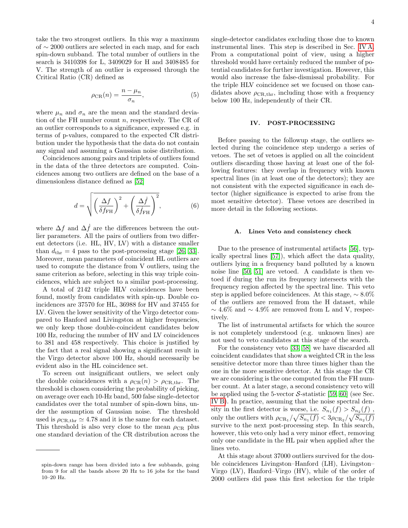take the two strongest outliers. In this way a maximum of ∼ 2000 outliers are selected in each map, and for each spin-down subband. The total number of outliers in the search is 3410398 for L, 3409029 for H and 3408485 for V. The strength of an outlier is expressed through the Critical Ratio (CR) defined as

$$
\rho_{\rm CR}(n) = \frac{n - \mu_n}{\sigma_n},\tag{5}
$$

where  $\mu_n$  and  $\sigma_n$  are the mean and the standard deviation of the FH number count  $n$ , respectively. The CR of an outlier corresponds to a significance, expressed e.g. in terms of p-values, compared to the expected CR distribution under the hypothesis that the data do not contain any signal and assuming a Gaussian noise distribution.

Coincidences among pairs and triplets of outliers found in the data of the three detectors are computed. Coincidences among two outliers are defined on the base of a dimensionless distance defined as [\[52\]](#page-12-14)

$$
d = \sqrt{\left(\frac{\Delta f}{\delta f_{\rm FH}}\right)^2 + \left(\frac{\Delta \dot{f}}{\delta \dot{f}_{\rm FH}}\right)^2},\tag{6}
$$

where  $\Delta f$  and  $\Delta \dot{f}$  are the differences between the outlier parameters. All the pairs of outliers from two different detectors (i.e. HL, HV, LV) with a distance smaller than  $d_{\text{thr}} = 4$  pass to the post-processing stage [\[26,](#page-11-20) [33\]](#page-11-18). Moreover, mean parameters of coincident HL outliers are used to compute the distance from V outliers, using the same criterion as before, selecting in this way triple coincidences, which are subject to a similar post-processing.

A total of 2142 triple HLV coincidences have been found, mostly from candidates with spin-up. Double coincidences are 37570 for HL, 36988 for HV and 37455 for LV. Given the lower sensitivity of the Virgo detector compared to Hanford and Livingston at higher frequencies, we only keep those double-coincident candidates below 100 Hz, reducing the number of HV and LV coincidences to 381 and 458 respectively. This choice is justified by the fact that a real signal showing a significant result in the Virgo detector above 100 Hz, should necessarily be evident also in the HL coincidence set.

To screen out insignificant outliers, we select only the double coincidences with a  $\rho_{CR}(n) > \rho_{CR,\text{thr}}$ . The threshold is chosen considering the probability of picking, on average over each 10-Hz band, 500 false single-detector candidates over the total number of spin-down bins, under the assumption of Gaussian noise. The threshold used is  $\rho_{\text{CR,thr}} \simeq 4.78$  and it is the same for each dataset. This threshold is also very close to the mean  $\rho_{CR}$  plus one standard deviation of the CR distribution across the single-detector candidates excluding those due to known instrumental lines. This step is described in Sec. [IV A.](#page-3-1) From a computational point of view, using a higher threshold would have certainly reduced the number of potential candidates for further investigation. However, this would also increase the false-dismissal probability. For the triple HLV coincidence set we focused on those candidates above  $\rho_{\text{CR,thr}}$ , including those with a frequency below 100 Hz, independently of their CR.

#### <span id="page-3-0"></span>IV. POST-PROCESSING

Before passing to the followup stage, the outliers selected during the coincidence step undergo a series of vetoes. The set of vetoes is applied on all the coincident outliers discarding those having at least one of the following features: they overlap in frequency with known spectral lines (in at least one of the detectors); they are not consistent with the expected significance in each detector (higher significance is expected to arise from the most sensitive detector). These vetoes are described in more detail in the following sections.

#### <span id="page-3-1"></span>A. Lines Veto and consistency check

Due to the presence of instrumental artifacts [\[56\]](#page-12-18), typically spectral lines [\[57\]](#page-12-19)), which affect the data quality, outliers lying in a frequency band polluted by a known noise line [\[50,](#page-12-12) [51\]](#page-12-13) are vetoed. A candidate is then vetoed if during the run its frequency intersects with the frequency region affected by the spectral line. This veto step is applied before coincidences. At this stage, ∼ 8.0% of the outliers are removed from the H dataset, while  $\sim$  4.6% and  $\sim$  4.9% are removed from L and V, respectively.

The list of instrumental artifacts for which the source is not completely understood (e.g. unknown lines) are not used to veto candidates at this stage of the search.

For the consistency veto [\[33,](#page-11-18) [58\]](#page-12-20) we have discarded all coincident candidates that show a weighted CR in the less sensitive detector more than three times higher than the one in the more sensitive detector. At this stage the CR we are considering is the one computed from the FH number count. At a later stage, a second consistency veto will be applied using the 5-vector  $S$ -statistic [\[59,](#page-12-21) [60\]](#page-12-22) (see Sec. [IV B\)](#page-4-0). In practice, assuming that the noise spectral density in the first detector is worse, i.e.  $S_{n_1}(f) > S_{n_2}(f)$ , only the outliers with  $\rho_{CR_1}/\sqrt{S_{n_1}(f)} < 3\rho_{CR_2}/\sqrt{S_{n_2}(f)}$ survive to the next post-processing step. In this search, however, this veto only had a very minor effect, removing only one candidate in the HL pair when applied after the lines veto.

At this stage about 37000 outliers survived for the double coincidences Livingston–Hanford (LH), Livingston– Virgo (LV), Hanford–Virgo (HV), while of the order of 2000 outliers did pass this first selection for the triple

spin-down range has been divided into a few subbands, going from 9 for all the bands above 20 Hz to 16 jobs for the band 10–20 Hz.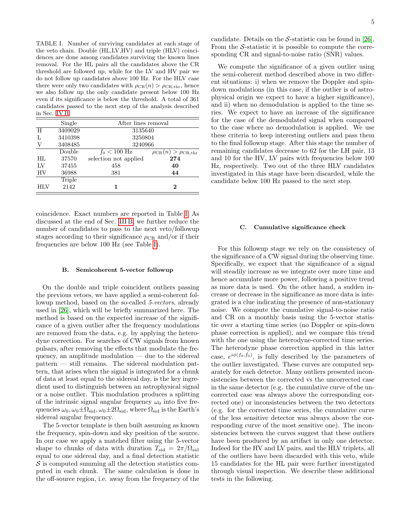<span id="page-4-1"></span>TABLE I. Number of surviving candidates at each stage of the veto chain. Double (HL,LV,HV) and triple (HLV) coincidences are done among candidates surviving the known lines removal. For the HL pairs all the candidates above the CR threshold are followed up, while for the LV and HV pair we do not follow up candidates above 100 Hz. For the HLV case there were only two candidates with  $\rho_{CR}(n) > \rho_{CR,\text{thr}}$ , hence we also follow up the only candidate present below 100 Hz even if its significance is below the threshold. A total of 361 candidates passed to the next step of the analysis described in Sec. [IV B.](#page-4-0)

| Single  | After lines removal    |                                       |  |
|---------|------------------------|---------------------------------------|--|
| 3409029 | 3135640                |                                       |  |
| 3410398 | 3250804                |                                       |  |
| 3408485 | 3240966                |                                       |  |
| Double  | $f_0 < 100 \text{ Hz}$ | $\rho_{CR}(n) > \rho_{CR,\text{thr}}$ |  |
| 37570   | selection not applied  | 274                                   |  |
| 37455   | 458                    | 40                                    |  |
| 36988   | 381                    | 44                                    |  |
| Triple  |                        |                                       |  |
| 2142    |                        | $\bf{2}$                              |  |
|         |                        |                                       |  |

coincidence. Exact numbers are reported in Table [I.](#page-4-1) As discussed at the end of Sec. [III B,](#page-2-0) we further reduce the number of candidates to pass to the next veto/followup stages according to their significance  $\rho_{CR}$  and/or if their frequencies are below 100 Hz (see Table [I\)](#page-4-1).

#### <span id="page-4-0"></span>B. Semicoherent 5-vector followup

On the double and triple coincident outliers passing the previous vetoes, we have applied a semi-coherent followup method, based on the so-called 5-vectors, already used in [\[26\]](#page-11-20), which will be briefly summarized here. The method is based on the expected increase of the significance of a given outlier after the frequency modulations are removed from the data, e.g. by applying the heterodyne correction. For searches of CW signals from known pulsars, after removing the effects that modulate the frequency, an amplitude modulation — due to the sidereal pattern — still remains. The sidereal modulation pattern, that arises when the signal is integrated for a chunk of data at least equal to the sidereal day, is the key ingredient used to distinguish between an astrophysical signal or a noise outlier. This modulation produces a splitting of the intrinsic signal angular frequency  $\omega_0$  into five frequencies  $\omega_0$ ,  $\omega_0 \pm \Omega_{\text{sid}}$ ,  $\omega_0 \pm 2\Omega_{\text{sid}}$ , where  $\Omega_{\text{sid}}$  is the Earth's sidereal angular frequency.

The 5-vector template is then built assuming as known the frequency, spin-down and sky position of the source. In our case we apply a matched filter using the 5-vector shape to chunks of data with duration  $T_{\text{sid}} = 2\pi/\Omega_{\text{sid}}$ equal to one sidereal day, and a final detection statistic  $\mathcal S$  is computed summing all the detection statistics computed in each chunk. The same calculation is done in the off-source region, i.e. away from the frequency of the candidate. Details on the  $S$ -statistic can be found in [\[26\]](#page-11-20). From the  $S$ -statistic it is possible to compute the corresponding CR and signal-to-noise ratio (SNR) values.

We compute the significance of a given outlier using the semi-coherent method described above in two different situations: i) when we remove the Doppler and spindown modulations (in this case, if the outlier is of astrophysical origin we expect to have a higher significance), and ii) when no demodulation is applied to the time series. We expect to have an increase of the significance for the case of the demodulated signal when compared to the case where no demodulation is applied. We use these criteria to keep interesting outliers and pass them to the final followup stage. After this stage the number of remaining candidates decrease to 62 for the LH pair, 13 and 10 for the HV, LV pairs with frequencies below 100 Hz, respectively. Two out of the three HLV candidates investigated in this stage have been discarded, while the candidate below 100 Hz passed to the next step.

# C. Cumulative significance check

For this followup stage we rely on the consistency of the significance of a CW signal during the observing time. Specifically, we expect that the significance of a signal will steadily increase as we integrate over more time and hence accumulate more power, following a positive trend as more data is used. On the other hand, a sudden increase or decrease in the significance as more data is integrated is a clue indicating the presence of non-stationary noise. We compute the cumulative signal-to-noise ratio and CR on a monthly basis using the 5-vector statistic over a starting time series (no Doppler or spin-down phase correction is applied), and we compare this trend with the one using the heterodyne-corrected time series. The heterodyne phase correction applied in this latter case,  $e^{i\phi(f_0, \dot{f}_0)}$ , is fully described by the parameters of the outlier investigated. These curves are computed separately for each detector. Many outliers presented inconsistencies between the corrected vs the uncorrected case in the same detector (e.g. the cumulative curve of the uncorrected case was always above the corresponding corrected one) or inconsistencies between the two detectors (e.g. for the corrected time series, the cumulative curve of the less sensitive detector was always above the corresponding curve of the most sensitive one). The inconsistencies between the curves suggest that these outliers have been produced by an artifact in only one detector. Indeed for the HV and LV pairs, and the HLV triplets, all of the outliers have been discarded with this veto, while 15 candidates for the HL pair were further investigated through visual inspection. We describe these additional tests in the following.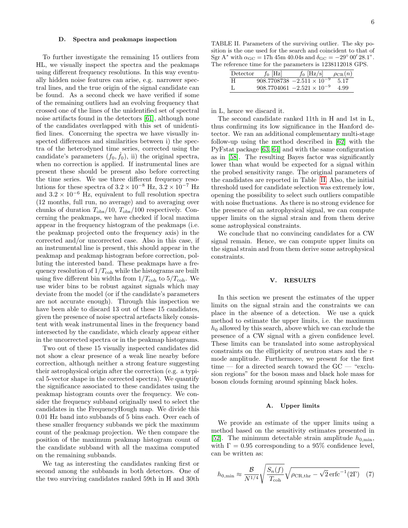To further investigate the remaining 15 outliers from HL, we visually inspect the spectra and the peakmaps using different frequency resolutions. In this way eventually hidden noise features can arise, e.g. narrower spectral lines, and the true origin of the signal candidate can be found. As a second check we have verified if some of the remaining outliers had an evolving frequency that crossed one of the lines of the unidentified set of spectral noise artifacts found in the detectors [\[61\]](#page-12-23), although none of the candidates overlapped with this set of unidentified lines. Concerning the spectra we have visually inspected differences and similarities between i) the spectra of the heterodyned time series, corrected using the candidate's parameters  $(f_0, \dot{f}_0)$ , ii) the original spectra, when no correction is applied. If instrumental lines are present these should be present also before correcting the time series. We use three different frequency resolutions for these spectra of  $3.2 \times 10^{-8}$  Hz,  $3.2 \times 10^{-7}$  Hz and  $3.2 \times 10^{-6}$  Hz, equivalent to full resolution spectra (12 months, full run, no average) and to averaging over chunks of duration  $T_{\rm obs}/10$ ,  $T_{\rm obs}/100$  respectively. Concerning the peakmaps, we have checked if local maxima appear in the frequency histogram of the peakmaps (i.e. the peakmap projected onto the frequency axis) in the corrected and/or uncorrected case. Also in this case, if an instrumental line is present, this should appear in the peakmap and peakmap histogram before correction, polluting the interested band. These peakmaps have a frequency resolution of  $1/T_{\text{coh}}$  while the histograms are built using five different bin widths from  $1/T_{\text{coh}}$  to  $5/T_{\text{coh}}$ . We use wider bins to be robust against signals which may deviate from the model (or if the candidate's parameters are not accurate enough). Through this inspection we have been able to discard 13 out of these 15 candidates, given the presence of noise spectral artefacts likely consistent with weak instrumental lines in the frequency band intersected by the candidate, which clearly appear either in the uncorrected spectra or in the peakmap histograms.

Two out of these 15 visually inspected candidates did not show a clear presence of a weak line nearby before correction, although neither a strong feature suggesting their astrophysical origin after the correction (e.g. a typical 5-vector shape in the corrected spectra). We quantify the significance associated to these candidates using the peakmap histogram counts over the frequency. We consider the frequency subband originally used to select the candidates in the FrequencyHough map. We divide this 0.01 Hz band into subbands of 5 bins each. Over each of these smaller frequency subbands we pick the maximum count of the peakmap projection. We then compare the position of the maximum peakmap histogram count of the candidate subband with all the maxima computed on the remaining subbands.

We tag as interesting the candidates ranking first or second among the subbands in both detectors. One of the two surviving candidates ranked 59th in H and 30th

<span id="page-5-1"></span>TABLE II. Parameters of the surviving outlier. The sky position is the one used for the search and coincident to that of Sgr A<sup>\*</sup> with  $\alpha_{\rm GC} = 17h 45m 40.04s$  and  $\delta_{\rm GC} = -29^{\circ} 00' 28.1"$ . The reference time for the parameters is 1238112018 GPS.

| Detector | $f_0$  Hz | $f_0$ [Hz/s]                         | $\rho_{CR}(n)$ |
|----------|-----------|--------------------------------------|----------------|
| H        |           | $908.7708738 - 2.511 \times 10^{-9}$ | 5.17           |
|          |           | $908.7704061 - 2.521 \times 10^{-9}$ | 4.99           |

in L, hence we discard it.

The second candidate ranked 11th in H and 1st in L, thus confirming its low significance in the Hanford detector. We ran an additional complementary multi-stage follow-up using the method described in [\[62\]](#page-12-24) with the PyFstat package [\[63,](#page-12-25) [64\]](#page-12-26) and with the same configuration as in [\[58\]](#page-12-20). The resulting Bayes factor was significantly lower than what would be expected for a signal within the probed sensitivity range. The original parameters of the candidates are reported in Table [II.](#page-5-1) Also, the initial threshold used for candidate selection was extremely low, opening the possibility to select such outliers compatible with noise fluctuations. As there is no strong evidence for the presence of an astrophysical signal, we can compute upper limits on the signal strain and from them derive some astrophysical constraints.

We conclude that no convincing candidates for a CW signal remain. Hence, we can compute upper limits on the signal strain and from them derive some astrophysical constraints.

# <span id="page-5-0"></span>V. RESULTS

In this section we present the estimates of the upper limits on the signal strain and the constraints we can place in the absence of a detection. We use a quick method to estimate the upper limits, i.e. the maximum  $h_0$  allowed by this search, above which we can exclude the presence of a CW signal with a given confidence level. These limits can be translated into some astrophysical constraints on the ellipticity of neutron stars and the rmode amplitude. Furthermore, we present for the first time — for a directed search toward the GC — "exclusion regions" for the boson mass and black hole mass for boson clouds forming around spinning black holes.

## <span id="page-5-2"></span>A. Upper limits

We provide an estimate of the upper limits using a method based on the sensitivity estimates presented in [\[52\]](#page-12-14). The minimum detectable strain amplitude  $h_{0,\text{min}}$ , with  $\Gamma = 0.95$  corresponding to a 95% confidence level, can be written as:

$$
h_{0,\min} \approx \frac{\mathcal{B}}{N^{1/4}} \sqrt{\frac{S_n(f)}{T_{\text{coh}}}} \sqrt{\rho_{\text{CR},\text{thr}} - \sqrt{2} \,\text{erfc}^{-1}(2\Gamma)} \quad (7)
$$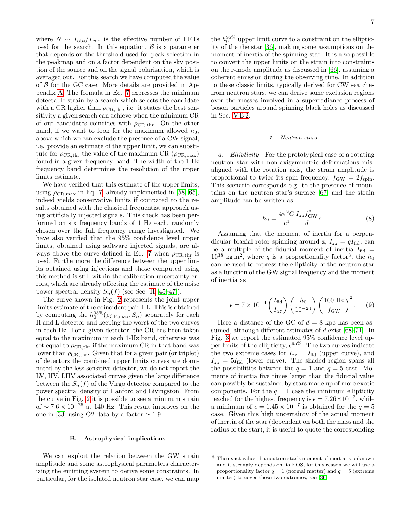where  $N \sim T_{\text{obs}}/T_{\text{coh}}$  is the effective number of FFTs used for the search. In this equation,  $\beta$  is a parameter that depends on the threshold used for peak selection in the peakmap and on a factor dependent on the sky position of the source and on the signal polarization, which is averaged out. For this search we have computed the value of  $\beta$  for the GC case. More details are provided in Appendix [A.](#page-9-0) The formula in Eq. [7](#page-5-2) expresses the minimum detectable strain by a search which selects the candidate with a CR higher than  $\rho_{CR,thr}$ , i.e. it states the best sensitivity a given search can achieve when the minimum CR of our candidates coincides with  $\rho_{\rm CR,thr}$ . On the other hand, if we want to look for the maximum allowed  $h_0$ , above which we can exclude the presence of a CW signal, i.e. provide an estimate of the upper limit, we can substitute for  $\rho_{CR,\text{thr}}$  the value of the maximum CR ( $\rho_{CR,\text{max}}$ ) found in a given frequency band. The width of the 1-Hz frequency band determines the resolution of the upper limits estimate.

We have verified that this estimate of the upper limits, using  $\rho_{\rm CR,max}$  in Eq. [7,](#page-5-2) already implemented in [\[58,](#page-12-20) [65\]](#page-12-27), indeed yields conservative limits if compared to the results obtained with the classical frequentist approach using artificially injected signals. This check has been performed on six frequency bands of 1 Hz each, randomly chosen over the full frequency range investigated. We have also verified that the 95% confidence level upper limits, obtained using software injected signals, are al-ways above the curve defined in Eq. [7](#page-5-2) when  $\rho_{\text{CR,thr}}$  is used. Furthermore the difference between the upper limits obtained using injections and those computed using this method is still within the calibration uncertainty errors, which are already affecting the estimate of the noise power spectral density  $S_n(f)$  (see Sec. [II](#page-1-0) [\[45–](#page-12-7)[47\]](#page-12-9)).

The curve shown in Fig. [2](#page-7-0) represents the joint upper limits estimate of the coincident pair HL. This is obtained by computing the  $h_0^{95\%}(\rho_{CR,\max}, S_n)$  separately for each H and L detector and keeping the worst of the two curves in each Hz. For a given detector, the CR has been taken equal to the maximum in each 1-Hz band, otherwise was set equal to  $\rho_{\text{CR,thr}}$  if the maximum CR in that band was lower than  $\rho_{\text{CR,thr}}$ . Given that for a given pair (or triplet) of detectors the combined upper limits curves are dominated by the less sensitive detector, we do not report the LV, HV, LHV associated curves given the large difference between the  $S_n(f)$  of the Virgo detector compared to the power spectral density of Hanford and Livingston. From the curve in Fig. [2](#page-7-0) it is possible to see a minimum strain of ~  $7.6 \times 10^{-26}$  at 140 Hz. This result improves on the one in [\[33\]](#page-11-18) using O2 data by a factor  $\simeq 1.9$ .

## B. Astrophysical implications

We can exploit the relation between the GW strain amplitude and some astrophysical parameters characterizing the emitting system to derive some constraints. In particular, for the isolated neutron star case, we can map

the  $h_0^{95\%}$  upper limit curve to a constraint on the ellipticity of the the star [\[36\]](#page-12-1), making some assumptions on the moment of inertia of the spinning star. It is also possible to convert the upper limits on the strain into constraints on the r-mode amplitude as discussed in [\[66\]](#page-12-28), assuming a coherent emission during the observing time. In addition to these classic limits, typically derived for CW searches from neutron stars, we can derive some exclusion regions over the masses involved in a superradiance process of boson particles around spinning black holes as discussed in Sec. [V B 2.](#page-8-1)

# 1. Neutron stars

a. Ellipticity For the prototypical case of a rotating neutron star with non-axisymmetric deformations misaligned with the rotation axis, the strain amplitude is proportional to twice its spin frequency,  $f_{\rm GW} = 2f_{\rm spin}$ . This scenario corresponds e.g. to the presence of mountains on the neutron star's surface [\[67\]](#page-12-29) and the strain amplitude can be written as

<span id="page-6-1"></span>
$$
h_0 = \frac{4\pi^2 G}{c^4} \frac{I_{zz} f_{\text{GW}}^2}{d} \epsilon. \tag{8}
$$

Assuming that the moment of inertia for a perpendicular biaxial rotor spinning around z,  $I_{zz} = qI_{\text{fid}}$ , can be a multiple of the fiducial moment of inertia  $I_{\text{fid}} =$  $10^{38}$  $10^{38}$  $10^{38}$  kg m<sup>2</sup>, where q is a proportionality factor<sup>3</sup>, the  $h_0$ can be used to express the ellipticity of the neutron star as a function of the GW signal frequency and the moment of inertia as

$$
\epsilon = 7 \times 10^{-4} \left( \frac{I_{\text{fid}}}{I_{zz}} \right) \left( \frac{h_0}{10^{-24}} \right) \left( \frac{100 \text{ Hz}}{f_{\text{GW}}} \right)^2. \tag{9}
$$

Here a distance of the GC of  $d = 8$  kpc has been assumed, although different estimates of  $d$  exist [\[68](#page-12-30)[–71\]](#page-13-0). In Fig. [3](#page-7-1) we report the estimated 95% confidence level upper limits of the ellipticity,  $\epsilon^{95\%}$ . The two curves indicate the two extreme cases for  $I_{zz} = I_{\text{fid}}$  (upper curve), and  $I_{zz} = 5I_{\text{fid}}$  (lower curve). The shaded region spans all the possibilities between the  $q = 1$  and  $q = 5$  case. Moments of inertia five times larger than the fiducial value can possibly be sustained by stars made up of more exotic components. For the  $q = 1$  case the minimum ellipticity reached for the highest frequency is  $\epsilon = 7.26 \times 10^{-7}$ , while a minimum of  $\epsilon = 1.45 \times 10^{-7}$  is obtained for the  $q = 5$ case. Given this high uncertainty of the actual moment of inertia of the star (dependent on both the mass and the radius of the star), it is useful to quote the corresponding

<span id="page-6-0"></span><sup>3</sup> The exact value of a neutron star's moment of inertia is unknown and it strongly depends on its EOS, for this reason we will use a proportionality factor  $q = 1$  (normal matter) and  $q = 5$  (extreme matter) to cover these two extremes, see [\[36\]](#page-12-1)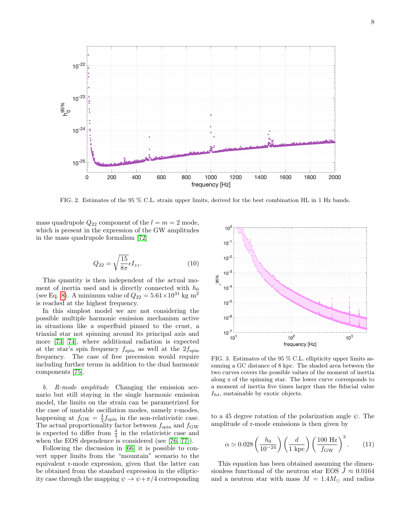

<span id="page-7-0"></span>FIG. 2. Estimates of the 95 % C.L. strain upper limits, derived for the best combination HL in 1 Hz bands.

mass quadrupole  $Q_{22}$  component of the  $l = m = 2$  mode, which is present in the expression of the GW amplitudes in the mass quadrupole formalism [\[72\]](#page-13-1)

$$
Q_{22} = \sqrt{\frac{15}{8\pi}} \epsilon I_{zz}.
$$
 (10)

This quantity is then independent of the actual moment of inertia used and is directly connected with  $h_0$ (see Eq. [8\)](#page-6-1). A minimum value of  $Q_{22} = 5.61 \times 10^{31}$  kg m<sup>2</sup> is reached at the highest frequency.

In this simplest model we are not considering the possible multiple harmonic emission mechanism active in situations like a superfluid pinned to the crust, a triaxial star not spinning around its principal axis and more [\[73,](#page-13-2) [74\]](#page-13-3), where additional radiation is expected at the star's spin frequency  $f_{\rm spin}$  as well at the  $2f_{\rm spin}$ frequency. The case of free precession would require including further terms in addition to the dual harmonic components [\[75\]](#page-13-4).

b. R-mode amplitude Changing the emission scenario but still staying in the single harmonic emission model, the limits on the strain can be parametrized for the case of unstable oscillation modes, namely r-modes, happening at  $f_{\text{GW}} = \frac{4}{3} f_{\text{spin}}$  in the non-relativistic case. The actual proportionality factor between  $f_{\rm spin}$  and  $f_{\rm GW}$ is expected to differ from  $\frac{4}{3}$  in the relativistic case and when the EOS dependence is considered (see [\[76,](#page-13-5) [77\]](#page-13-6)).

Following the discussion in [\[66\]](#page-12-28) it is possible to convert upper limits from the "mountain" scenario to the equivalent r-mode expression, given that the latter can be obtained from the standard expression in the ellipticity case through the mapping  $\psi \to \psi + \pi/4$  corresponding



<span id="page-7-1"></span>FIG. 3. Estimates of the 95 % C.L. ellipticity upper limits assuming a GC distance of 8 kpc. The shaded area between the two curves covers the possible values of the moment of inertia along z of the spinning star. The lower curve corresponds to a moment of inertia five times larger than the fiducial value  $I_{\text{fid}}$ , sustainable by exotic objects.

to a 45 degree rotation of the polarization angle  $\psi$ . The amplitude of r-mode emissions is then given by

$$
\alpha \simeq 0.028 \left(\frac{h_0}{10^{-24}}\right) \left(\frac{d}{1 \text{ kpc}}\right) \left(\frac{100 \text{ Hz}}{f_{\text{GW}}}\right)^3. \tag{11}
$$

This equation has been obtained assuming the dimensionless functional of the neutron star EOS  $J \approx 0.0164$ and a neutron star with mass  $M = 1.4 M_{\odot}$  and radius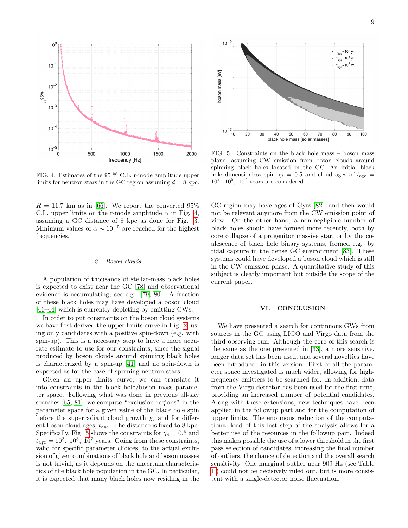

<span id="page-8-2"></span>FIG. 4. Estimates of the 95 % C.L. r-mode amplitude upper limits for neutron stars in the GC region assuming  $d = 8$  kpc.

 $R = 11.7$  km as in [\[66\]](#page-12-28). We report the converted 95% C.L. upper limits on the r-mode amplitude  $\alpha$  in Fig. [4,](#page-8-2) assuming a GC distance of 8 kpc as done for Fig. [3.](#page-7-1) Minimum values of  $\alpha \sim 10^{-5}$  are reached for the highest frequencies.

#### <span id="page-8-1"></span>2. Boson clouds

A population of thousands of stellar-mass black holes is expected to exist near the GC [\[78\]](#page-13-7) and observational evidence is accumulating, see e.g. [\[79,](#page-13-8) [80\]](#page-13-9). A fraction of these black holes may have developed a boson cloud [\[41–](#page-12-5)[44\]](#page-12-6) which is currently depleting by emitting CWs.

In order to put constraints on the boson cloud systems we have first derived the upper limits curve in Fig. [2,](#page-7-0) using only candidates with a positive spin-down (e.g. with spin-up). This is a necessary step to have a more accurate estimate to use for our constraints, since the signal produced by boson clouds around spinning black holes is characterized by a spin-up [\[41\]](#page-12-5) and no spin-down is expected as for the case of spinning neutron stars.

Given an upper limits curve, we can translate it into constraints in the black hole/boson mass parameter space. Following what was done in previous all-sky searches [\[65,](#page-12-27) [81\]](#page-13-10), we compute "exclusion regions" in the parameter space for a given value of the black hole spin before the superradiant cloud growth  $\chi_i$  and for different boson cloud ages,  $t_{\text{age}}$ . The distance is fixed to 8 kpc. Specifically, Fig. [5](#page-8-3) shows the constraints for  $\chi_i = 0.5$  and  $t_{\text{age}} = 10^3$ ,  $10^5$ ,  $10^7$  years. Going from these constraints, valid for specific parameter choices, to the actual exclusion of given combinations of black hole and boson masses is not trivial, as it depends on the uncertain characteristics of the black hole population in the GC. In particular, it is expected that many black holes now residing in the



<span id="page-8-3"></span>FIG. 5. Constraints on the black hole mass – boson mass plane, assuming CW emission from boson clouds around spinning black holes located in the GC. An initial black hole dimensionless spin  $\chi_i = 0.5$  and cloud ages of  $t_{\text{age}} =$  $10^3$ ,  $10^5$ ,  $10^7$  years are considered.

GC region may have ages of Gyrs [\[82\]](#page-13-11), and then would not be relevant anymore from the CW emission point of view. On the other hand, a non-negligible number of black holes should have formed more recently, both by core collapse of a progenitor massive star, or by the coalescence of black hole binary systems, formed e.g. by tidal capture in the dense GC environment [\[83\]](#page-13-12). These systems could have developed a boson cloud which is still in the CW emission phase. A quantitative study of this subject is clearly important but outside the scope of the current paper.

# <span id="page-8-0"></span>VI. CONCLUSION

We have presented a search for continuous GWs from sources in the GC using LIGO and Virgo data from the third observing run. Although the core of this search is the same as the one presented in [\[33\]](#page-11-18), a more sensitive, longer data set has been used, and several novelties have been introduced in this version. First of all the parameter space investigated is much wider, allowing for highfrequency emitters to be searched for. In addition, data from the Virgo detector has been used for the first time, providing an increased number of potential candidates. Along with these extensions, new techniques have been applied in the followup part and for the computation of upper limits. The enormous reduction of the computational load of this last step of the analysis allows for a better use of the resources in the followup part. Indeed this makes possible the use of a lower threshold in the first pass selection of candidates, increasing the final number of outliers, the chance of detection and the overall search sensitivity. One marginal outlier near 909 Hz (see Table [II\)](#page-5-1) could not be decisively ruled out, but is more consistent with a single-detector noise fluctuation.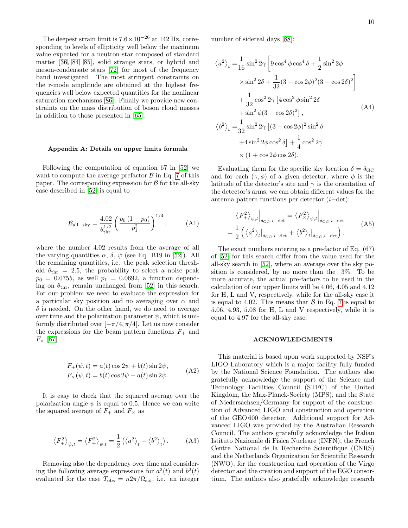The deepest strain limit is  $7.6 \times 10^{-26}$  at 142 Hz, corresponding to levels of ellipticity well below the maximum value expected for a neutron star composed of standard matter [\[36,](#page-12-1) [84,](#page-13-13) [85\]](#page-13-14), solid strange stars, or hybrid and meson-condensate stars [\[72\]](#page-13-1) for most of the frequency band investigated. The most stringent constraints on the r-mode amplitude are obtained at the highest frequencies well below expected quantities for the nonlinear saturation mechanisms [\[86\]](#page-13-15). Finally we provide new constraints on the mass distribution of boson cloud masses in addition to those presented in [\[65\]](#page-12-27).

## <span id="page-9-0"></span>Appendix A: Details on upper limits formula

Following the computation of equation 67 in [\[52\]](#page-12-14) we want to compute the average prefactor  $\beta$  in Eq. [7](#page-5-2) of this paper. The corresponding expression for  $\beta$  for the all-sky case described in [\[52\]](#page-12-14) is equal to

$$
\mathcal{B}_{\text{all-sky}} = \frac{4.02}{\theta_{\text{thr}}^{1/2}} \left( \frac{p_0 \left( 1 - p_0 \right)}{p_1^2} \right)^{1/4}, \quad (A1)
$$

where the number 4.02 results from the average of all the varying quantities  $\alpha$ ,  $\delta$ ,  $\psi$  (see Eq. B19 in [\[52\]](#page-12-14)). All the remaining quantities, i.e. the peak selection threshold  $\theta_{\text{thr}} = 2.5$ , the probability to select a noise peak  $p_0 = 0.0755$ , as well  $p_1 = 0.0692$ , a function depending on  $\theta_{\text{thr}}$ , remain unchanged from [\[52\]](#page-12-14) in this search. For our problem we need to evaluate the expression for a particular sky position and no averaging over  $\alpha$  and  $\delta$  is needed. On the other hand, we do need to average over time and the polarization parameter  $\psi$ , which is uniformly distributed over  $[-\pi/4, \pi/4]$ . Let us now consider the expressions for the beam pattern functions  $F_+$  and  $F_{\times}$  [\[87\]](#page-13-16)

$$
F_{+}(\psi, t) = a(t) \cos 2\psi + b(t) \sin 2\psi,
$$
  
\n
$$
F_{\times}(\psi, t) = b(t) \cos 2\psi - a(t) \sin 2\psi.
$$
 (A2)

It is easy to check that the squared average over the polarization angle  $\psi$  is equal to 0.5. Hence we can write the squared average of  $F_{+}$  and  $F_{\times}$  as

$$
\left\langle F_{+}^{2}\right\rangle _{\psi,t}=\left\langle F_{+}^{2}\right\rangle _{\psi,t}=\frac{1}{2}\left(\left\langle a^{2}\right\rangle _{t}+\left\langle b^{2}\right\rangle _{t}\right).\qquad\qquad\text{(A3)}
$$

Removing also the dependency over time and considering the following average expressions for  $a^2(t)$  and  $b^2(t)$ evaluated for the case  $T_{\text{obs}} = n2\pi/\Omega_{\text{sid}}$ , i.e. an integer number of sidereal days [\[88\]](#page-13-17):

$$
\langle a^2 \rangle_t = \frac{1}{16} \sin^2 2\gamma \left[ 9 \cos^4 \phi \cos^4 \delta + \frac{1}{2} \sin^2 2\phi \right.
$$
  
\n
$$
\times \sin^2 2\delta + \frac{1}{32} (3 - \cos 2\phi)^2 (3 - \cos 2\delta)^2 \right]
$$
  
\n
$$
+ \frac{1}{32} \cos^2 2\gamma \left[ 4 \cos^2 \phi \sin^2 2\delta \right.
$$
  
\n
$$
+ \sin^2 \phi (3 - \cos 2\delta)^2 \right],
$$
  
\n
$$
\langle b^2 \rangle_t = \frac{1}{32} \sin^2 2\gamma \left[ (3 - \cos 2\phi)^2 \sin^2 \delta \right.
$$
  
\n
$$
+ 4 \sin^2 2\phi \cos^2 \delta \right] + \frac{1}{4} \cos^2 2\gamma
$$
  
\n
$$
\times (1 + \cos 2\phi \cos 2\delta).
$$
  
\n(A4)

Evaluating them for the specific sky location  $\delta = \delta_{\rm GC}$ and for each  $(\gamma, \phi)$  of a given detector, where  $\phi$  is the latitude of the detector's site and  $\gamma$  is the orientation of the detector's arms, we can obtain different values for the antenna pattern functions per detector (i−det):

$$
\langle F_{+}^{2} \rangle_{\psi,t} \Big|_{\delta_{\text{GC}}, i-\text{det}} = \langle F_{\times}^{2} \rangle_{\psi,t} \Big|_{\delta_{\text{GC}}, i-\text{det}}
$$
  
= 
$$
\frac{1}{2} \left( \langle a^{2} \rangle_{t} \Big|_{\delta_{\text{GC}}, i-\text{det}} + \langle b^{2} \rangle_{t} \Big|_{\delta_{\text{GC}}, i-\text{det}} \right).
$$
 (A5)

The exact numbers entering as a pre-factor of Eq. (67) of [\[52\]](#page-12-14) for this search differ from the value used for the all-sky search in [\[52\]](#page-12-14), where an average over the sky position is considered, by no more than the 3%. To be more accurate, the actual pre-factors to be used in the calculation of our upper limits will be 4.06, 4.05 and 4.12 for H, L and V, respectively, while for the all-sky case it is equal to 4.02. This means that  $\beta$  in Eq. [7](#page-5-2) is equal to 5.06, 4.93, 5.08 for H, L and V respectively, while it is equal to 4.97 for the all-sky case.

#### ACKNOWLEDGMENTS

This material is based upon work supported by NSF's LIGO Laboratory which is a major facility fully funded by the National Science Foundation. The authors also gratefully acknowledge the support of the Science and Technology Facilities Council (STFC) of the United Kingdom, the Max-Planck-Society (MPS), and the State of Niedersachsen/Germany for support of the construction of Advanced LIGO and construction and operation of the GEO 600 detector. Additional support for Advanced LIGO was provided by the Australian Research Council. The authors gratefully acknowledge the Italian Istituto Nazionale di Fisica Nucleare (INFN), the French Centre National de la Recherche Scientifique (CNRS) and the Netherlands Organization for Scientific Research (NWO), for the construction and operation of the Virgo detector and the creation and support of the EGO consortium. The authors also gratefully acknowledge research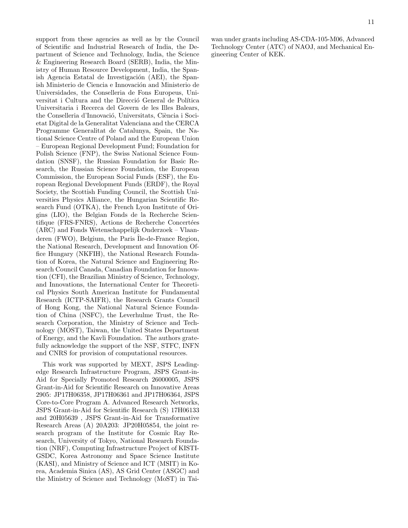support from these agencies as well as by the Council of Scientific and Industrial Research of India, the Department of Science and Technology, India, the Science & Engineering Research Board (SERB), India, the Ministry of Human Resource Development, India, the Spanish Agencia Estatal de Investigación (AEI), the Spanish Ministerio de Ciencia e Innovación and Ministerio de Universidades, the Conselleria de Fons Europeus, Universitat i Cultura and the Direcció General de Política Universitaria i Recerca del Govern de les Illes Balears, the Conselleria d'Innovació, Universitats, Ciència i Societat Digital de la Generalitat Valenciana and the CERCA Programme Generalitat de Catalunya, Spain, the National Science Centre of Poland and the European Union – European Regional Development Fund; Foundation for Polish Science (FNP), the Swiss National Science Foundation (SNSF), the Russian Foundation for Basic Research, the Russian Science Foundation, the European Commission, the European Social Funds (ESF), the European Regional Development Funds (ERDF), the Royal Society, the Scottish Funding Council, the Scottish Universities Physics Alliance, the Hungarian Scientific Research Fund (OTKA), the French Lyon Institute of Origins (LIO), the Belgian Fonds de la Recherche Scientifique (FRS-FNRS), Actions de Recherche Concertées (ARC) and Fonds Wetenschappelijk Onderzoek – Vlaanderen (FWO), Belgium, the Paris Ile-de-France Region, the National Research, Development and Innovation Office Hungary (NKFIH), the National Research Foundation of Korea, the Natural Science and Engineering Research Council Canada, Canadian Foundation for Innovation (CFI), the Brazilian Ministry of Science, Technology, and Innovations, the International Center for Theoretical Physics South American Institute for Fundamental Research (ICTP-SAIFR), the Research Grants Council of Hong Kong, the National Natural Science Foundation of China (NSFC), the Leverhulme Trust, the Research Corporation, the Ministry of Science and Technology (MOST), Taiwan, the United States Department of Energy, and the Kavli Foundation. The authors gratefully acknowledge the support of the NSF, STFC, INFN and CNRS for provision of computational resources.

This work was supported by MEXT, JSPS Leadingedge Research Infrastructure Program, JSPS Grant-in-Aid for Specially Promoted Research 26000005, JSPS Grant-in-Aid for Scientific Research on Innovative Areas 2905: JP17H06358, JP17H06361 and JP17H06364, JSPS Core-to-Core Program A. Advanced Research Networks, JSPS Grant-in-Aid for Scientific Research (S) 17H06133 and 20H05639 , JSPS Grant-in-Aid for Transformative Research Areas (A) 20A203: JP20H05854, the joint research program of the Institute for Cosmic Ray Research, University of Tokyo, National Research Foundation (NRF), Computing Infrastructure Project of KISTI-GSDC, Korea Astronomy and Space Science Institute (KASI), and Ministry of Science and ICT (MSIT) in Korea, Academia Sinica (AS), AS Grid Center (ASGC) and the Ministry of Science and Technology (MoST) in Tai-

wan under grants including AS-CDA-105-M06, Advanced Technology Center (ATC) of NAOJ, and Mechanical Engineering Center of KEK.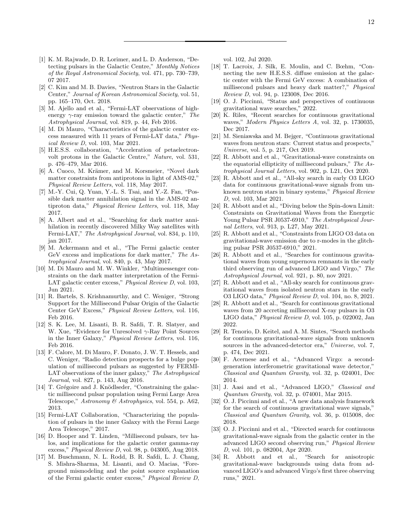- <span id="page-11-0"></span>[1] K. M. Rajwade, D. R. Lorimer, and L. D. Anderson, "Detecting pulsars in the Galactic Centre," Monthly Notices of the Royal Astronomical Society, vol. 471, pp. 730–739, 07 2017.
- <span id="page-11-1"></span>[2] C. Kim and M. B. Davies, "Neutron Stars in the Galactic Center," Journal of Korean Astronomical Society, vol. 51, pp. 165–170, Oct. 2018.
- <span id="page-11-2"></span>[3] M. Ajello and et al., "Fermi-LAT observations of highenergy  $\gamma$ -ray emission toward the galactic center," The Astrophysical Journal, vol. 819, p. 44, Feb 2016.
- <span id="page-11-3"></span>[4] M. Di Mauro, "Characteristics of the galactic center excess measured with 11 years of Fermi-LAT data," Physical Review D, vol. 103, Mar 2021.
- <span id="page-11-4"></span>[5] H.E.S.S. collaboration, "Acceleration of petaelectronvolt protons in the Galactic Centre," Nature, vol. 531, p. 476–479, Mar 2016.
- <span id="page-11-5"></span>[6] A. Cuoco, M. Krämer, and M. Korsmeier, "Novel dark matter constraints from antiprotons in light of AMS-02," Physical Review Letters, vol. 118, May 2017.
- [7] M.-Y. Cui, Q. Yuan, Y.-L. S. Tsai, and Y.-Z. Fan, "Possible dark matter annihilation signal in the AMS-02 antiproton data," Physical Review Letters, vol. 118, May 2017.
- [8] A. Albert and et al., "Searching for dark matter annihilation in recently discovered Milky Way satellites with Fermi-LAT," The Astrophysical Journal, vol. 834, p. 110, jan 2017.
- [9] M. Ackermann and et al., "The Fermi galactic center GeV excess and implications for dark matter," The Astrophysical Journal, vol. 840, p. 43, May 2017.
- <span id="page-11-6"></span>[10] M. Di Mauro and M. W. Winkler, "Multimessenger constraints on the dark matter interpretation of the Fermi-LAT galactic center excess," Physical Review D, vol. 103, Jun 2021.
- <span id="page-11-7"></span>[11] R. Bartels, S. Krishnamurthy, and C. Weniger, "Strong Support for the Millisecond Pulsar Origin of the Galactic Center GeV Excess," Physical Review Letters, vol. 116, Feb 2016.
- [12] S. K. Lee, M. Lisanti, B. R. Safdi, T. R. Slatyer, and W. Xue, "Evidence for Unresolved  $\gamma$ -Ray Point Sources in the Inner Galaxy," Physical Review Letters, vol. 116, Feb 2016.
- [13] F. Calore, M. Di Mauro, F. Donato, J. W. T. Hessels, and C. Weniger, "Radio detection prospects for a bulge population of millisecond pulsars as suggested by FERMI-LAT observations of the inner galaxy," The Astrophysical Journal, vol. 827, p. 143, Aug 2016.
- [14] T. Grégoire and J. Knödlseder, "Constraining the galactic millisecond pulsar population using Fermi Large Area Telescope," Astronomy & Astrophysics, vol. 554, p. A62, 2013.
- [15] Fermi-LAT Collaboration, "Characterizing the population of pulsars in the inner Galaxy with the Fermi Large Area Telescope," 2017.
- [16] D. Hooper and T. Linden, "Millisecond pulsars, tev halos, and implications for the galactic center gamma-ray excess," Physical Review D, vol. 98, p. 043005, Aug 2018.
- <span id="page-11-8"></span>[17] M. Buschmann, N. L. Rodd, B. R. Safdi, L. J. Chang, S. Mishra-Sharma, M. Lisanti, and O. Macias, "Foreground mismodeling and the point source explanation of the Fermi galactic center excess," Physical Review D,

vol. 102, Jul 2020.

- <span id="page-11-9"></span>[18] T. Lacroix, J. Silk, E. Moulin, and C. Bœhm, "Connecting the new H.E.S.S. diffuse emission at the galactic center with the Fermi GeV excess: A combination of millisecond pulsars and heavy dark matter?," Physical Review D, vol. 94, p. 123008, Dec 2016.
- <span id="page-11-10"></span>[19] O. J. Piccinni, "Status and perspectives of continuous gravitational wave searches," 2022.
- [20] K. Riles, "Recent searches for continuous gravitational waves," Modern Physics Letters A, vol. 32, p. 1730035, Dec 2017.
- <span id="page-11-11"></span>[21] M. Sieniawska and M. Bejger, "Continuous gravitational waves from neutron stars: Current status and prospects," Universe, vol. 5, p. 217, Oct 2019.
- <span id="page-11-12"></span>[22] R. Abbott and et al., "Gravitational-wave constraints on the equatorial ellipticity of millisecond pulsars," The Astrophysical Journal Letters, vol. 902, p. L21, Oct 2020.
- [23] R. Abbott and et al., "All-sky search in early O3 LIGO data for continuous gravitational-wave signals from unknown neutron stars in binary systems," Physical Review D, vol. 103, Mar 2021.
- [24] R. Abbott and et al., "Diving below the Spin-down Limit: Constraints on Gravitational Waves from the Energetic Young Pulsar PSR J0537-6910," The Astrophysical Journal Letters, vol. 913, p. L27, May 2021.
- [25] R. Abbott and et al., "Constraints from LIGO O3 data on gravitational-wave emission due to r-modes in the glitching pulsar PSR J0537-6910," 2021.
- <span id="page-11-20"></span>[26] R. Abbott and et al., "Searches for continuous gravitational waves from young supernova remnants in the early third observing run of advanced LIGO and Virgo," The Astrophysical Journal, vol. 921, p. 80, nov 2021.
- [27] R. Abbott and et al., "All-sky search for continuous gravitational waves from isolated neutron stars in the early O3 LIGO data," Physical Review D, vol. 104, no. 8, 2021.
- <span id="page-11-13"></span>[28] R. Abbott and et al., "Search for continuous gravitational waves from 20 accreting millisecond X-ray pulsars in O3 LIGO data," Physical Review D, vol. 105, p. 022002, Jan 2022.
- <span id="page-11-14"></span>[29] R. Tenorio, D. Keitel, and A. M. Sintes, "Search methods for continuous gravitational-wave signals from unknown sources in the advanced-detector era," Universe, vol. 7, p. 474, Dec 2021.
- <span id="page-11-15"></span>[30] F. Acernese and et al., "Advanced Virgo: a secondgeneration interferometric gravitational wave detector," Classical and Quantum Gravity, vol. 32, p. 024001, Dec 2014.
- <span id="page-11-16"></span>[31] J. Aasi and et al., "Advanced LIGO," Classical and Quantum Gravity, vol. 32, p. 074001, Mar 2015.
- <span id="page-11-17"></span>[32] O. J. Piccinni and et al., "A new data analysis framework for the search of continuous gravitational wave signals," Classical and Quantum Gravity, vol. 36, p. 015008, dec 2018.
- <span id="page-11-18"></span>[33] O. J. Piccinni and et al., "Directed search for continuous gravitational-wave signals from the galactic center in the advanced LIGO second observing run," Physical Review D, vol. 101, p. 082004, Apr 2020.
- <span id="page-11-19"></span>[34] R. Abbott and et al., "Search for anisotropic gravitational-wave backgrounds using data from advanced LIGO's and advanced Virgo's first three observing runs," 2021.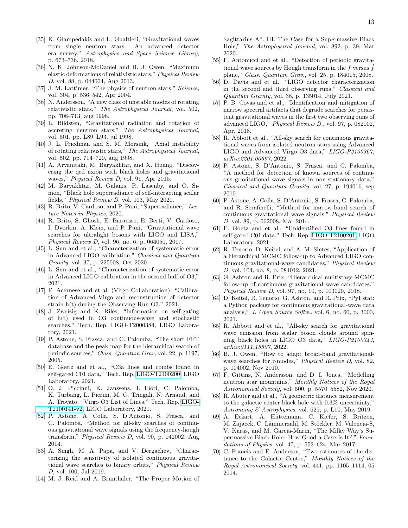- <span id="page-12-0"></span>[35] K. Glampedakis and L. Gualtieri, "Gravitational waves from single neutron stars: An advanced detector era survey," Astrophysics and Space Science Library, p. 673–736, 2018.
- <span id="page-12-1"></span>[36] N. K. Johnson-McDaniel and B. J. Owen, "Maximum elastic deformations of relativistic stars," Physical Review D, vol. 88, p. 044004, Aug 2013.
- <span id="page-12-2"></span>[37] J. M. Lattimer, "The physics of neutron stars," Science, vol. 304, p. 536–542, Apr 2004.
- <span id="page-12-3"></span>[38] N. Andersson, "A new class of unstable modes of rotating relativistic stars," The Astrophysical Journal, vol. 502, pp. 708–713, aug 1998.
- [39] L. Bildsten, "Gravitational radiation and rotation of accreting neutron stars," The Astrophysical Journal, vol. 501, pp. L89–L93, jul 1998.
- <span id="page-12-4"></span>[40] J. L. Friedman and S. M. Morsink, "Axial instability of rotating relativistic stars," The Astrophysical Journal, vol. 502, pp. 714–720, aug 1998.
- <span id="page-12-5"></span>[41] A. Arvanitaki, M. Baryakhtar, and X. Huang, "Discovering the qcd axion with black holes and gravitational waves," *Physical Review D*, vol. 91, Apr 2015.
- [42] M. Baryakhtar, M. Galanis, R. Lasenby, and O. Simon, "Black hole superradiance of self-interacting scalar fields," Physical Review D, vol. 103, May 2021.
- [43] R. Brito, V. Cardoso, and P. Pani, "Superradiance," Lecture Notes in Physics, 2020.
- <span id="page-12-6"></span>[44] R. Brito, S. Ghosh, E. Barausse, E. Berti, V. Cardoso, I. Dvorkin, A. Klein, and P. Pani, "Gravitational wave searches for ultralight bosons with LIGO and LISA," Physical Review D, vol. 96, no. 6, p. 064050, 2017.
- <span id="page-12-7"></span>[45] L. Sun and et al., "Characterization of systematic error in Advanced LIGO calibration," Classical and Quantum Gravity, vol. 37, p. 225008, Oct 2020.
- <span id="page-12-8"></span>[46] L. Sun and et al., "Characterization of systematic error in Advanced LIGO calibration in the second half of O3," 2021.
- <span id="page-12-9"></span>[47] F. Acernese and et al. (Virgo Collaboration), "Calibration of Advanced Virgo and reconstruction of detector strain h(t) during the Observing Run O3," 2021.
- <span id="page-12-10"></span>[48] J. Zweizig and K. Riles, "Information on self-gating of h(t) used in O3 continuous-wave and stochastic searches," Tech. Rep. LIGO-T2000384, LIGO Laboratory, 2021.
- <span id="page-12-11"></span>[49] P. Astone, S. Frasca, and C. Palomba, "The short FFT database and the peak map for the hierarchical search of periodic sources," Class. Quantum Grav, vol. 22, p. 1197, 2005.
- <span id="page-12-12"></span>[50] E. Goetz and et al., "O3a lines and combs found in self-gated C01 data," Tech. Rep. [LIGO-T2100200,](https://dcc.ligo.org/T2100200/public) LIGO Laboratory, 2021.
- <span id="page-12-13"></span>[51] O. J. Piccinni, K. Janssens, I. Fiori, C. Palomba, K. Turbang, L. Pierini, M. C. Tringali, N. Arnaud, and A. Trovato, "Virgo O3 List of Lines," Tech. Rep. [LIGO-](https://dcc.ligo.org/T2100141-v2/public)[T2100141-v2,](https://dcc.ligo.org/T2100141-v2/public) LIGO Laboratory, 2021.
- <span id="page-12-14"></span>[52] P. Astone, A. Colla, S. D'Antonio, S. Frasca, and C. Palomba, "Method for all-sky searches of continuous gravitational wave signals using the frequency-hough transform," Physical Review D, vol. 90, p. 042002, Aug 2014.
- <span id="page-12-15"></span>[53] A. Singh, M. A. Papa, and V. Dergachev, "Characterizing the sensitivity of isolated continuous gravitational wave searches to binary orbits," Physical Review D, vol. 100, Jul 2019.
- <span id="page-12-16"></span>[54] M. J. Reid and A. Brunthaler, "The Proper Motion of

Sagittarius A\*. III. The Case for a Supermassive Black Hole," The Astrophysical Journal, vol. 892, p. 39, Mar 2020.

- <span id="page-12-17"></span>[55] F. Antonucci and et al., "Detection of periodic gravitational wave sources by Hough transform in the f versus  $\hat{f}$ plane," Class. Quantum Grav., vol. 25, p. 184015, 2008.
- <span id="page-12-18"></span>[56] D. Davis and et al., "LIGO detector characterization in the second and third observing runs," Classical and Quantum Gravity, vol. 38, p. 135014, July 2021.
- <span id="page-12-19"></span>[57] P. B. Covas and et al., "Identification and mitigation of narrow spectral artifacts that degrade searches for persistent gravitational waves in the first two observing runs of advanced LIGO," Physical Review D., vol. 97, p. 082002, Apr. 2018.
- <span id="page-12-20"></span>[58] R. Abbott et al., "All-sky search for continuous gravitational waves from isolated neutron stars using Advanced LIGO and Advanced Virgo O3 data," LIGO-P2100367, arXiv:2201.00697, 2022.
- <span id="page-12-21"></span>[59] P. Astone, S. D'Antonio, S. Frasca, and C. Palomba, "A method for detection of known sources of continuous gravitational wave signals in non-stationary data," Classical and Quantum Gravity, vol. 27, p. 194016, sep 2010.
- <span id="page-12-22"></span>[60] P. Astone, A. Colla, S. D'Antonio, S. Frasca, C. Palomba, and R. Serafinelli, "Method for narrow-band search of continuous gravitational wave signals," Physical Review D, vol. 89, p. 062008, Mar 2014.
- <span id="page-12-23"></span>[61] E. Goetz and et al., "Unidentified O3 lines found in self-gated C01 data," Tech. Rep. [LIGO-T2100201,](https://dcc.ligo.org/LIGO-T2100201/public) LIGO Laboratory, 2021.
- <span id="page-12-24"></span>[62] R. Tenorio, D. Keitel, and A. M. Sintes, "Application of a hierarchical MCMC follow-up to Advanced LIGO continuous gravitational-wave candidates," Physical Review D, vol. 104, no. 8, p. 084012, 2021.
- <span id="page-12-25"></span>[63] G. Ashton and R. Prix, "Hierarchical multistage MCMC follow-up of continuous gravitational wave candidates," Physical Review D, vol. 97, no. 10, p. 103020, 2018.
- <span id="page-12-26"></span>[64] D. Keitel, R. Tenorio, G. Ashton, and R. Prix, "PyFstat: a Python package for continuous gravitational-wave data analysis," J. Open Source Softw., vol. 6, no. 60, p. 3000, 2021.
- <span id="page-12-27"></span>[65] R. Abbott and et al., "All-sky search for gravitational wave emission from scalar boson clouds around spinning black holes in LIGO O3 data," LIGO-P2100343, arXiv:2111.15507, 2022.
- <span id="page-12-28"></span>[66] B. J. Owen, "How to adapt broad-band gravitationalwave searches for r-modes," *Physical Review D*, vol. 82, p. 104002, Nov 2010.
- <span id="page-12-29"></span>[67] F. Gittins, N. Andersson, and D. I. Jones, "Modelling neutron star mountains," Monthly Notices of the Royal Astronomical Society, vol. 500, p. 5570–5582, Nov 2020.
- <span id="page-12-30"></span>[68] R. Abuter and et al., "A geometric distance measurement to the galactic center black hole with 0.3% uncertainty," Astronomy & Astrophysics, vol. 625, p. L10, May 2019.
- [69] A. Eckart, A. Hüttemann, C. Kiefer, S. Britzen, M. Zajaček, C. Lämmerzahl, M. Stöckler, M. Valencia-S, V. Karas, and M. García-Marín, "The Milky Way's Supermassive Black Hole: How Good a Case Is It?," Foundations of Physics, vol. 47, p. 553–624, Mar 2017.
- [70] C. Francis and E. Anderson, "Two estimates of the distance to the Galactic Centre," Monthly Notices of the Royal Astronomical Society, vol. 441, pp. 1105–1114, 05 2014.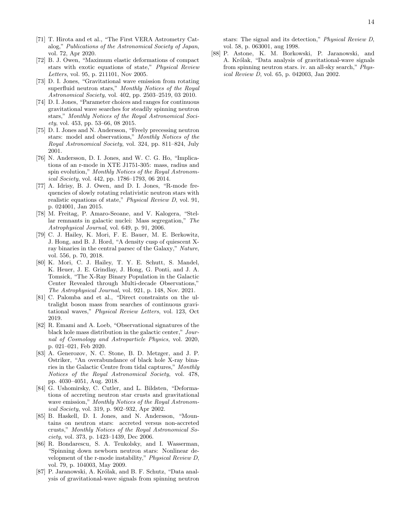- <span id="page-13-0"></span>[71] T. Hirota and et al., "The First VERA Astrometry Catalog," Publications of the Astronomical Society of Japan, vol. 72, Apr 2020.
- <span id="page-13-1"></span>[72] B. J. Owen, "Maximum elastic deformations of compact stars with exotic equations of state," Physical Review Letters, vol. 95, p. 211101, Nov 2005.
- <span id="page-13-2"></span>[73] D. I. Jones, "Gravitational wave emission from rotating superfluid neutron stars," Monthly Notices of the Royal Astronomical Society, vol. 402, pp. 2503–2519, 03 2010.
- <span id="page-13-3"></span>[74] D. I. Jones, "Parameter choices and ranges for continuous gravitational wave searches for steadily spinning neutron stars," Monthly Notices of the Royal Astronomical Society, vol. 453, pp. 53–66, 08 2015.
- <span id="page-13-4"></span>[75] D. I. Jones and N. Andersson, "Freely precessing neutron stars: model and observations," Monthly Notices of the Royal Astronomical Society, vol. 324, pp. 811–824, July 2001.
- <span id="page-13-5"></span>[76] N. Andersson, D. I. Jones, and W. C. G. Ho, "Implications of an r-mode in XTE J1751-305: mass, radius and spin evolution," Monthly Notices of the Royal Astronomical Society, vol. 442, pp. 1786–1793, 06 2014.
- <span id="page-13-6"></span>[77] A. Idrisy, B. J. Owen, and D. I. Jones, "R-mode frequencies of slowly rotating relativistic neutron stars with realistic equations of state," Physical Review D, vol. 91, p. 024001, Jan 2015.
- <span id="page-13-7"></span>[78] M. Freitag, P. Amaro-Seoane, and V. Kalogera, "Stellar remnants in galactic nuclei: Mass segregation," The Astrophysical Journal, vol. 649, p. 91, 2006.
- <span id="page-13-8"></span>[79] C. J. Hailey, K. Mori, F. E. Bauer, M. E. Berkowitz, J. Hong, and B. J. Hord, "A density cusp of quiescent Xray binaries in the central parsec of the Galaxy," Nature, vol. 556, p. 70, 2018.
- <span id="page-13-9"></span>[80] K. Mori, C. J. Hailey, T. Y. E. Schutt, S. Mandel, K. Heuer, J. E. Grindlay, J. Hong, G. Ponti, and J. A. Tomsick, "The X-Ray Binary Population in the Galactic Center Revealed through Multi-decade Observations," The Astrophysical Journal, vol. 921, p. 148, Nov. 2021.
- <span id="page-13-10"></span>[81] C. Palomba and et al., "Direct constraints on the ultralight boson mass from searches of continuous gravitational waves," Physical Review Letters, vol. 123, Oct 2019.
- <span id="page-13-11"></span>[82] R. Emami and A. Loeb, "Observational signatures of the black hole mass distribution in the galactic center," Journal of Cosmology and Astroparticle Physics, vol. 2020, p. 021–021, Feb 2020.
- <span id="page-13-12"></span>[83] A. Generozov, N. C. Stone, B. D. Metzger, and J. P. Ostriker, "An overabundance of black hole X-ray binaries in the Galactic Centre from tidal captures," Monthly Notices of the Royal Astronomical Society, vol. 478, pp. 4030–4051, Aug. 2018.
- <span id="page-13-13"></span>[84] G. Ushomirsky, C. Cutler, and L. Bildsten, "Deformations of accreting neutron star crusts and gravitational wave emission," Monthly Notices of the Royal Astronomical Society, vol. 319, p. 902–932, Apr 2002.
- <span id="page-13-14"></span>[85] B. Haskell, D. I. Jones, and N. Andersson, "Mountains on neutron stars: accreted versus non-accreted crusts," Monthly Notices of the Royal Astronomical Society, vol. 373, p. 1423–1439, Dec 2006.
- <span id="page-13-15"></span>[86] R. Bondarescu, S. A. Teukolsky, and I. Wasserman, "Spinning down newborn neutron stars: Nonlinear development of the r-mode instability," Physical Review D, vol. 79, p. 104003, May 2009.
- <span id="page-13-16"></span>[87] P. Jaranowski, A. Królak, and B. F. Schutz, "Data analysis of gravitational-wave signals from spinning neutron

stars: The signal and its detection," Physical Review D, vol. 58, p. 063001, aug 1998.

<span id="page-13-17"></span>[88] P. Astone, K. M. Borkowski, P. Jaranowski, and A. Królak, "Data analysis of gravitational-wave signals from spinning neutron stars. iv. an all-sky search," Physical Review D, vol. 65, p. 042003, Jan 2002.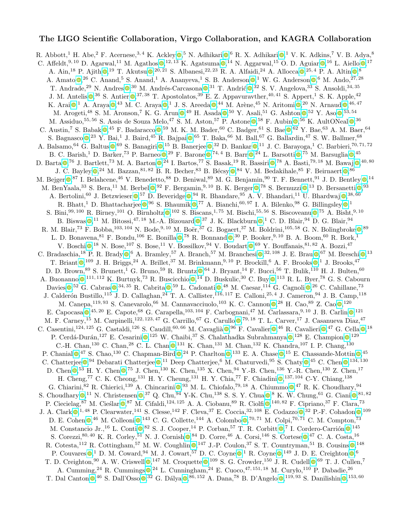# The LIGO Scientific Collaboration, Virgo Collaboration, and KAGRA Collaboration

R. Abbott[,](https://orcid.org/0000-0002-5731-5076)<sup>1</sup> H. Abe,<sup>2</sup> F. Acernese,<sup>3,4</sup> K. Ackley  $\bullet$ ,<sup>5</sup> N. Adhikari  $\bullet$ ,<sup>6</sup> R. X. Adhikari  $\bullet$ ,<sup>1</sup> V. K. Adkins,<sup>7</sup> V. B. Adya,<sup>8</sup> C. Affeldt[,](https://orcid.org/0000-0003-2771-8816)<sup>9,10</sup> D. Agarwal,<sup>11</sup> M. Agathos  $\bullet$ ,<sup>12,13</sup> K. Agatsuma  $\bullet$ ,<sup>14</sup> N. Aggarwal,<sup>15</sup> O. D. Aguiar  $\bullet$ ,<sup>16</sup> L. Aiello  $\bullet$ ,<sup>17</sup> A. Ain[,](https://orcid.org/0000-0001-8193-5825)<sup>18</sup> P. Ajith  $\odot$ ,<sup>19</sup> T. Akutsu  $\odot$ ,<sup>20, 21</sup> S. Albanesi,<sup>22, 23</sup> R. A. Alfaidi,<sup>24</sup> A. Allocca  $\odot$ ,<sup>25, 4</sup> P. A. Altin  $\odot$ ,<sup>8</sup> A. Amato  $\bullet$ [,](https://orcid.org/0000-0003-0482-5942)<sup>26</sup> C. Anand,<sup>5</sup> S. Anand,<sup>1</sup> A. Ananyeva,<sup>1</sup> S. B. Anderson  $\bullet$ ,<sup>1</sup> W. G. Anderson  $\bullet$ ,<sup>6</sup> M. Ando,<sup>27,28</sup> T. Andrade[,](https://orcid.org/0000-0002-9277-9773)<sup>29</sup> N. Andres  $\bullet$ ,<sup>30</sup> M. Andrés-Carcasona  $\bullet$ ,<sup>31</sup> T. Andrić  $\bullet$ ,<sup>32</sup> S. V. Angelova,<sup>33</sup> S. Ansoldi,<sup>34,35</sup> J. M. Antelis  $\bullet$ [,](https://orcid.org/0000-0002-7686-3334) <sup>36</sup> S. Antier  $\bullet$ , <sup>37, 38</sup> T. Apostolatos, <sup>39</sup> E. Z. Appavuravther, <sup>40, 41</sup> S. Appert, <sup>1</sup> S. K. Apple, <sup>42</sup> K. Arai  $\mathbb{O},^1$  $\mathbb{O},^1$  $\mathbb{O},^1$  A. Araya  $\mathbb{O},^{43}$  M. C. Araya  $\mathbb{O},^1$  J. S. Areeda  $\mathbb{O},^{44}$  M. Arène, $^{45}$  N. Aritomi  $\mathbb{O},^{20}$  N. Arnaud  $\mathbb{O},^{46,47}$ M. Arogeti[,](https://orcid.org/0000-0002-1902-6695)<sup>48</sup> S. M. Aronson,<sup>7</sup> K. G. Arun  $\bullet$ ,<sup>49</sup> H. Asada  $\bullet$ ,<sup>50</sup> Y. Asali,<sup>51</sup> G. Ashton  $\bullet$ ,<sup>52</sup> Y. Aso  $\bullet$ ,<sup>53,54</sup> M. Assiduo[,](https://orcid.org/0000-0002-6645-4473)<sup>55,56</sup> S. Assis de Souza Melo,<sup>47</sup> S. M. Aston,<sup>57</sup> P. Astone  $\bullet$ ,<sup>58</sup> F. Aubin  $\bullet$ ,<sup>56</sup> K. AultONeal  $\bullet$ ,<sup>36</sup> C. Austin[,](https://orcid.org/0000-0003-2429-3357)<sup>7</sup> S. Babak  $\bullet$ ,<sup>45</sup> F. Badaracco  $\bullet$ ,<sup>59</sup> M. K. M. Bader,<sup>60</sup> C. Badger,<sup>61</sup> S. Bae  $\bullet$ ,<sup>62</sup> Y. Bae,<sup>63</sup> A. M. Baer,<sup>64</sup> S. Bagnasco  $\bullet$ [,](https://orcid.org/0000-0003-0495-5720)<sup>23</sup> Y. Bai,<sup>1</sup> J. Baird,<sup>45</sup> R. Bajpai  $\bullet$ ,<sup>65</sup> T. Baka,<sup>66</sup> M. Ball,<sup>67</sup> G. Ballardin,<sup>47</sup> S. W. Ballmer,<sup>68</sup> A. Balsamo[,](https://orcid.org/0000-0002-6068-2993) <sup>64</sup> G. Baltus  $\bullet$ , <sup>69</sup> S. Banagiri  $\bullet$ , <sup>15</sup> B. Banerjee  $\bullet$ , <sup>32</sup> D. Bankar  $\bullet$ , <sup>11</sup> J. C. Barayoga, <sup>1</sup> C. Barbieri, <sup>70, 71, 72</sup> B. C. Barish[,](https://orcid.org/0000-0002-1180-4050)<sup>1</sup> D. Barker,<sup>73</sup> P. Barneo  $\bullet$ ,<sup>29</sup> F. Barone  $\bullet$ ,<sup>74,4</sup> B. Barr  $\bullet$ ,<sup>24</sup> L. Barsotti  $\bullet$ ,<sup>75</sup> M. Barsuglia  $\bullet$ ,<sup>45</sup> D. Barta  $\Phi$ [,](https://orcid.org/0000-0003-3611-3042)<sup>76</sup> J. Bartlett,<sup>73</sup> M. A. Barton  $\Phi$ ,<sup>24</sup> I. Bartos,<sup>77</sup> S. Basak,<sup>19</sup> R. Bassiri  $\Phi$ ,<sup>78</sup> A. Basti,<sup>79,18</sup> M. Bawaj  $\Phi$ ,<sup>40,80</sup> J. C. Bayley  $\bullet$ [,](https://orcid.org/0000-0002-4003-7233)<sup>24</sup> M. Bazzan,<sup>81,82</sup> B. R. Becher,<sup>83</sup> B. Bécsy  $\bullet$ ,<sup>84</sup> V. M. Bedakihale,<sup>85</sup> F. Beirnaert  $\bullet$ ,<sup>86</sup> M. Bejger  $\bullet, ^{87}$  $\bullet, ^{87}$  $\bullet, ^{87}$  I. Belahcene,<sup>46</sup> V. Benedetto,<sup>88</sup> D. Beniwal,<sup>89</sup> M. G. Benjamin,<sup>90</sup> T. F. Bennett,<sup>91</sup> J. D. Bentley  $\bullet, ^{14}$ M. BenYaala[,](https://orcid.org/0000-0002-7377-415X)<sup>33</sup> S. Bera,<sup>11</sup> M. Berbel  $\bullet$ ,<sup>92</sup> F. Bergamin,<sup>9,10</sup> B. K. Berger  $\bullet$ ,<sup>78</sup> S. Bernuzzi  $\bullet$ ,<sup>13</sup> D. Bersanetti  $\bullet$ ,<sup>93</sup> A. Bertolini[,](https://orcid.org/0000-0003-1233-4174) <sup>60</sup> J. Betzwieser  $\bullet$ , <sup>57</sup> D. Beveridge  $\bullet$ , <sup>94</sup> R. Bhandare, <sup>95</sup> A. V. Bhandari, <sup>11</sup> U. Bhardwaj  $\bullet$ , <sup>38, 60</sup> R. Bhatt[,](https://orcid.org/0000-0002-4141-2744)<sup>1</sup> D. Bhattacharjee  $\bullet$ ,<sup>96</sup> S. Bhaumik  $\bullet$ ,<sup>77</sup> A. Bianchi,<sup>60, 97</sup> I. A. Bilenko,<sup>98</sup> G. Billingsley  $\bullet$ ,<sup>1</sup> S. Bini[,](https://orcid.org/0000-0001-7616-7366)  $99,100$  R. Birney,  $101$  O. Birnholtz  $\text{Q}$ ,  $102$  S. Biscans,  $1,75$  M. Bischi,  $55,56$  S. Biscoveanu  $\text{Q}$ ,  $75$  A. Bisht,  $9,10$ B. Biswas  $\bullet$ [,](https://orcid.org/0000-0002-3838-2986)<sup>11</sup> M. Bitossi,<sup>47, 18</sup> M.-A. Bizouard  $\bullet$ ,<sup>37</sup> J. K. Blackburn  $\bullet$ ,<sup>1</sup> C. D. Blair,<sup>94</sup> D. G. Blair,<sup>94</sup> R. M. Blair[,](https://orcid.org/0000-0002-7350-5291)<sup>73</sup> F. Bobba,<sup>103,104</sup> N. Bode,<sup>9,10</sup> M. Boër,<sup>37</sup> G. Bogaert,<sup>37</sup> M. Boldrini,<sup>105,58</sup> G. N. Bolingbroke  $\bullet$ ,<sup>89</sup> L. D. Bonavena[,](https://orcid.org/0000-0001-5013-5913)  $81$  F. Bondu,  $106$  E. Bonilla  $\bigcirc$ ,  $78$  R. Bonnand  $\bigcirc$ ,  $30$  P. Booker,  $9,10$  B. A. Boom,  $60$  R. Bork,  $1$ V. Boschi  $\bullet$ [,](https://orcid.org/0000-0001-9923-4154)<sup>18</sup> N. Bose,<sup>107</sup> S. Bose,<sup>11</sup> V. Bossilkov,<sup>94</sup> V. Boudart  $\bullet$ ,<sup>69</sup> Y. Bouffanais,<sup>81,82</sup> A. Bozzi,<sup>47</sup> C. Bradaschia[,](https://orcid.org/0000-0002-3327-3676) <sup>18</sup> P. R. Brady  $\bullet$ , 6 A. Bramley, <sup>57</sup> A. Branch, <sup>57</sup> M. Branchesi  $\bullet$ , <sup>32, 108</sup> J. E. Brau  $\bullet$ , <sup>67</sup> M. Breschi  $\bullet$ , <sup>13</sup> T. Briant  $\bullet$ [,](https://orcid.org/0000-0003-4295-792X)<sup>109</sup> J. H. Briggs,<sup>24</sup> A. Brillet,<sup>37</sup> M. Brinkmann,<sup>9,10</sup> P. Brockill,<sup>6</sup> A. F. Brooks  $\bullet$ ,<sup>1</sup> J. Brooks,<sup>47</sup> D. D. Brown[,](https://orcid.org/0000-0002-0840-8567)  $89\,$  S. Brunett, <sup>1</sup> G. Bruno,  $59\,$  R. Bruntz  $\mathbb{O}, 64\,$  J. Bryant,  $^{14}$  F. Bucci,  $^{56}\,$  T. Bulik,  $^{110}\,$  H. J. Bulten,  $^{60}\,$ A. Buonanno  $\bullet$ [,](https://orcid.org/0000-0003-2872-8186) <sup>111, 112</sup> K. Burtnyk,<sup>73</sup> R. Buscicchio  $\bullet$ , <sup>14</sup> D. Buskulic, <sup>30</sup> C. Buy  $\bullet$ , <sup>113</sup> R. L. Byer, <sup>78</sup> G. S. Cabourn Davies  $\bullet$ [,](https://orcid.org/0000-0002-7086-6550)<sup>52</sup> G. Cabras  $\bullet$ ,<sup>34, 35</sup> R. Cabrita  $\bullet$ ,<sup>59</sup> L. Cadonati  $\bullet$ ,<sup>48</sup> M. Caesar,<sup>114</sup> G. Cagnoli  $\bullet$ ,<sup>26</sup> C. Cahillane,<sup>73</sup> J. Calderón Bustillo,<sup>115</sup> J. D. Callaghan,<sup>24</sup> T. A. Callister,<sup>116,117</sup> E. Calloni,<sup>25,4</sup> J. Cameron,<sup>94</sup> J. B. Camp,<sup>118</sup> M. Canepa[,](https://orcid.org/0000-0002-1932-7295) <sup>119, 93</sup> S. Canevarolo, <sup>66</sup> M. Cannavacciuolo, <sup>103</sup> K. C. Cannon <sup>®, 28</sup> H. Cao, <sup>89</sup> Z. Cao ®, <sup>120</sup> E. Capocasa  $\bullet$ [,](https://orcid.org/0000-0001-5694-0809) <sup>45, 20</sup> E. Capote, <sup>68</sup> G. Carapella, <sup>103, 104</sup> F. Carbognani, <sup>47</sup> M. Carlassara, <sup>9, 10</sup> J. B. Carlin  $\bullet$ , <sup>121</sup> M. F. Carney[,](https://orcid.org/0000-0001-9090-1862)<sup>15</sup> M. Carpinelli,<sup>122, 123, 47</sup> G. Carrillo,<sup>67</sup> G. Carullo  $\bullet$ ,<sup>79, 18</sup> T. L. Carver,<sup>17</sup> J. Casanueva Diaz,<sup>47</sup> C. Casentini[,](https://orcid.org/0000-0002-0752-0338)  $^{124,125}$  G. Castaldi,  $^{126}$  S. Caudill,  $^{60,66}$  M. Cavaglià  $\bullet$ ,  $^{96}$  F. Cavalier  $\bullet$ ,  $^{46}$  R. Cavalieri  $\bullet$ ,  $^{47}$  G. Cella  $\bullet$ ,  $^{18}$ P. Cerdá-Durán[,](https://orcid.org/0000-0002-7901-4100)<sup>127</sup> E. Cesarini <sup>®</sup>,<sup>125</sup> W. Chaibi,<sup>37</sup> S. Chalathadka Subrahmanya <sup>®</sup>,<sup>128</sup> E. Champion <sup>®</sup>,<sup>129</sup> C.-H. Chan[,](https://orcid.org/0000-0002-3377-4737)<sup>130</sup> C. Chan,<sup>28</sup> C. L. Chan  $\bullet$ ,<sup>131</sup> K. Chan,<sup>131</sup> M. Chan,<sup>132</sup> K. Chandra,<sup>107</sup> I. P. Chang,<sup>130</sup> P. Chanial  $\mathbb{Q}^{47}$  S. Chao[,](https://orcid.org/0000-0003-3768-9908)<sup>130</sup> C. Chapman-Bird  $\mathbb{Q}^{24}$  P. Charlton  $\mathbb{Q}^{133}$  E. A. Chase  $\mathbb{Q}^{15}$  E. Chassande-Mottin  $\mathbb{Q}^{45}$ C. Chatterjee  $\bullet$ [,](https://orcid.org/0000-0002-3354-0105) <sup>94</sup> Debarati Chatterjee  $\bullet$ , <sup>11</sup> Deep Chatterjee, <sup>6</sup> M. Chaturvedi, <sup>95</sup> S. Chaty  $\bullet$ , <sup>45</sup> C. Chen  $\bullet$ , <sup>134, 130</sup> D. Chen  $\bullet$ [,](https://orcid.org/0000-0001-5403-3762)<sup>53</sup> H. Y. Chen  $\bullet$ ,<sup>75</sup> J. Chen,<sup>130</sup> K. Chen,<sup>135</sup> X. Chen,<sup>94</sup> Y.-B. Chen,<sup>136</sup> Y.-R. Chen,<sup>130</sup> Z. Chen,<sup>17</sup> H. Cheng[,](https://orcid.org/0000-0002-9339-8622)<sup>77</sup> C. K. Cheong,<sup>131</sup> H. Y. Cheung,<sup>131</sup> H. Y. Chia,<sup>77</sup> F. Chiadini  $\bullet$ ,<sup>137, 104</sup> C-Y. Chiang,<sup>138</sup> G. Chiarini[,](https://orcid.org/0000-0003-2165-2967)  ${}^{82}$  R. Chierici,  ${}^{139}$  A. Chincarini  $\bullet$ ,  ${}^{93}$  M. L. Chiofalo,  ${}^{79,18}$  A. Chiummo  $\bullet$ ,  ${}^{47}$  R. K. Choudhary,  ${}^{94}$ S. Choudhary  $\mathbb{O}^{11}$  N. Christensen  $\mathbb{O}^{37}$  Q. Chu[,](https://orcid.org/0000-0003-4258-9338)  $^{94}$  Y-K. Chu,  $^{138}$  S. S. Y. Chua  $\mathbb{O}^{8}$  K. W. Chung,  $^{61}$  G. Ciani  $\mathbb{O}^{81,82}$ P. Ciecielag[,](https://orcid.org/0000-0003-3140-8933) <sup>87</sup> M. Cieślar  $\Phi$ , <sup>87</sup> M. Cifaldi, <sup>124, 125</sup> A. A. Ciobanu, <sup>89</sup> R. Ciolfi  $\Phi$ , <sup>140, 82</sup> F. Cipriano, <sup>37</sup> F. Clara, <sup>73</sup> J. A. Clark  $\mathbb{Q}^{1,48}$  $\mathbb{Q}^{1,48}$  $\mathbb{Q}^{1,48}$  P. Clearwater,<sup>141</sup> S. Clesse,<sup>142</sup> F. Cleva,<sup>37</sup> E. Coccia,<sup>32, 108</sup> E. Codazzo  $\mathbb{Q}^{32}$  P.-F. Cohadon  $\mathbb{Q}^{109}$ D. E. Cohen  $\mathbb{O}$ [,](https://orcid.org/0000-0002-7439-4773)<sup>46</sup> M. Colleoni  $\mathbb{O}$ ,<sup>143</sup> C. G. Collette,<sup>144</sup> A. Colombo  $\mathbb{O}$ ,<sup>70,71</sup> M. Colpi,<sup>70,71</sup> C. M. Compton,<sup>73</sup> M. Constancio Jr.[,](https://orcid.org/0000-0002-1985-1361)<sup>16</sup> L. Conti $\bigcirc^{82}$  S. J. Cooper,<sup>14</sup> P. Corban,<sup>57</sup> T. R. Corbitt  $\bigcirc^{7}$  I. Cordero-Carrión  $\bigcirc^{145}$ S. Corezzi[,](https://orcid.org/0000-0002-6504-0973)  $80, 40$  K. R. Corley,  $51$  N. J. Cornish  $\odot$ ,  $84$  D. Corre,  $46$  A. Corsi,  $146$  S. Cortese  $\odot$ ,  $47$  C. A. Costa,  $16$ R. Cotesta[,](https://orcid.org/0000-0002-7026-1340) <sup>112</sup> R. Cottingham, <sup>57</sup> M. W. Coughlin  $\bigcirc$ , <sup>147</sup> J.-P. Coulon, <sup>37</sup> S. T. Countryman, <sup>51</sup> B. Cousins  $\bigcirc$ , <sup>148</sup> P. Couvares  $\mathbf{Q}$ [,](https://orcid.org/0000-0003-3600-2406) <sup>1</sup> D. M. Coward, <sup>94</sup> M. J. Cowart, <sup>57</sup> D. C. Coyne  $\mathbf{Q}$ , <sup>1</sup> R. Coyne  $\mathbf{Q}$ , <sup>149</sup> J. D. E. Creighton  $\mathbf{Q}$ , <sup>6</sup> T. D. Creighton[,](https://orcid.org/0000-0002-2003-4238)  $90$  A. W. Criswell  $\mathbb{O}$ ,  $^{147}$  M. Croquette  $\mathbb{O}$ ,  $^{109}$  S. G. Crowder,  $^{150}$  J. R. Cudell  $\mathbb{O}$ ,  $^{69}$  T. J. Cullen,  $^7$ A. Cumming[,](https://orcid.org/0000-0002-8042-9047)<sup>24</sup> R. Cummings  $\bullet$ ,<sup>24</sup> L. Cunningham,<sup>24</sup> E. Cuoco,<sup>47, 151, 18</sup> M. Curylo,<sup>110</sup> P. Dabadie,<sup>26</sup> T. Dal Canton  $\mathbb{Q}$ [,](https://orcid.org/0000-0001-7758-7493)<sup>46</sup> S. Dall'Osso  $\mathbb{Q}$ ,<sup>32</sup> G. Dálya  $\mathbb{Q}$ ,<sup>86, 152</sup> A. Dana,<sup>78</sup> B. D'Angelo  $\mathbb{Q}$ ,<sup>119, 93</sup> S. Danilishin  $\mathbb{Q}$ ,<sup>153, 60</sup>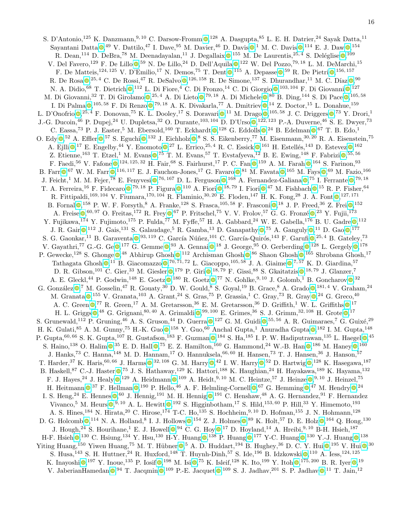S. D'Antonio[,](https://orcid.org/0000-0001-9602-0388)<sup>125</sup> K. Danzmann,<sup>9, 10</sup> C. Darsow-Fromm <sup>0</sup>,<sup>128</sup> A. Dasgupta,<sup>85</sup> L. E. H. Datrier,<sup>24</sup> Sayak Datta,<sup>11</sup> Sayantani Datta  $\bullet$ [,](https://orcid.org/0000-0002-3780-5430)<sup>49</sup> V. Dattilo,<sup>47</sup> I. Dave,<sup>95</sup> M. Davier,<sup>46</sup> D. Davis  $\bullet$ ,<sup>1</sup> M. C. Davis  $\bullet$ ,<sup>114</sup> E. J. Daw  $\bullet$ ,<sup>154</sup> R. Dean[,](https://orcid.org/0000-0002-8680-5170)<sup>114</sup> D. DeBra,<sup>78</sup> M. Deenadayalan,<sup>11</sup> J. Degallaix  $\mathbb{O}$ ,<sup>155</sup> M. De Laurentis,<sup>25,4</sup> S. Deléglise  $\mathbb{O}$ ,<sup>109</sup> V. Del Favero[,](https://orcid.org/0000-0001-5895-0664)<sup>129</sup> F. De Lillo <sup>59</sup> N. De Lillo,<sup>24</sup> D. Dell'Aquila <sup>0</sup>,<sup>122</sup> W. Del Pozzo,<sup>79,18</sup> L. M. DeMarchi,<sup>15</sup> F. De Matteis[,](https://orcid.org/0000-0003-1556-8304)<sup>124,125</sup> V. D'Emilio,<sup>17</sup> N. Demos,<sup>75</sup> T. Dent  $\bullet$ ,<sup>115</sup> A. Depasse  $\bullet$ ,<sup>59</sup> R. De Pietri  $\bullet$ ,<sup>156,157</sup> R. De Rosa  $\mathbb{Q}^{25,4}$  $\mathbb{Q}^{25,4}$  $\mathbb{Q}^{25,4}$  C. De Rossi,<sup>47</sup> R. DeSalvo  $\mathbb{Q}^{126,158}$  R. De Simone,<sup>137</sup> S. Dhurandhar,<sup>11</sup> M. C. Díaz  $\mathbb{Q}^{90}$ N. A. Didio[,](https://orcid.org/0000-0001-8568-9334)<sup>68</sup> T. Dietrich  $\bullet$ ,<sup>112</sup> L. Di Fiore,<sup>4</sup> C. Di Fronzo,<sup>14</sup> C. Di Giorgio  $\bullet$ ,<sup>103,104</sup> F. Di Giovanni  $\bullet$ ,<sup>127</sup> M. Di Giovanni[,](https://orcid.org/0000-0001-6759-5676)<sup>32</sup> T. Di Girolamo  $\mathbb{Q}$ ,<sup>25, 4</sup> A. Di Lieto  $\mathbb{Q}$ ,<sup>79, 18</sup> A. Di Michele  $\mathbb{Q}$ ,<sup>80</sup> B. Ding,<sup>144</sup> S. Di Pace  $\mathbb{Q}$ ,<sup>105, 58</sup> I. Di Palma  $\bullet$ [,](https://orcid.org/0000-0002-0314-956X) <sup>105, 58</sup> F. Di Renzo  $\bullet$ , <sup>79, 18</sup> A. K. Divakarla, <sup>77</sup> A. Dmitriev  $\bullet$ , <sup>14</sup> Z. Doctor, <sup>15</sup> L. Donahue, <sup>159</sup> L. D'Onofrio  $\mathbb{Q}$ [,](https://orcid.org/0000-0002-6134-7628)<sup>25,4</sup> F. Donovan,<sup>75</sup> K. L. Dooley,<sup>17</sup> S. Doravari  $\mathbb{Q}$ ,<sup>11</sup> M. Drago  $\mathbb{Q}$ ,<sup>105,58</sup> J. C. Driggers  $\mathbb{Q}$ ,<sup>73</sup> Y. Drori,<sup>1</sup> J.-G. Ducoin[,](https://orcid.org/0000-0002-8215-4542)<sup>46</sup> P. Dupej,<sup>24</sup> U. Dupletsa,<sup>32</sup> O. Durante,<sup>103, 104</sup> D. D'Urso ,<sup>122, 123</sup> P.-A. Duverne,<sup>46</sup> S. E. Dwyer,<sup>73</sup> C. Eassa[,](https://orcid.org/0000-0001-7648-1689)<sup>73</sup> P. J. Easter,<sup>5</sup> M. Ebersold,<sup>160</sup> T. Eckhardt  $\mathbb{O}$ ,<sup>128</sup> G. Eddolls  $\mathbb{O}$ ,<sup>24</sup> B. Edelman  $\mathbb{O}$ ,<sup>67</sup> T. B. Edo,<sup>1</sup> O. Edy  $\bullet$ [,](https://orcid.org/0000-0002-2643-163X) <sup>52</sup> A. Effler  $\bullet$ , <sup>57</sup> S. Eguchi  $\bullet$ , <sup>132</sup> J. Eichholz  $\bullet$ , <sup>8</sup> S. S. Eikenberry, <sup>77</sup> M. Eisenmann, <sup>30, 20</sup> R. A. Eisenstein, <sup>75</sup> A. Ejlli  $\bullet$ [,](https://orcid.org/0000-0002-3021-5964)<sup>17</sup> E. Engelby,<sup>44</sup> Y. Enomoto  $\bullet$ ,<sup>27</sup> L. Errico,<sup>25,4</sup> R. C. Essick  $\bullet$ ,<sup>161</sup> H. Estellés,<sup>143</sup> D. Estevez  $\bullet$ ,<sup>162</sup> Z. Etienne[,](https://orcid.org/0000-0002-3809-065X)<sup>163</sup> T. Etzel,<sup>1</sup> M. Evans  $\bullet$ ,<sup>75</sup> T. M. Evans,<sup>57</sup> T. Evstafyeva,<sup>12</sup> B. E. Ewing,<sup>148</sup> F. Fabrizi  $\bullet$ ,<sup>55,56</sup> F. Faedi[,](https://orcid.org/0000-0002-6121-0285) <sup>56</sup> V. Fafone  $\bigcirc$ , <sup>124, 125, <sup>32</sup> H. Fair, <sup>68</sup> S. Fairhurst, <sup>17</sup> P. C. Fan  $\bigcirc$ , <sup>159</sup> A. M. Farah  $\bigcirc$ , <sup>164</sup> S. Farinon, <sup>93</sup></sup> B. Farr  $\mathbb{O},^{67}$  $\mathbb{O},^{67}$  $\mathbb{O},^{67}$  W. M. Farr  $\mathbb{O},^{116, 117}$  E. J. Fauchon-Jones,<sup>17</sup> G. Favaro  $\mathbb{O},^{81}$  M. Favata  $\mathbb{O},^{165}$  M. Fays  $\mathbb{O},^{69}$  M. Fazio,<sup>166</sup> J. Feicht[,](https://orcid.org/0000-0002-0083-7228)<sup>1</sup> M. M. Fejer,<sup>78</sup> E. Fenyvesi  $\bullet$ ,<sup>76,167</sup> D. L. Ferguson  $\bullet$ ,<sup>168</sup> A. Fernandez-Galiana  $\bullet$ ,<sup>75</sup> I. Ferrante  $\bullet$ ,<sup>79,18</sup> T. A. Ferreira[,](https://orcid.org/0000-0002-1980-5293) <sup>16</sup> F. Fidecaro  $\bullet$ , <sup>79, 18</sup> P. Figura  $\bullet$ , <sup>110</sup> A. Fiori  $\bullet$ , <sup>18, 79</sup> I. Fiori  $\bullet$ , <sup>47</sup> M. Fishbach  $\bullet$ , <sup>15</sup> R. P. Fisher, <sup>64</sup> R. Fittipaldi[,](https://orcid.org/0000-0001-6650-2634)<sup>169, 104</sup> V. Fiumara,<sup>170, 104</sup> R. Flaminio,<sup>30, 20</sup> E. Floden,<sup>147</sup> H. K. Fong,<sup>28</sup> J. A. Font  $\odot$ ,<sup>127, 171</sup> B. Fornal  $\bullet$ [,](https://orcid.org/0000-0002-0181-8491)<sup>158</sup> P. W. F. Forsyth,<sup>8</sup> A. Franke,<sup>128</sup> S. Frasca,<sup>105,58</sup> F. Frasconi  $\bullet$ ,<sup>18</sup> J. P. Freed,<sup>36</sup> Z. Frei $\bullet$ ,<sup>152</sup> A. Freise  $\mathbb{D}$ [,](https://orcid.org/0000-0003-0966-4279)  $^{60,97}$  O. Freitas,  $^{172}$  R. Frey  $\mathbb{D}$ ,  $^{67}$  P. Fritschel,  $^{75}$  V. V. Frolov,  $^{57}$  G. G. Fronzé  $\mathbb{D}$ ,  $^{23}$  Y. Fujii,  $^{173}$ Y. Fujikawa[,](https://orcid.org/0000-0002-1534-9761)<sup>174</sup> Y. Fujimoto,<sup>175</sup> P. Fulda,<sup>77</sup> M. Fyffe,<sup>57</sup> H. A. Gabbard,<sup>24</sup> W. E. Gabella,<sup>176</sup> B. U. Gadre  $\bullet$ ,<sup>112</sup> J. R. Gair  $\bullet$ [,](https://orcid.org/0000-0002-1697-7153)<sup>112</sup> J. Gais,<sup>131</sup> S. Galaudage,<sup>5</sup> R. Gamba,<sup>13</sup> D. Ganapathy  $\bullet$ ,<sup>75</sup> A. Ganguly  $\bullet$ ,<sup>11</sup> D. Gao  $\bullet$ ,<sup>177</sup> S. G. Gaonkar[,](https://orcid.org/0000-0003-1391-6168) <sup>11</sup> B. Garaventa  $\bullet$ , <sup>93, 119</sup> C. García Núñez, <sup>101</sup> C. García-Quirós, <sup>143</sup> F. Garufi  $\bullet$ , <sup>25, 4</sup> B. Gateley, <sup>73</sup> V. Gayathri[,](https://orcid.org/0000-0003-3146-6201)<sup>77</sup> G.-G. Ge $\bigcirc$ ,<sup>177</sup> G. Gemme $\bigcirc$ ,<sup>93</sup> A. Gennai  $\bigcirc$ ,<sup>18</sup> J. George,<sup>95</sup> O. Gerberding  $\bigcirc$ ,<sup>128</sup> L. Gergely  $\bigcirc$ ,<sup>178</sup> P. Gewecke[,](https://orcid.org/0000-0001-9901-6253)<sup>128</sup> S. Ghonge  $\bullet$ ,<sup>48</sup> Abhirup Ghosh  $\bullet$ ,<sup>112</sup> Archisman Ghosh  $\bullet$ ,<sup>86</sup> Shaon Ghosh  $\bullet$ ,<sup>165</sup> Shrobana Ghosh,<sup>17</sup> Tathagata Ghosh  $\mathbb{O}^{11}$  B. Giacomazzo  $\mathbb{O}^{70,71,72}$  $\mathbb{O}^{70,71,72}$  $\mathbb{O}^{70,71,72}$  L. Giacoppo,  $^{105,58}$  J. A. Giaime  $\mathbb{O}^{7,57}$  K. D. Giardina,  $^{57}$ D. R. Gibson[,](https://orcid.org/0000-0001-9420-7499) <sup>101</sup> C. Gier, <sup>33</sup> M. Giesler  $\bullet$ , <sup>179</sup> P. Giri  $\bullet$ , <sup>18, 79</sup> F. Gissi, <sup>88</sup> S. Gkaitatzis  $\bullet$ , <sup>18, 79</sup> J. Glanzer, <sup>7</sup> A. E. Gleckl[,](https://orcid.org/0000-0003-3189-5807)<sup>44</sup> P. Godwin,<sup>148</sup> E. Goetz  $\bullet$ ,<sup>180</sup> R. Goetz  $\bullet$ ,<sup>77</sup> N. Gohlke,<sup>9,10</sup> J. Golomb,<sup>1</sup> B. Goncharov  $\bullet$ ,<sup>32</sup> G. González  $\bullet$ [,](https://orcid.org/0000-0002-0501-8256)<sup>7</sup> M. Gosselin,<sup>47</sup> R. Gouaty,<sup>30</sup> D. W. Gould,<sup>8</sup> S. Goyal,<sup>19</sup> B. Grace,<sup>8</sup> A. Grado  $\bullet$ ,<sup>181,4</sup> V. Graham,<sup>24</sup> M. Granata  $\mathbb{Q}$ [,](https://orcid.org/0000-0002-5556-9873)<sup>155</sup> V. Granata,<sup>103</sup> A. Grant,<sup>24</sup> S. Gras,<sup>75</sup> P. Grassia,<sup>1</sup> C. Gray,<sup>73</sup> R. Gray  $\mathbb{Q}$ ,<sup>24</sup> G. Greco,<sup>40</sup> A. C. Green  $\bullet$ [,](https://orcid.org/0000-0001-8366-0108)<sup>77</sup> R. Green,<sup>17</sup> A. M. Gretarsson,<sup>36</sup> E. M. Gretarsson,<sup>36</sup> D. Griffith,<sup>1</sup> W. L. Griffiths  $\bullet$ ,<sup>17</sup> H. L. Griggs  $\bullet$ [,](https://orcid.org/0000-0002-0797-3943)<sup>48</sup> G. Grignani,<sup>80,40</sup> A. Grimaldi  $\bullet$ ,<sup>99,100</sup> E. Grimes,<sup>36</sup> S. J. Grimm,<sup>32,108</sup> H. Grote  $\bullet$ ,<sup>17</sup> S. Grunewald[,](https://orcid.org/0000-0002-3061-9870)<sup>112</sup> P. Gruning,<sup>46</sup> A. S. Gruson,<sup>44</sup> D. Guerra  $\mathbb{O}$ ,<sup>127</sup> G. M. Guidi  $\mathbb{O}$ ,<sup>55,56</sup> A. R. Guimaraes,<sup>7</sup> G. Guixé,<sup>29</sup> H. K. Gulati[,](https://orcid.org/0000-0002-5441-9013)<sup>85</sup> A. M. Gunny,<sup>75</sup> H.-K. Guo 0,<sup>158</sup> Y. Guo,<sup>60</sup> Anchal Gupta,<sup>1</sup> Anuradha Gupta 0,<sup>182</sup> I. M. Gupta,<sup>148</sup> P. Gupta[,](https://orcid.org/0000-0002-3680-5519)  $^{60,66}$  S. K. Gupta,  $^{107}$  R. Gustafson,  $^{183}$  F. Guzman  $\odot$ ,  $^{184}$  S. Ha,  $^{185}$  I. P. W. Hadiputrawan,  $^{135}$  L. Haegel  $\odot$ ,  $^{45}$ S. Haino[,](https://orcid.org/0000-0001-7554-3665)<sup>138</sup> O. Halim  $\bullet$ ,<sup>35</sup> E. D. Hall  $\bullet$ ,<sup>75</sup> E. Z. Hamilton,<sup>160</sup> G. Hammond,<sup>24</sup> W.-B. Han  $\bullet$ ,<sup>186</sup> M. Haney  $\bullet$ ,<sup>160</sup> J. Hanks,<sup>73</sup> C. Hanna,<sup>148</sup> M. D. Hannam,<sup>17</sup> O. Hannuksela,<sup>66, 60</sup> H. Hansen,<sup>73</sup> T. J. Hansen,<sup>36</sup> J. Hanson,<sup>57</sup> T. Harder[,](https://orcid.org/0000-0002-9742-0794)<sup>37</sup> K. Haris,<sup>60,66</sup> J. Harms  $\bullet$ ,<sup>32,108</sup> G. M. Harry  $\bullet$ ,<sup>42</sup> I. W. Harry  $\bullet$ ,<sup>52</sup> D. Hartwig  $\bullet$ ,<sup>128</sup> K. Hasegawa,<sup>187</sup> B. Haskell[,](https://orcid.org/0000-0001-8040-9807) <sup>87</sup> C.-J. Haster  $\bullet$ , <sup>75</sup> J. S. Hathaway, <sup>129</sup> K. Hattori, <sup>188</sup> K. Haughian, <sup>24</sup> H. Hayakawa, <sup>189</sup> K. Hayama, <sup>132</sup> F. J. Hayes[,](https://orcid.org/0000-0001-8692-2724)<sup>24</sup> J. Healy  $\bullet$ ,<sup>129</sup> A. Heidmann  $\bullet$ ,<sup>109</sup> A. Heidt,<sup>9,10</sup> M. C. Heintze,<sup>57</sup> J. Heinze  $\bullet$ ,<sup>9,10</sup> J. Heinzel,<sup>75</sup> H. Heitmann  $\bullet$ [,](https://orcid.org/0000-0001-8322-5405)<sup>37</sup> F. Hellman  $\bullet$ ,<sup>190</sup> P. Hello,<sup>46</sup> A. F. Helmling-Cornell  $\bullet$ ,<sup>67</sup> G. Hemming  $\bullet$ ,<sup>47</sup> M. Hendry  $\bullet$ ,<sup>24</sup> I. S. Heng[,](https://orcid.org/0000-0003-1531-8460)<sup>24</sup> E. Hennes  $\bullet$ ,<sup>60</sup> J. Hennig,<sup>191</sup> M. H. Hennig  $\bullet$ ,<sup>191</sup> C. Henshaw,<sup>48</sup> A. G. Hernandez,<sup>91</sup> F. Hernandez Vivanco[,](https://orcid.org/0000-0002-1255-3492)<sup>5</sup> M. Heurs  $\mathbb{Q}^{9,10}$  A. L. Hewitt  $\mathbb{Q}^{192}$  S. Higginbotham,<sup>17</sup> S. Hild,<sup>153,60</sup> P. Hill,<sup>33</sup> Y. Himemoto,<sup>193</sup> A. S. Hines,<sup>184</sup> N. Hirata,<sup>20</sup> C. Hirose,<sup>174</sup> T-C. Ho,<sup>135</sup> S. Hochheim,<sup>9, 10</sup> D. Hofman,<sup>155</sup> J. N. Hohmann,<sup>128</sup> D. G. Holcomb  $\mathbb{Q}$ [,](https://orcid.org/0000-0002-0175-5064) 114 N. A. Holland, <sup>8</sup> I. J. Hollows  $\mathbb{Q}$ , <sup>154</sup> Z. J. Holmes  $\mathbb{Q}$ ,  $^{89}$  K. Holt, <sup>57</sup> D. E. Holz  $\mathbb{Q}$ , <sup>164</sup> Q. Hong, <sup>130</sup> J. Hough[,](https://orcid.org/0000-0002-8843-6719)<sup>24</sup> S. Hourihane,<sup>1</sup> E. J. Howell  $\mathbb{Q}$ ,<sup>94</sup> C. G. Hoy  $\mathbb{Q}$ ,<sup>17</sup> D. Hoyland,<sup>14</sup> A. Hreibi,<sup>9,10</sup> B-H. Hsieh,<sup>187</sup> H-F. Hsieh  $\bigcirc$ [,](https://orcid.org/0000-0002-2952-8429) <sup>130</sup> C. Hsiung, <sup>134</sup> Y. Hsu, <sup>130</sup> H-Y. Huang  $\bigcirc$ , <sup>138</sup> P. Huang  $\bigcirc$ , <sup>177</sup> Y-C. Huang  $\bigcirc$ , <sup>130</sup> Y.-J. Huang  $\bigcirc$ , <sup>138</sup> Yiting Huang[,](https://orcid.org/0000-0002-0233-2346)<sup>150</sup> Yiwen Huang,<sup>75</sup> M. T. Hübner  $\bullet$ ,<sup>5</sup> A. D. Huddart,<sup>194</sup> B. Hughey,<sup>36</sup> D. C. Y. Hui  $\bullet$ ,<sup>195</sup> V. Hui  $\bullet$ ,<sup>30</sup> S. Husa[,](https://orcid.org/0000-0001-5869-2714)<sup>143</sup> S. H. Huttner,<sup>24</sup> R. Huxford,<sup>148</sup> T. Huynh-Dinh,<sup>57</sup> S. Ide,<sup>196</sup> B. Idzkowski  $\bullet$ ,<sup>110</sup> A. Iess,<sup>124,125</sup> K. Inayoshi  $\mathbb{O}$ [,](https://orcid.org/0000-0002-4141-5179)  $^{197}$  Y. Inoue,  $^{135}$  P. Iosif  $\mathbb{O}$ ,  $^{198}$  M. Isi  $\mathbb{O}$ ,  $^{75}$  K. Isleif,  $^{128}$  K. Ito,  $^{199}$  Y. Itoh  $\mathbb{O}$ ,  $^{175,200}$  B. R. Iyer  $\mathbb{O}$ ,  $^{19}$ 

V. JaberianHamedan  $\bullet$ [,](https://orcid.org/0000-0003-0554-0084) <sup>94</sup> T. Jacqmin  $\bullet$ , <sup>109</sup> P.-E. Jacquet  $\bullet$ , <sup>109</sup> S. J. Jadhav, <sup>201</sup> S. P. Jadhav  $\bullet$ , <sup>11</sup> T. Jain, <sup>12</sup>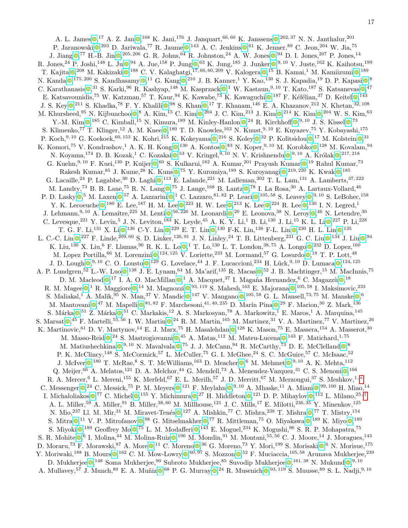A. L. James  $\bigcirc^{17}$  A. Z. Jan  $\bigcirc^{168}$  K. Jani[,](https://orcid.org/0000-0001-8760-4429)<sup>176</sup> J. Janquart,<sup>66,60</sup> K. Janssens  $\bigcirc^{202,37}$  N. N. Janthalur,<sup>201</sup> P. Jaranowski  $\mathbb{Q}^{203}$  D. Jariwala[,](https://orcid.org/0000-0003-1785-5841)<sup>77</sup> R. Jaume  $\mathbb{Q}^{143}$  A. C. Jenkins  $\mathbb{Q}^{61}$  K. Jenner,  $^{89}$  C. Jeon,  $^{204}$  W. Jia,  $^{75}$ J. Jiang  $\mathbb{Q}$ [,](https://orcid.org/0000-0002-0395-0680)<sup>77</sup> H.-B. Jin  $\mathbb{Q}$ ,<sup>205, 206</sup> G. R. Johns, <sup>64</sup> R. Johnston, <sup>24</sup> A. W. Jones  $\mathbb{Q}$ , <sup>94</sup> D. I. Jones, <sup>207</sup> P. Jones, <sup>14</sup> R. Jones[,](https://orcid.org/0000-0002-3051-4374)<sup>24</sup> P. Joshi,<sup>148</sup> L. Ju $\bullet$ ,<sup>94</sup> A. Jue,<sup>158</sup> P. Jung  $\bullet$ ,<sup>63</sup> K. Jung,<sup>185</sup> J. Junker  $\bullet$ ,<sup>9,10</sup> V. Juste,<sup>162</sup> K. Kaihotsu,<sup>199</sup> T. Kajita  $\mathbf{Q}^{208}$  M. Kakizaki  $\mathbf{Q}^{188}$  C. V. Kalaghatgi[,](https://orcid.org/0000-0001-7216-1784) $^{17,66,60,209}$  V. Kalogera  $\mathbf{Q}^{15}$  B. Kamai, $^1$  M. Kamiizumi  $\mathbf{Q}^{189}$ N. Kanda 0[,](https://orcid.org/0000-0001-8189-4920)<sup>175, 200</sup> S. Kandhasamy 0,<sup>11</sup> G. Kang 0,<sup>210</sup> J. B. Kanner,<sup>1</sup> Y. Kao,<sup>130</sup> S. J. Kapadia,<sup>19</sup> D. P. Kapasi 0,<sup>8</sup> C. Karathanasis  $\bullet$ [,](https://orcid.org/0000-0003-0324-0758)<sup>31</sup> S. Karki,<sup>96</sup> R. Kashyap,<sup>148</sup> M. Kasprzack  $\bullet$ ,<sup>1</sup> W. Kastaun,<sup>9,10</sup> T. Kato,<sup>187</sup> S. Katsanevas  $\bullet$ ,<sup>47</sup> E. Katsavounidis[,](https://orcid.org/0000-0002-2824-626X)<sup>75</sup> W. Katzman,<sup>57</sup> T. Kaur,<sup>94</sup> K. Kawabe,<sup>73</sup> K. Kawaguchi <sup>0,187</sup> F. Kéfélian,<sup>37</sup> D. Keitel <sup>0,143</sup> J. S. Key  $\bigcirc^{211}$  S. Khadka[,](https://orcid.org/0000-0003-4953-5754)<sup>78</sup> F. Y. Khalili  $\bigcirc^{98}$  S. Khan  $\bigcirc^{17}$  T. Khanam,<sup>146</sup> E. A. Khazanov,<sup>212</sup> N. Khetan,<sup>32, 108</sup> M. Khursheed[,](https://orcid.org/0000-0003-1653-3795) <sup>95</sup> N. Kijbunchoo  $\bullet$ , <sup>8</sup> A. Kim, <sup>15</sup> C. Kim  $\bullet$ , <sup>204</sup> J. C. Kim, <sup>213</sup> J. Kim  $\bullet$ , <sup>214</sup> K. Kim  $\bullet$ , <sup>204</sup> W. S. Kim, <sup>63</sup> Y.-M. Kim  $\odot$ [,](https://orcid.org/0000-0002-1702-9577) <sup>185</sup> C. Kimball, <sup>15</sup> N. Kimura, <sup>189</sup> M. Kinley-Hanlon  $\odot$ , <sup>24</sup> R. Kirchhoff  $\odot$ , <sup>9, 10</sup> J. S. Kissel  $\odot$ , <sup>73</sup> S. Klimenko[,](https://orcid.org/0000-0003-0703-947X)<sup>77</sup> T. Klinger,<sup>12</sup> A. M. Knee  $\bullet$ ,<sup>180</sup> T. D. Knowles,<sup>163</sup> N. Knust,<sup>9,10</sup> E. Knyazev,<sup>75</sup> Y. Kobayashi,<sup>175</sup> P. Koch[,](https://orcid.org/0000-0002-5482-6743)<sup>9, 10</sup> G. Koekoek,<sup>60, 153</sup> K. Kohri,<sup>215</sup> K. Kokeyama  $\bullet$ ,<sup>216</sup> S. Koley  $\bullet$ ,<sup>32</sup> P. Kolitsidou  $\bullet$ ,<sup>17</sup> M. Kolstein  $\bullet$ ,<sup>31</sup> K. Komori[,](https://orcid.org/0000-0002-3839-3909)<sup>75</sup> V. Kondrashov,<sup>1</sup> A. K. H. Kong 0,<sup>130</sup> A. Kontos 0,<sup>83</sup> N. Koper,<sup>9,10</sup> M. Korobko 0,<sup>128</sup> M. Kovalam,<sup>94</sup> N. Koyama[,](https://orcid.org/0000-0003-4514-7690)<sup>174</sup> D. B. Kozak,<sup>1</sup> C. Kozakai 0,<sup>53</sup> V. Kringel,<sup>9,10</sup> N. V. Krishnendu 0,<sup>9,10</sup> A. Królak 0,<sup>217,218</sup> G. Kuehn[,](https://orcid.org/0000-0001-5523-4603)  $^{9,10}$  F. Kuei,  $^{130}$  P. Kuijer  $\bullet$ ,  $^{60}$  S. Kulkarni,  $^{182}$  A. Kumar,  $^{201}$  Prayush Kumar  $\bullet$ ,  $^{19}$  Rahul Kumar,  $^{73}$ Rakesh Kumar[,](https://orcid.org/0000-0002-2304-7798)  $85$  J. Kume,  $28$  K. Kuns  $\mathbb{Q}$ ,  $75$  Y. Kuromiya,  $^{199}$  S. Kuroyanagi  $\mathbb{Q}$ ,  $^{219, 220}$  K. Kwak  $\mathbb{Q}$ ,  $^{185}$ G. Lacaille[,](https://orcid.org/0000-0001-7462-3794) <sup>24</sup> P. Lagabbe, <sup>30</sup> D. Laghi  $\bullet$ , <sup>113</sup> E. Lalande, <sup>221</sup> M. Lalleman, <sup>202</sup> T. L. Lam, <sup>131</sup> A. Lamberts, <sup>37, 222</sup> M. Landry[,](https://orcid.org/0000-0002-7404-4845)<sup>73</sup> B. B. Lane,<sup>75</sup> R. N. Lang  $\bullet$ ,<sup>75</sup> J. Lange,<sup>168</sup> B. Lantz  $\bullet$ ,<sup>78</sup> I. La Rosa,<sup>30</sup> A. Lartaux-Vollard,<sup>46</sup> P. D. Lasky  $\bullet$ [,](https://orcid.org/0000-0001-8253-0272)<sup>5</sup> M. Laxen  $\bullet$ ,<sup>57</sup> A. Lazzarini  $\bullet$ ,<sup>1</sup> C. Lazzaro,<sup>81,82</sup> P. Leaci  $\bullet$ ,<sup>105,58</sup> S. Leavey  $\bullet$ ,<sup>9,10</sup> S. LeBohec,<sup>158</sup> Y. K. Lecoeuche  $\bullet$ [,](https://orcid.org/0000-0002-7171-7274) <sup>180</sup> E. Lee, <sup>187</sup> H. M. Lee  $\bullet$ , <sup>223</sup> H. W. Lee  $\bullet$ , <sup>213</sup> K. Lee  $\bullet$ , <sup>224</sup> R. Lee  $\bullet$ , <sup>130</sup> I. N. Legred, <sup>1</sup> J. Lehmann[,](https://orcid.org/0000-0002-2321-1017)<sup>9, 10</sup> A. Lemaître,<sup>225</sup> M. Lenti  $\bullet$ ,<sup>56, 226</sup> M. Leonardi  $\bullet$ ,<sup>20</sup> E. Leonova,<sup>38</sup> N. Leroy  $\bullet$ ,<sup>46</sup> N. Letendre,<sup>30</sup> C. Levesque[,](https://orcid.org/0000-0001-8229-2024)<sup>221</sup> Y. Levin,<sup>5</sup> J. N. Leviton,<sup>183</sup> K. Leyde,<sup>45</sup> A. K. Y. Li,<sup>1</sup> B. Li,<sup>130</sup> J. Li,<sup>15</sup> K. L. Li $\bullet$ ,<sup>227</sup> P. Li,<sup>228</sup> T. G. F. Li[,](https://orcid.org/0000-0002-3528-5726)<sup>131</sup> X. Li $\bullet$ ,<sup>136</sup> C-Y. Lin $\bullet$ ,<sup>229</sup> E. T. Lin $\bullet$ ,<sup>130</sup> F-K. Lin,<sup>138</sup> F-L. Lin $\bullet$ ,<sup>230</sup> H. L. Lin $\bullet$ ,<sup>135</sup> L. C.-C. Lin  $\mathbb{Q}$ [,](https://orcid.org/0000-0001-6726-3268)<sup>227</sup> F. Linde,<sup>209,60</sup> S. D. Linker,<sup>126,91</sup> J. N. Linley,<sup>24</sup> T. B. Littenberg,<sup>231</sup> G. C. Liu  $\mathbb{Q}$ ,<sup>134</sup> J. Liu  $\mathbb{Q}$ ,<sup>94</sup> K. Liu[,](https://orcid.org/0000-0003-4254-8579)<sup>130</sup> X. Liu,<sup>6</sup> F. Llamas, <sup>90</sup> R. K. L. Lo  $\bullet$ , <sup>1</sup> T. Lo, <sup>130</sup> L. T. London, <sup>38, 75</sup> A. Longo  $\bullet$ , <sup>232</sup> D. Lopez, <sup>160</sup> M. Lopez Portilla[,](https://orcid.org/0000-0003-0452-746X) <sup>66</sup> M. Lorenzini  $\mathbb{O}$ , <sup>124, 125</sup> V. Loriette, <sup>233</sup> M. Lormand, <sup>57</sup> G. Losurdo  $\mathbb{O}$ , <sup>18</sup> T. P. Lott, <sup>48</sup> J. D. Lough  $\mathbb{Q}, ^{9,10}$  $\mathbb{Q}, ^{9,10}$  $\mathbb{Q}, ^{9,10}$  C. O. Lousto  $\mathbb{Q}, ^{129}$  G. Lovelace,  $^{44}$  J. F. Lucaccioni,  $^{234}$  H. Lück,  $^{9,10}$  D. Lumaca  $\mathbb{Q}, ^{124,125}$ A. P. Lundgren[,](https://orcid.org/0000-0002-6096-8297)<sup>52</sup> L.-W. Luo  $\bullet$ ,<sup>138</sup> J. E. Lynam,<sup>64</sup> M. Ma'arif,<sup>135</sup> R. Macas  $\bullet$ ,<sup>52</sup> J. B. Machtinger,<sup>15</sup> M. MacInnis,<sup>75</sup> D. M. Macleod  $\mathbb{O}$ [,](https://orcid.org/0000-0002-9913-381X)<sup>17</sup> I. A. O. MacMillan  $\mathbb{O}$ ,<sup>1</sup> A. Macquet,<sup>37</sup> I. Magaña Hernandez,<sup>6</sup> C. Magazzù  $\mathbb{O}$ ,<sup>18</sup> R. M. Magee  $\bigcirc$ [,](https://orcid.org/0000-0002-2383-3692) <sup>1</sup> R. Maggiore  $\bigcirc$ , <sup>14</sup> M. Magnozzi  $\bigcirc$ , <sup>93, 119</sup> S. Mahesh, <sup>163</sup> E. Majorana  $\bigcirc$ , <sup>105, 58</sup> I. Maksimovic, <sup>233</sup> S. Maliakal[,](https://orcid.org/0000-0002-7778-1189)<sup>1</sup> A. Malik,<sup>95</sup> N. Man,<sup>37</sup> V. Mandic  $\bullet$ ,<sup>147</sup> V. Mangano  $\bullet$ ,<sup>105,58</sup> G. L. Mansell,<sup>73,75</sup> M. Manske  $\bullet$ ,<sup>6</sup> M. Mantovani  $\mathbb{Q}^{47}$  M. Mapelli  $\mathbb{Q}^{81,82}$  $\mathbb{Q}^{81,82}$  $\mathbb{Q}^{81,82}$  F. Marchesoni, $^{41,40,235}$  D. Marín Pina  $\mathbb{Q}^{29}$  F. Marion, $^{30}$  Z. Mark, $^{136}$ S. Márka  $\bullet$ [,](https://orcid.org/0000-0003-1306-5260)<sup>51</sup> Z. Márka  $\bullet$ ,<sup>51</sup> C. Markakis,<sup>12</sup> A. S. Markosyan,<sup>78</sup> A. Markowitz,<sup>1</sup> E. Maros,<sup>1</sup> A. Marquina,<sup>145</sup> S. Marsat  $\bullet$ [,](https://orcid.org/0000-0001-7300-9151)<sup>45</sup> F. Martelli,<sup>55, 56</sup> I. W. Martin  $\bullet$ ,<sup>24</sup> R. M. Martin,<sup>165</sup> M. Martinez,<sup>31</sup> V. A. Martinez,<sup>77</sup> V. Martinez,<sup>26</sup> K. Martinovic[,](https://orcid.org/0000-0002-4589-0815) <sup>61</sup> D. V. Martynov, <sup>14</sup> E. J. Marx, <sup>75</sup> H. Masalehdan  $\bullet$ , <sup>128</sup> K. Mason, <sup>75</sup> E. Massera, <sup>154</sup> A. Masserot, <sup>30</sup> M. Masso-Reid  $\mathbb{Q}^{24}$  S. Mastrogiovanni  $\mathbb{Q}^{45}$  A. Matas[,](https://orcid.org/0000-0003-4817-6913)  $^{112}$  M. Mateu-Lucena  $\mathbb{Q}^{143}$  F. Matichard,  $^{1,75}$ M. Matiushechkina  $\bullet$ [,](https://orcid.org/0000-0001-6210-5842) <sup>9, 10</sup> N. Mavalvala  $\bullet$ , <sup>75</sup> J. J. McCann, <sup>94</sup> R. McCarthy, <sup>73</sup> D. E. McClelland  $\bullet$ ,<sup>8</sup> P. K. McClincy,<sup>148</sup> S. McCormick,<sup>57</sup> L. McCuller,<sup>75</sup> G. I. McGhee,<sup>24</sup> S. C. McGuire,<sup>57</sup> C. McIsaac,<sup>52</sup> J. McIver  $\bullet$ [,](https://orcid.org/0000-0001-9432-7108)<sup>180</sup> T. McRae,<sup>8</sup> S. T. McWilliams,<sup>163</sup> D. Meacher  $\bullet$ ,<sup>6</sup> M. Mehmet  $\bullet$ ,<sup>9,10</sup> A. K. Mehta,<sup>112</sup> Q. Meijer[,](https://orcid.org/0000-0001-9185-2572) <sup>66</sup> A. Melatos, <sup>121</sup> D. A. Melchor, <sup>44</sup> G. Mendell, <sup>73</sup> A. Menendez-Vazquez, <sup>31</sup> C. S. Menoni <sup>0</sup>, <sup>166</sup> R. A. Mercer,<sup>6</sup> L. Mereni,<sup>155</sup> K. Merfeld,<sup>67</sup> E. L. Merilh,<sup>57</sup> J. D. Merritt,<sup>67</sup> M. Merzougui,<sup>37</sup> S. Meshkov,<sup>1,\*</sup> C. Messenger  $\mathbb{D}$ [,](https://orcid.org/0000-0001-7737-3129)<sup>24</sup> C. Messick,<sup>75</sup> P. M. Meyers  $\mathbb{D}$ ,<sup>121</sup> F. Meylahn  $\mathbb{D}$ ,<sup>9,10</sup> A. Mhaske,<sup>11</sup> A. Miani  $\mathbb{D}$ ,<sup>99,100</sup> H. Miao,<sup>14</sup> I. Michaloliakos  $\bullet$ [,](https://orcid.org/0000-0002-8820-407X)<sup>77</sup> C. Michel  $\bullet$ ,<sup>155</sup> Y. Michimura  $\bullet$ ,<sup>27</sup> H. Middleton  $\bullet$ ,<sup>121</sup> D. P. Mihaylov  $\bullet$ ,<sup>112</sup> L. Milano,<sup>25,[†](#page-24-0)</sup> A. L. Miller,<sup>59</sup> A. Miller,<sup>91</sup> B. Miller,<sup>38, 60</sup> M. Millhouse,<sup>121</sup> J. C. Mills,<sup>17</sup> E. Milotti,<sup>236, 35</sup> Y. Minenkov,<sup>125</sup> N. Mio[,](https://orcid.org/0000-0002-7881-1677)<sup>237</sup> Ll. M. Mir,<sup>31</sup> M. Miravet-Tenés 0,<sup>127</sup> A. Mishkin,<sup>77</sup> C. Mishra,<sup>238</sup> T. Mishra 0,<sup>77</sup> T. Mistry,<sup>154</sup> S. Mitra  $\bigcirc^{11}$  V. P. Mitrofanov  $\bigcirc^{98}$  G. Mitselmakher  $\bigcirc^{77}$  R. Mittleman[,](https://orcid.org/0000-0001-6976-1252)<sup>75</sup> O. Miyakawa  $\bigcirc^{189}$  K. Miyo  $\bigcirc^{189}$ S. Miyoki  $\bullet$ [,](https://orcid.org/0000-0002-3422-6986)<sup>189</sup> Geoffrey Mo  $\bullet$ ,<sup>75</sup> L. M. Modafferi  $\bullet$ ,<sup>143</sup> E. Moguel,<sup>234</sup> K. Mogushi,<sup>96</sup> S. R. P. Mohapatra,<sup>75</sup> S. R. Mohite  $\mathbb{O},^6$  $\mathbb{O},^6$  $\mathbb{O},^6$  I. Molina,  $^{44}$  M. Molina-Ruiz  $\mathbb{O},^{190}$  M. Mondin,  $^{91}$  M. Montani,  $^{55,56}$  C. J. Moore,  $^{14}$  J. Moragues,  $^{143}$ D. Moraru[,](https://orcid.org/0000-0002-8445-6747)<sup>73</sup> F. Morawski,<sup>87</sup> A. More  $\bullet$ ,<sup>11</sup> C. Moreno  $\bullet$ ,<sup>36</sup> G. Moreno,<sup>73</sup> Y. Mori,<sup>199</sup> S. Morisaki  $\bullet$ ,<sup>6</sup> N. Morisue,<sup>175</sup> Y. Moriwaki[,](https://orcid.org/0000-0002-8855-2509)<sup>188</sup> B. Mours  $\bullet$ ,<sup>162</sup> C. M. Mow-Lowry  $\bullet$ ,<sup>60, 97</sup> S. Mozzon  $\bullet$ ,<sup>52</sup> F. Muciaccia,<sup>105, 58</sup> Arunava Mukherjee,<sup>239</sup> D. Mukherjee  $\bullet$ [,](https://orcid.org/0000-0002-8666-9156) <sup>148</sup> Soma Mukherjee, <sup>90</sup> Subroto Mukherjee, <sup>85</sup> Suvodip Mukherjee  $\bullet$ , <sup>161, 38</sup> N. Mukund  $\bullet$ , <sup>9, 10</sup>

A. Mullavey[,](https://orcid.org/0000-0002-2168-5462)<sup>57</sup> J. Munch,<sup>89</sup> E. A. Muñiz 0,<sup>68</sup> P. G. Murray 0,<sup>24</sup> R. Musenich 0,<sup>93, 119</sup> S. Muusse,<sup>89</sup> S. L. Nadji,<sup>9, 10</sup>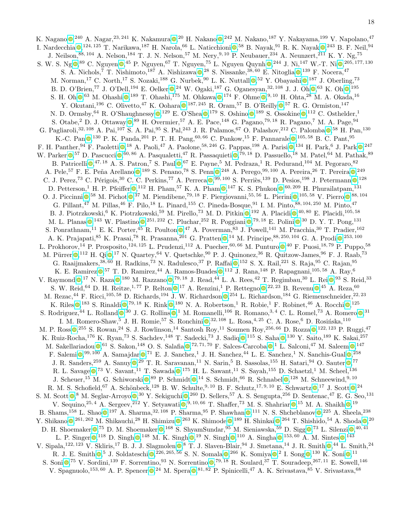K. Nagano **0**[,](https://orcid.org/0000-0001-7665-0796)<sup>240</sup> A. Nagar,<sup>23, 241</sup> K. Nakamura 0,<sup>20</sup> H. Nakano 0,<sup>242</sup> M. Nakano,<sup>187</sup> Y. Nakayama,<sup>199</sup> V. Napolano,<sup>47</sup> I. Nardecchia  $\bullet$ [,](https://orcid.org/0000-0002-6814-7792)  $^{124, 125}$  T. Narikawa,  $^{187}$  H. Narola,  $^{66}$  L. Naticchioni  $\bullet$ ,  $^{58}$  B. Nayak,  $^{91}$  R. K. Nayak  $\bullet$ ,  $^{243}$  B. F. Neil,  $^{94}$ J. Neilson, <sup>88, 104</sup> A. Nelson, <sup>184</sup> T. J. N. Nelson, <sup>57</sup> M. Nery, <sup>9, 10</sup> P. Neubauer, <sup>234</sup> A. Neunzert, <sup>211</sup> K. Y. Ng, <sup>75</sup> S. W. S. Ng $\otimes$ [,](https://orcid.org/0000-0001-6792-4708)  $^{89}$  C. Nguyen  $\otimes$ ,  $^{45}$  P. Nguyen,  $^{67}$  T. Nguyen,  $^{75}$  L. Nguyen Quynh  $\otimes$ ,  $^{244}$  J. Ni,  $^{147}$  W.-T. Ni $\otimes$ ,  $^{205,177,130}$ S. A. Nichols[,](https://orcid.org/0000-0001-8906-9159)<sup>7</sup> T. Nishimoto,<sup>187</sup> A. Nishizawa  $\mathbb{Q}^{28}$  S. Nissanke,<sup>38,60</sup> E. Nitoglia  $\mathbb{Q}^{139}$  F. Nocera,<sup>47</sup> M. Norman[,](https://orcid.org/0000-0001-8791-2608)<sup>17</sup> C. North,<sup>17</sup> S. Nozaki,<sup>188</sup> G. Nurbek,<sup>90</sup> L. K. Nuttall  $\bullet$ ,<sup>52</sup> Y. Obayashi  $\bullet$ ,<sup>187</sup> J. Oberling,<sup>73</sup> B. D. O'Brien[,](https://orcid.org/0000-0002-9672-3742)<sup>77</sup> J. O'Dell,<sup>194</sup> E. Oelker  $\mathbb{Q}$ ,<sup>24</sup> W. Ogaki,<sup>187</sup> G. Oganesyan,<sup>32,108</sup> J. J. Oh  $\mathbb{Q}$ ,<sup>63</sup> K. Oh  $\mathbb{Q}$ ,<sup>195</sup> S. H. Oh  $\mathbb{O}$ [,](https://orcid.org/0000-0003-0493-5607)  $^{63}$  M. Ohashi  $\mathbb{O}$ ,  $^{189}$  T. Ohashi,  $^{175}$  M. Ohkawa  $\mathbb{O}$ ,  $^{174}$  F. Ohme  $\mathbb{O}$ ,  $^{9,10}$  H. Ohta,  $^{28}$  M. A. Okada,  $^{16}$ Y. Okutani[,](https://orcid.org/0000-0002-3874-8335)<sup>196</sup> C. Olivetto,<sup>47</sup> K. Oohara  $\bullet$ ,<sup>187,245</sup> R. Oram,<sup>57</sup> B. O'Reilly  $\bullet$ ,<sup>57</sup> R. G. Ormiston,<sup>147</sup> N. D. Ormsby[,](https://orcid.org/0000-0002-2579-1246) <sup>64</sup> R. O'Shaughnessy  $\bullet$ , <sup>129</sup> E. O'Shea  $\bullet$ , <sup>179</sup> S. Oshino  $\bullet$ , <sup>189</sup> S. Ossokine  $\bullet$ , <sup>112</sup> C. Osthelder, <sup>1</sup> S. Otabe[,](https://orcid.org/0000-0001-6794-1591) <sup>2</sup> D. J. Ottaway  $\bullet$ , <sup>89</sup> H. Overmier, <sup>57</sup> A. E. Pace, <sup>148</sup> G. Pagano, <sup>79, 18</sup> R. Pagano, <sup>7</sup> M. A. Page, <sup>94</sup> G. Pagliaroli[,](https://orcid.org/0000-0002-4450-9883)<sup>32, 108</sup> A. Pai,<sup>107</sup> S. A. Pai,<sup>95</sup> S. Pal,<sup>243</sup> J. R. Palamos,<sup>67</sup> O. Palashov,<sup>212</sup> C. Palomba  $\bullet$ ,<sup>58</sup> H. Pan,<sup>130</sup> K.-C. Pan  $\mathbb{O}$ [,](https://orcid.org/0000-0002-7537-3210)  $^{130}$  P. K. Panda,  $^{201}$  P. T. H. Pang,  $^{60, 66}$  C. Pankow,  $^{15}$  F. Pannarale  $\mathbb{O}$ ,  $^{105, 58}$  B. C. Pant,  $^{95}$ F. H. Panther[,](https://orcid.org/0000-0002-7510-0079) <sup>94</sup> F. Paoletti  $\Phi$ , <sup>18</sup> A. Paoli, <sup>47</sup> A. Paolone, <sup>58, 246</sup> G. Pappas, <sup>198</sup> A. Parisi  $\Phi$ , <sup>134</sup> H. Park, <sup>6</sup> J. Park  $\Phi$ , <sup>247</sup> W. Parker  $\bullet$ [,](https://orcid.org/0000-0003-4753-9428) 57 D. Pascucci  $\bullet$ , 60, 86 A. Pasqualetti, 47 R. Passaquieti  $\bullet$ , 79, 18 D. Passuello, 18 M. Patel, 64 M. Pathak, 89 B. Patricelli  $\mathbb{O}$ [,](https://orcid.org/0000-0002-4449-1732)<sup>47, 18</sup> A. S. Patron,<sup>7</sup> S. Paul  $\mathbb{O}$ ,<sup>67</sup> E. Payne,<sup>5</sup> M. Pedraza,<sup>1</sup> R. Pedurand,<sup>104</sup> M. Pegoraro,<sup>82</sup> A. Pele[,](https://orcid.org/0000-0003-1856-6881)<sup>57</sup> F. E. Peña Arellano <sup>0</sup>,<sup>189</sup> S. Penano,<sup>78</sup> S. Penn <sup>0</sup>,<sup>248</sup> A. Perego,<sup>99,100</sup> A. Pereira,<sup>26</sup> T. Pereira <sup>0</sup>,<sup>249</sup> C. J. Perez[,](https://orcid.org/0000-0002-8949-3803)<sup>73</sup> C. Périgois,<sup>30</sup> C. C. Perkins,<sup>77</sup> A. Perreca  $\bullet$ ,<sup>99,100</sup> S. Perriès,<sup>139</sup> D. Pesios,<sup>198</sup> J. Petermann  $\bullet$ ,<sup>128</sup> D. Petterson[,](https://orcid.org/0000-0003-1561-0760)<sup>1</sup> H. P. Pfeiffer  $\bullet$ ,<sup>112</sup> H. Pham,<sup>57</sup> K. A. Pham  $\bullet$ ,<sup>147</sup> K. S. Phukon  $\bullet$ ,<sup>60,209</sup> H. Phurailatpam,<sup>131</sup> O. J. Piccinni  $\bullet$ [,](https://orcid.org/0000-0002-6020-5521)<sup>58</sup> M. Pichot  $\bullet$ ,<sup>37</sup> M. Piendibene,<sup>79,18</sup> F. Piergiovanni,<sup>55,56</sup> L. Pierini  $\bullet$ ,<sup>105,58</sup> V. Pierro  $\bullet$ ,<sup>88,104</sup> G. Pillant,<sup>47</sup> M. Pillas,<sup>46</sup> F. Pilo,<sup>18</sup> L. Pinard,<sup>155</sup> C. Pineda-Bosque,<sup>91</sup> I. M. Pinto,<sup>88, 104, 250</sup> M. Pinto,<sup>47</sup> B. J. Piotrzkowski[,](https://orcid.org/0000-0001-8032-4416) <sup>6</sup> K. Piotrzkowski, <sup>59</sup> M. Pirello, <sup>73</sup> M. D. Pitkin  $\bullet$ , <sup>192</sup> A. Placidi  $\bullet$ , <sup>40, 80</sup> E. Placidi, <sup>105, 58</sup> M. L. Planas  $\mathbb{Q}$ [,](https://orcid.org/0000-0003-4059-0765)<sup>143</sup> W. Plastino  $\mathbb{Q}$ ,<sup>251,232</sup> C. Pluchar,<sup>252</sup> R. Poggiani  $\mathbb{Q}$ ,<sup>79,18</sup> E. Polini  $\mathbb{Q}$ ,<sup>30</sup> D. Y. T. Pong,<sup>131</sup> S. Ponrathnam[,](https://orcid.org/0000-0003-2049-520X) <sup>11</sup> E. K. Porter, <sup>45</sup> R. Poulton  $\bullet$ , <sup>47</sup> A. Poverman, <sup>83</sup> J. Powell, <sup>141</sup> M. Pracchia, <sup>30</sup> T. Pradier, <sup>162</sup> A. K. Prajapati[,](https://orcid.org/0000-0001-5256-915X) <sup>85</sup> K. Prasai, <sup>78</sup> R. Prasanna, <sup>201</sup> G. Pratten <sup>0</sup>, <sup>14</sup> M. Principe, <sup>88, 250, 104</sup> G. A. Prodi <sup>0</sup>, <sup>253, 100</sup> L. Prokhorov[,](https://orcid.org/0000-0001-8722-4485)<sup>14</sup> P. Prosposito,<sup>124, 125</sup> L. Prudenzi,<sup>112</sup> A. Puecher,<sup>60, 66</sup> M. Punturo  $\bullet$ ,<sup>40</sup> F. Puosi,<sup>18,79</sup> P. Puppo,<sup>58</sup> M. Pürrer  $\bullet$ [,](https://orcid.org/0000-0001-6339-1537)<sup>112</sup> H. Qi $\bullet$ ,<sup>17</sup> N. Quartey,<sup>64</sup> V. Quetschke,<sup>90</sup> P. J. Quinonez,<sup>36</sup> R. Quitzow-James,<sup>96</sup> F. J. Raab,<sup>73</sup> G. Raaijmakers[,](https://orcid.org/0000-0001-7576-0141)  $38,60$  H. Radkins,  $73$  N. Radulesco,  $37$  P. Raffai  $\bigcirc$ ,  $152$  S. X. Rail,  $221$  S. Raja,  $95$  C. Rajan,  $95$ K. E. Ramirez  $\bullet$ [,](https://orcid.org/0000-0002-6874-7421)<sup>57</sup> T. D. Ramirez,<sup>44</sup> A. Ramos-Buades  $\bullet$ ,<sup>112</sup> J. Rana,<sup>148</sup> P. Rapagnani,<sup>105,58</sup> A. Ray,<sup>6</sup> V. Raymond  $\bullet$ [,](https://orcid.org/0000-0002-8690-9180)<sup>17</sup> N. Raza  $\bullet$ ,<sup>180</sup> M. Razzano  $\bullet$ ,<sup>79,18</sup> J. Read,<sup>44</sup> L. A. Rees,<sup>42</sup> T. Regimbau,<sup>30</sup> L. Rei  $\bullet$ ,<sup>93</sup> S. Reid,<sup>33</sup> S. W. Reid[,](https://orcid.org/0000-0002-7629-4805) <sup>64</sup> D. H. Reitze, <sup>1, 77</sup> P. Relton  $\bullet$ , <sup>17</sup> A. Renzini, <sup>1</sup> P. Rettegno  $\bullet$ , <sup>22, 23</sup> B. Revenu  $\bullet$ , <sup>45</sup> A. Reza, <sup>60</sup> M. Rezac[,](https://orcid.org/0000-0002-1472-4806)<sup>44</sup> F. Ricci,<sup>105,58</sup> D. Richards,<sup>194</sup> J. W. Richardson  $\bullet$ ,<sup>254</sup> L. Richardson,<sup>184</sup> G. Riemenschneider,<sup>22,23</sup> K. Riles  $\mathbb{O}^{183}$  S. Rinaldi  $\mathbb{O}^{79,18}$  $\mathbb{O}^{79,18}$  $\mathbb{O}^{79,18}$  K. Rink  $\mathbb{O}^{180}$  N. A. Robertson, R. Robie, F. Robinet, <sup>46</sup> A. Rocchi  $\mathbb{O}^{125}$ S. Rodriguez[,](https://orcid.org/0000-0003-2275-4164)<sup>44</sup> L. Rolland  $\bullet$ ,<sup>30</sup> J. G. Rollins  $\bullet$ ,<sup>1</sup> M. Romanelli,<sup>106</sup> R. Romano,<sup>3,4</sup> C. L. Romel,<sup>73</sup> A. Romero  $\bullet$ ,<sup>31</sup> I. M. Romero-Shaw[,](https://orcid.org/0000-0003-0020-687X)<sup>5</sup> J. H. Romie,<sup>57</sup> S. Ronchini  $\bullet$ ,<sup>32, 108</sup> L. Rosa,<sup>4, 25</sup> C. A. Rose,<sup>6</sup> D. Rosińska,<sup>110</sup> M. P. Ross  $\mathbb{O}^{255}$  S. Rowan[,](https://orcid.org/0000-0002-7378-6353)  $^{24}$  S. J. Rowlinson,  $^{14}$  Santosh Roy,  $^{11}$  Soumen Roy,  $^{256,66}$  D. Rozza  $\mathbb{O}$ ,  $^{122,123}$  P. Ruggi,  $^{47}$ K. Ruiz-Rocha[,](https://orcid.org/0000-0002-3333-8070) <sup>176</sup> K. Ryan, <sup>73</sup> S. Sachdev, <sup>148</sup> T. Sadecki, <sup>73</sup> J. Sadiq  $\bullet$ , <sup>115</sup> S. Saha  $\bullet$ , <sup>130</sup> Y. Saito, <sup>189</sup> K. Sakai, <sup>257</sup> M. Sakellariadou  $\bullet$ [,](https://orcid.org/0000-0002-3836-7751)<sup>61</sup> S. Sakon,<sup>148</sup> O. S. Salafia  $\bullet$ ,<sup>72,71,70</sup> F. Salces-Carcoba  $\bullet$ ,<sup>1</sup> L. Salconi,<sup>47</sup> M. Saleem  $\bullet$ ,<sup>147</sup> F. Salemi  $\bullet$ [,](https://orcid.org/0000-0001-5375-7494) <sup>99, 100</sup> A. Samajdar  $\bullet$ ,<sup>71</sup> E. J. Sanchez,<sup>1</sup> J. H. Sanchez,<sup>44</sup> L. E. Sanchez,<sup>1</sup> N. Sanchis-Gual  $\bullet$ ,<sup>258</sup> J. R. Sanders[,](https://orcid.org/0000-0003-2293-1554)<sup>259</sup> A. Sanuy  $\bullet$ ,<sup>29</sup> T. R. Saravanan,<sup>11</sup> N. Sarin,<sup>5</sup> B. Sassolas,<sup>155</sup> H. Satari,<sup>94</sup> O. Sauter  $\bullet$ ,<sup>77</sup> R. L. Savage  $\bigcirc$ [,](https://orcid.org/0000-0001-5726-7150)<sup>73</sup> V. Savant,<sup>11</sup> T. Sawada  $\bigcirc$ ,<sup>175</sup> H. L. Sawant,<sup>11</sup> S. Sayah,<sup>155</sup> D. Schaetzl,<sup>1</sup> M. Scheel,<sup>136</sup> J. Scheuer[,](https://orcid.org/0000-0003-2896-4218)<sup>15</sup> M. G. Schiworski  $\bullet$ ,<sup>89</sup> P. Schmidt  $\bullet$ ,<sup>14</sup> S. Schmidt,<sup>66</sup> R. Schnabel  $\bullet$ ,<sup>128</sup> M. Schneewind,<sup>9,10</sup> R. M. S. Schofield[,](https://orcid.org/0000-0001-6701-6515) <sup>67</sup> A. Schönbeck, <sup>128</sup> B. W. Schulte, <sup>9, 10</sup> B. F. Schutz, <sup>17, 9, 10</sup> E. Schwartz  $\bullet$ , <sup>17</sup> J. Scott  $\bullet$ , <sup>24</sup> S. M. Scott  $\bullet$ [,](https://orcid.org/0000-0002-2648-3835)<sup>8</sup> M. Seglar-Arroyo  $\bullet$ ,<sup>30</sup> Y. Sekiguchi  $\bullet$ ,<sup>260</sup> D. Sellers,<sup>57</sup> A. S. Sengupta,<sup>256</sup> D. Sentenac,<sup>47</sup> E. G. Seo,<sup>131</sup> V. Sequino[,](https://orcid.org/0000-0003-0826-6164)  $^{25,4}$  A. Sergeev,  $^{212}$  Y. Setyawati  $\mathbb{Q}^{9,10,66}$  T. Shaffer,  $^{73}$  M. S. Shahriar  $\mathbb{O}^{15}$  M. A. Shaikh  $\mathbb{O}^{19}$ B. Shams[,](https://orcid.org/0000-0001-8696-2435)<sup>158</sup> L. Shao  $\bullet$ ,<sup>197</sup> A. Sharma,<sup>32, 108</sup> P. Sharma,<sup>95</sup> P. Shawhan  $\bullet$ ,<sup>111</sup> N. S. Shcheblanov  $\bullet$ ,<sup>225</sup> A. Sheela,<sup>238</sup> Y. Shikano  $\bullet$ [,](https://orcid.org/0000-0002-0236-4735) <sup>261, 262</sup> M. Shikauchi, <sup>28</sup> H. Shimizu  $\bullet$ , <sup>263</sup> K. Shimode  $\bullet$ , <sup>189</sup> H. Shinkai  $\bullet$ , <sup>264</sup> T. Shishido, <sup>54</sup> A. Shoda  $\bullet$ , <sup>20</sup> D. H. Shoemaker  $\Phi$ [,](https://orcid.org/0000-0001-7316-3239)<sup>75</sup> D. M. Shoemaker  $\Phi$ ,<sup>168</sup> S. ShyamSundar,<sup>95</sup> M. Sieniawska,<sup>59</sup> D. Sigg  $\Phi$ ,<sup>73</sup> L. Silenzi  $\Phi$ ,<sup>40,41</sup> L. P. Singer  $\bigcirc$ [,](https://orcid.org/0000-0001-9050-7515) 118 D. Singh  $\bigcirc$ , 148 M. K. Singh  $\bigcirc$ , <sup>19</sup> N. Singh  $\bigcirc$ , <sup>110</sup> A. Singha  $\bigcirc$ , <sup>153, 60</sup> A. M. Sintes  $\bigcirc$ , <sup>143</sup> V. Sipala[,](https://orcid.org/0000-0003-0638-9670)<sup>122, 123</sup> V. Skliris,<sup>17</sup> B. J. J. Slagmolen  $\bullet$ , <sup>8</sup> T. J. Slaven-Blair, <sup>94</sup> J. Smetana, <sup>14</sup> J. R. Smith  $\bullet$ , <sup>44</sup> L. Smith, <sup>24</sup> R. J. E. Smith  $\bullet$ [,](https://orcid.org/0000-0001-8051-7883) <sup>5</sup> J. Soldateschi  $\bullet$ , <sup>226, 265, 56</sup> S. N. Somala  $\bullet$ , <sup>266</sup> K. Somiya  $\bullet$ , <sup>2</sup> I. Song  $\bullet$ , <sup>130</sup> K. Soni  $\bullet$ , <sup>11</sup> S. Soni  $\mathbb{Q}^{75}$  V. Sordini[,](https://orcid.org/0000-0002-1855-5966)<sup>139</sup> F. Sorrentino,<sup>93</sup> N. Sorrentino  $\mathbb{Q}^{79,18}$  R. Soulard,<sup>37</sup> T. Souradeep,<sup>267, 11</sup> E. Sowell,<sup>146</sup> V. Spagnuolo[,](https://orcid.org/0000-0003-0930-6930)<sup>153, 60</sup> A. P. Spencer  $\mathbb{O}^{24}$  M. Spera  $\mathbb{O}^{81,82}$  P. Spinicelli,<sup>47</sup> A. K. Srivastava,<sup>85</sup> V. Srivastava,<sup>68</sup>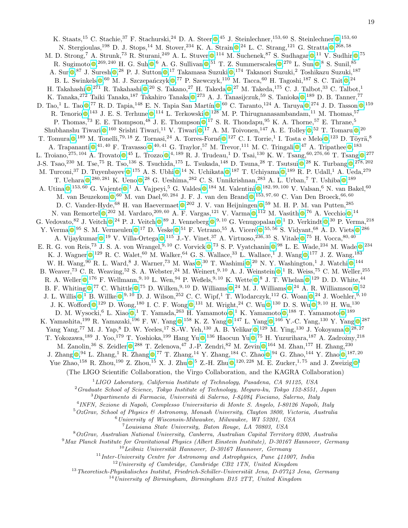K. Staats[,](https://orcid.org/0000-0003-4710-8548)<sup>15</sup> C. Stachie,<sup>37</sup> F. Stachurski,<sup>24</sup> D. A. Steer  $\bullet$ ,<sup>45</sup> J. Steinlechner,<sup>153,60</sup> S. Steinlechner  $\bullet$ ,<sup>153,60</sup> N. Stergioulas[,](https://orcid.org/0000-0003-1055-7980)<sup>198</sup> D. J. Stops,<sup>14</sup> M. Stover,<sup>234</sup> K. A. Strain  $\mathbb{Q}$ ,<sup>24</sup> L. C. Strang,<sup>121</sup> G. Stratta  $\mathbb{Q}$ ,<sup>268,58</sup> M. D. Strong[,](https://orcid.org/0000-0002-5397-6950)<sup>7</sup> A. Strunk,<sup>73</sup> R. Sturani,<sup>249</sup> A. L. Stuver  $\bullet$ ,<sup>114</sup> M. Suchenek,<sup>87</sup> S. Sudhagar  $\bullet$ ,<sup>11</sup> V. Sudhir  $\bullet$ ,<sup>75</sup> R. Sugimoto  $\bullet$ [,](https://orcid.org/0000-0001-7959-892X)  $^{269,240}$  H. G. Suh  $\bullet$ , <sup>6</sup> A. G. Sullivan  $\bullet$ ,  $^{51}$  T. Z. Summerscales  $\bullet$ ,  $^{270}$  L. Sun  $\bullet$ , <sup>8</sup> S. Sunil,  $^{85}$ A. Sur  $\Phi, ^{87}$  $\Phi, ^{87}$  $\Phi, ^{87}$  J. Suresh  $\Phi, ^{28}$  P. J. Sutton  $\Phi, ^{17}$  Takamasa Suzuki  $\Phi, ^{174}$  Takanori Suzuki,<sup>2</sup> Toshikazu Suzuki,<sup>187</sup> B. L. Swinkels  $\bullet$ [,](https://orcid.org/0000-0003-0327-953X)<sup>60</sup> M. J. Szczepańczyk  $\bullet$ ,<sup>77</sup> P. Szewczyk,<sup>110</sup> M. Tacca,<sup>60</sup> H. Tagoshi,<sup>187</sup> S. C. Tait  $\bullet$ ,<sup>24</sup> H. Takahashi  $\bigcirc^{271}$  R. Takahashi  $\bigcirc^{20}$  S. Takano[,](https://orcid.org/0000-0001-9937-2557)<sup>27</sup> H. Takeda  $\bigcirc^{27}$  M. Takeda,<sup>175</sup> C. J. Talbot,<sup>33</sup> C. Talbot,<sup>1</sup> K. Tanaka[,](https://orcid.org/0000-0003-3321-1018)<sup>272</sup> Taiki Tanaka,<sup>187</sup> Takahiro Tanaka 0,<sup>273</sup> A. J. Tanasijczuk,<sup>59</sup> S. Tanioka 0,<sup>189</sup> D. B. Tanner,<sup>77</sup> D. Tao[,](https://orcid.org/0000-0002-4777-5087)<sup>1</sup> L. Tao  $\bullet$ ,<sup>77</sup> R. D. Tapia,<sup>148</sup> E. N. Tapia San Martín  $\bullet$ ,<sup>60</sup> C. Taranto,<sup>124</sup> A. Taruya  $\bullet$ ,<sup>274</sup> J. D. Tasson  $\bullet$ ,<sup>159</sup> R. Tenorio  $\bullet$ [,](https://orcid.org/0000-0003-4622-1215)<sup>143</sup> J. E. S. Terhune  $\bullet$ ,<sup>114</sup> L. Terkowski  $\bullet$ ,<sup>128</sup> M. P. Thirugnanasambandam,<sup>11</sup> M. Thomas,<sup>57</sup> P. Thomas[,](https://orcid.org/0000-0002-0419-5517)<sup>73</sup> E. E. Thompson,<sup>48</sup> J. E. Thompson  $\bullet$ ,<sup>17</sup> S. R. Thondapu,<sup>95</sup> K. A. Thorne,<sup>57</sup> E. Thrane,<sup>5</sup> Shubhanshu Tiwari  $\bullet$ [,](https://orcid.org/0000-0002-8927-9014)<sup>160</sup> Srishti Tiwari,<sup>11</sup> V. Tiwari  $\bullet$ ,<sup>17</sup> A. M. Toivonen,<sup>147</sup> A. E. Tolley  $\bullet$ ,<sup>52</sup> T. Tomaru  $\bullet$ ,<sup>20</sup> T. Tomura  $\bullet$ [,](https://orcid.org/0000-0001-5833-4052) <sup>189</sup> M. Tonelli, <sup>79, 18</sup> Z. Tornasi, <sup>24</sup> A. Torres-Forné  $\bullet$ , <sup>127</sup> C. I. Torrie, <sup>1</sup> I. Tosta e Melo  $\bullet$ , <sup>123</sup> D. Töyrä, <sup>8</sup> A. Trapananti  $\bullet$ [,](https://orcid.org/0000-0002-6976-5576)<sup>41, 40</sup> F. Travasso  $\bullet$ ,<sup>40, 41</sup> G. Traylor,<sup>57</sup> M. Trevor,<sup>111</sup> M. C. Tringali  $\bullet$ ,<sup>47</sup> A. Tripathee  $\bullet$ ,<sup>183</sup> L. Troiano[,](https://orcid.org/0000-0003-3666-686X)<sup>275, 104</sup> A. Trovato  $\bullet$ ,<sup>45</sup> L. Trozzo  $\bullet$ ,<sup>4, 189</sup> R. J. Trudeau,<sup>1</sup> D. Tsai,<sup>130</sup> K. W. Tsang,<sup>60, 276, 66</sup> T. Tsang  $\bullet$ ,<sup>277</sup> J-S. Tsao[,](https://orcid.org/0000-0002-9296-8603)<sup>230</sup> M. Tse,<sup>75</sup> R. Tso,<sup>136</sup> S. Tsuchida,<sup>175</sup> L. Tsukada,<sup>148</sup> D. Tsuna,<sup>28</sup> T. Tsutsui <sup>0</sup>,<sup>28</sup> K. Turbang <sup>0</sup>,<sup>278,202</sup> M. Turconi[,](https://orcid.org/0000-0003-2148-1694)<sup>37</sup> D. Tuyenbayev  $\bullet$ ,<sup>175</sup> A. S. Ubhi  $\bullet$ ,<sup>14</sup> N. Uchikata  $\bullet$ ,<sup>187</sup> T. Uchiyama  $\bullet$ ,<sup>189</sup> R. P. Udall,<sup>1</sup> A. Ueda,<sup>279</sup> T. Uehara  $\bullet$ [,](https://orcid.org/0000-0002-5059-4033)  $^{280, 281}$  K. Ueno  $\bullet$ ,  $^{28}$  G. Ueshima,  $^{282}$  C. S. Unnikrishnan,  $^{283}$  A. L. Urban,  $^7$  T. Ushiba  $\bullet$ ,  $^{189}$ A. Utina  $\mathbb{D}$ [,](https://orcid.org/0000-0003-1215-4552) 153, 60 G. Vajente  $\mathbb{D}$ , 1 A. Vajpeyi, 5 G. Valdes  $\mathbb{D}$ , 184 M. Valentini  $\mathbb{D}$ , 182, 99, 100 V. Valsan, 6 N. van Bakel, 60 M. van Beuzekom  $\mathbb{O}$ [,](https://orcid.org/0000-0003-4434-5353) <sup>60</sup> M. van Dael, <sup>60, 284</sup> J. F. J. van den Brand  $\mathbb{O}$ , <sup>153, 97, 60</sup> C. Van Den Broeck, <sup>66, 60</sup> D. C. Vander-Hyde[,](https://orcid.org/0000-0002-8391-7513)<sup>68</sup> H. van Haevermaet  $\bullet$ ,<sup>202</sup> J. V. van Heijningen  $\bullet$ ,<sup>59</sup> M. H. P. M. van Putten,<sup>285</sup> N. van Remortel  $\bullet$ [,](https://orcid.org/0000-0002-6254-1617)<sup>202</sup> M. Vardaro,<sup>209,60</sup> A. F. Vargas,<sup>121</sup> V. Varma  $\bullet$ ,<sup>112</sup> M. Vasúth  $\bullet$ ,<sup>76</sup> A. Vecchio  $\bullet$ ,<sup>14</sup> G. Vedovato[,](https://orcid.org/0000-0003-4344-7227)  ${}^{82}$  J. Veitch  $\bullet$ ,  ${}^{24}$  P. J. Veitch  $\bullet$ ,  ${}^{89}$  J. Venneberg  $\bullet$ ,  ${}^{9,10}$  G. Venugopalan  $\bullet$ , <sup>1</sup> D. Verkindt  $\bullet$ ,  ${}^{30}$  P. Verma,  ${}^{218}$ Y. Verma  $\bullet$ [,](https://orcid.org/0000-0002-4241-1428)<sup>95</sup> S. M. Vermeulen  $\bullet$ ,<sup>17</sup> D. Veske  $\bullet$ ,<sup>51</sup> F. Vetrano,<sup>55</sup> A. Viceré  $\bullet$ ,<sup>55,56</sup> S. Vidyant,<sup>68</sup> A. D. Viets  $\bullet$ ,<sup>286</sup> A. Vijaykumar  $\bullet$ [,](https://orcid.org/0000-0003-2700-0767)<sup>19</sup> V. Villa-Ortega  $\bullet$ ,<sup>115</sup> J.-Y. Vinet,<sup>37</sup> A. Virtuoso,<sup>236,35</sup> S. Vitale  $\bullet$ ,<sup>75</sup> H. Vocca,<sup>80,40</sup> E. R. G. von Reis[,](https://orcid.org/0000-0002-5703-4469)<sup>73</sup> J. S. A. von Wrangel,<sup>9, 10</sup> C. Vorvick  $\bullet$ ,<sup>73</sup> S. P. Vyatchanin  $\bullet$ ,<sup>98</sup> L. E. Wade,<sup>234</sup> M. Wade  $\bullet$ ,<sup>234</sup> K. J. Wagner  $\bigcirc^{129}$  R. C. Walet[,](https://orcid.org/0000-0002-1830-8527) <sup>60</sup> M. Walker, <sup>64</sup> G. S. Wallace, <sup>33</sup> L. Wallace, <sup>1</sup> J. Wang  $\bigcirc^{177}$  J. Z. Wang, <sup>183</sup> W. H. Wang[,](https://orcid.org/0000-0002-9154-6433)  $90$  R. L. Ward,  $8$  J. Warner,  $73$  M. Was  $\bigcirc$ ,  $30$  T. Washimi  $\bigcirc$ ,  $20$  N. Y. Washington,  $1$  J. Watchi $\bigcirc$ ,  $144$ B. Weaver[,](https://orcid.org/0000-0002-0928-6784)<sup>73</sup> C. R. Weaving,<sup>52</sup> S. A. Webster,<sup>24</sup> M. Weinert,<sup>9, 10</sup> A. J. Weinstein  $\bullet$ ,<sup>1</sup> R. Weiss,<sup>75</sup> C. M. Weller,<sup>255</sup> R. A. Weller  $\bullet$ [,](https://orcid.org/0000-0001-5710-6576)  $^{176}$  F. Wellmann,  $^{9,10}$  L. Wen,  $^{94}$  P. Weßels,  $^{9,10}$  K. Wette  $\bullet$ ,  $^8$  J. T. Whelan  $\bullet$ ,  $^{129}$  D. D. White,  $^{44}$ B. F. Whiting  $\mathbb{Q}^{77}$  C. Whittle  $\mathbb{Q}^{75}$  D. Wilken[,](https://orcid.org/0000-0002-7627-8688)  $9,10$  D. Williams  $\mathbb{Q}^{24}$  M. J. Williams  $\mathbb{Q}^{24}$  A. R. Williamson  $\mathbb{Q}^{52}$ J. L. Willis  $\mathbb{O}^{1}_{\mathcal{P}}$  B. Willke  $\mathbb{O}^{9,10}_{\mathcal{P}}$  $\mathbb{O}^{9,10}_{\mathcal{P}}$  $\mathbb{O}^{9,10}_{\mathcal{P}}$  D. J. Wilson,<sup>252</sup> C. C. Wipf,<sup>1</sup> T. Wlodarczyk,<sup>112</sup> G. Woan  $\mathbb{O}^{24}$  J. Woehler,<sup>9,10</sup> J. K. Wofford  $\bullet$ [,](https://orcid.org/0000-0003-2849-3751)  $^{129}$  D. Wong,  $^{180}$  I. C. F. Wong  $\bullet$ ,  $^{131}$  M. Wright,  $^{24}$  C. Wu  $\bullet$ ,  $^{130}$  D. S. Wu  $\bullet$ ,  $^{9, 10}$  H. Wu,  $^{130}$ D. M. Wysocki[,](https://orcid.org/0000-0002-0808-4822) <sup>6</sup> L. Xiao  $\bullet$ , <sup>1</sup> T. Yamada, <sup>263</sup> H. Yamamoto  $\bullet$ , <sup>1</sup> K. Yamamoto  $\bullet$ , <sup>188</sup> T. Yamamoto  $\bullet$ , <sup>189</sup> K. Yamashita[,](https://orcid.org/0000-0002-3780-1413)<sup>199</sup> R. Yamazaki,<sup>196</sup> F. W. Yang  $\bullet$ ,<sup>158</sup> K. Z. Yang  $\bullet$ ,<sup>147</sup> L. Yang  $\bullet$ ,<sup>166</sup> Y.-C. Yang,<sup>130</sup> Y. Yang  $\bullet$ ,<sup>287</sup> Yang Yang[,](https://orcid.org/0000-0001-7127-4808)<sup>77</sup> M. J. Yap,<sup>8</sup> D. W. Yeeles,<sup>17</sup> S.-W. Yeh,<sup>130</sup> A. B. Yelikar  $\bullet$ ,<sup>129</sup> M. Ying,<sup>130</sup> J. Yokoyama  $\bullet$ ,<sup>28,27</sup> T. Yokozawa[,](https://orcid.org/0000-0002-7597-098X)<sup>189</sup> J. Yoo,<sup>179</sup> T. Yoshioka,<sup>199</sup> Hang Yu <sup>0</sup>,<sup>136</sup> Haocun Yu <sup>0</sup>,<sup>75</sup> H. Yuzurihara,<sup>187</sup> A. Zadrożny,<sup>218</sup> M. Zanolin[,](https://orcid.org/0000-0002-0147-0835)<sup>36</sup> S. Zeidler  $\Phi$ ,<sup>288</sup> T. Zelenova,<sup>47</sup> J.-P. Zendri,<sup>82</sup> M. Zevin  $\Phi$ ,<sup>164</sup> M. Zhan,<sup>177</sup> H. Zhang,<sup>230</sup> J. Zhang  $\mathbb{O}^{94}$  L. Zhang[,](https://orcid.org/0000-0003-2542-4734)<sup>1</sup> R. Zhang  $\mathbb{O}^{77}$  T. Zhang,<sup>14</sup> Y. Zhang,<sup>184</sup> C. Zhao  $\mathbb{O}^{94}$  G. Zhao,<sup>144</sup> Y. Zhao  $\mathbb{O}^{187,20}$ Yue Zhao[,](https://orcid.org/0000-0002-3567-6743)<sup>[1](https://orcid.org/0000-0002-1521-3397)58</sup> R. Zhou,<sup>190</sup> Z. Zhou,<sup>15</sup> X. J. Zhu  $\bullet$ ,<sup>5</sup> Z.-H. Zhu  $\bullet$ ,<sup>120,228</sup> M. E. Zucker,<sup>1,75</sup> and J. Zweizig  $\bullet$ <sup>1</sup> (The LIGO Scientific Collaboration, the Virgo Collaboration, and the KAGRA Collaboration) <sup>1</sup>LIGO Laboratory, California Institute of Technology, Pasadena, CA 91125, USA  $2Graduate School of Science, Tokyo Institute of Technology, Meauro-ku, Tokyo 152-8551, Japan$  $3$ Dipartimento di Farmacia, Università di Salerno, I-84084 Fisciano, Salerno, Italy 4 INFN, Sezione di Napoli, Complesso Universitario di Monte S. Angelo, I-80126 Napoli, Italy  $5OzGrav$ , School of Physics & Astronomy, Monash University, Clayton 3800, Victoria, Australia  $6$ University of Wisconsin-Milwaukee, Milwaukee, WI 53201, USA <sup>7</sup>Louisiana State University, Baton Rouge, LA 70803, USA <sup>8</sup>OzGrav, Australian National University, Canberra, Australian Capital Territory 0200, Australia <sup>9</sup>Max Planck Institute for Gravitational Physics (Albert Einstein Institute), D-30167 Hannover, Germany  $10$ Leibniz Universität Hannover, D-30167 Hannover, Germany  $11$ Inter-University Centre for Astronomy and Astrophysics, Pune 411007, India

 $12$  University of Cambridge, Cambridge CB2 1TN, United Kingdom

 $13 Theoretisch-Physikalisches Institut, Friedrich-Schiller-Universität Jena, D-07743 Jena, Germany$ 

 $14$ University of Birmingham, Birmingham B15 2TT, United Kingdom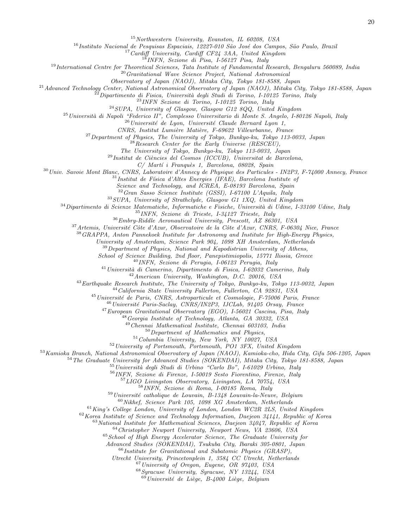<sup>15</sup>Northwestern University, Evanston, IL 60208, USA

<sup>16</sup> Instituto Nacional de Pesquisas Espaciais, 12227-010 São José dos Campos, São Paulo, Brazil

<sup>17</sup> Cardiff University, Cardiff CF24 3AA, United Kingdom

<sup>18</sup>INFN, Sezione di Pisa, I-56127 Pisa, Italy

 $19$ International Centre for Theoretical Sciences, Tata Institute of Fundamental Research, Bengaluru 560089, India

 $^{20}$ Gravitational Wave Science Project, National Astronomical

Observatory of Japan (NAOJ), Mitaka City, Tokyo 181-8588, Japan

 $^{21}$ Advanced Technology Center, National Astronomical Observatory of Japan (NAOJ), Mitaka City, Tokyo 181-8588, Japan

 $^{22}$ Dipartimento di Fisica, Università degli Studi di Torino, I-10125 Torino, Italy

<sup>23</sup>INFN Sezione di Torino, I-10125 Torino, Italy

 $^{24}$ SUPA, University of Glasgow, Glasgow G12 8QQ, United Kingdom

 $^{25}$ Università di Napoli "Federico II", Complesso Universitario di Monte S. Angelo, I-80126 Napoli, Italy

 $^{26}$ Université de Lyon, Université Claude Bernard Lyon 1,

CNRS, Institut Lumière Matière, F-69622 Villeurbanne, France

 $^{27}$ Department of Physics, The University of Tokyo, Bunkyo-ku, Tokyo 113-0033, Japan

 $^{28}$ Research Center for the Early Universe (RESCEU),

The University of Tokyo, Bunkyo-ku, Tokyo 113-0033, Japan

 $^{29}$ Institut de Ciències del Cosmos (ICCUB), Universitat de Barcelona,

 $C/Martí$  i Franquès 1, Barcelona, 08028, Spain

 $30$ Univ. Savoie Mont Blanc, CNRS, Laboratoire d'Annecy de Physique des Particules - IN2P3, F-74000 Annecy, France

 $31$ Institut de Física d'Altes Energies (IFAE), Barcelona Institute of

Science and Technology, and ICREA, E-08193 Barcelona, Spain

<sup>32</sup>Gran Sasso Science Institute (GSSI), I-67100 L'Aquila, Italy

<sup>33</sup>SUPA, University of Strathclyde, Glasgow G1 1XQ, United Kingdom

 $34$ Dipartimento di Scienze Matematiche, Informatiche e Fisiche, Università di Udine, I-33100 Udine, Italy

<sup>35</sup>INFN, Sezione di Trieste, I-34127 Trieste, Italy

<sup>36</sup>Embry-Riddle Aeronautical University, Prescott, AZ 86301, USA

 $37$ Artemis, Université Côte d'Azur, Observatoire de la Côte d'Azur, CNRS, F-06304 Nice, France

<sup>38</sup>GRAPPA, Anton Pannekoek Institute for Astronomy and Institute for High-Energy Physics,

University of Amsterdam, Science Park 904, 1098 XH Amsterdam, Netherlands

 $39$  Department of Physics, National and Kapodistrian University of Athens,

School of Science Building, 2nd floor, Panepistimiopolis, 15771 Ilissia, Greece

<sup>40</sup>INFN, Sezione di Perugia, I-06123 Perugia, Italy

 $^{41}$ Università di Camerino, Dipartimento di Fisica, I-62032 Camerino, Italy

 $42$ American University, Washington, D.C. 20016, USA

<sup>43</sup>Earthquake Research Institute, The University of Tokyo, Bunkyo-ku, Tokyo 113-0032, Japan

<sup>44</sup>California State University Fullerton, Fullerton, CA 92831, USA

<sup>45</sup> Université de Paris, CNRS, Astroparticule et Cosmologie, F-75006 Paris, France

 $^{46}$ Université Paris-Saclay, CNRS/IN2P3, IJCLab, 91405 Orsay, France

<sup>47</sup>European Gravitational Observatory (EGO), I-56021 Cascina, Pisa, Italy

<sup>48</sup>Georgia Institute of Technology, Atlanta, GA 30332, USA

<sup>49</sup>Chennai Mathematical Institute, Chennai 603103, India

 $50$  Department of Mathematics and Physics,

<sup>51</sup>Columbia University, New York, NY 10027, USA

<sup>52</sup>University of Portsmouth, Portsmouth, PO1 3FX, United Kingdom

<sup>53</sup>Kamioka Branch, National Astronomical Observatory of Japan (NAOJ), Kamioka-cho, Hida City, Gifu 506-1205, Japan

 $54$  The Graduate University for Advanced Studies (SOKENDAI), Mitaka City, Tokyo 181-8588, Japan

 $^{55}$ Università degli Studi di Urbino "Carlo Bo", I-61029 Urbino, Italy

<sup>56</sup>INFN, Sezione di Firenze, I-50019 Sesto Fiorentino, Firenze, Italy

<sup>57</sup>LIGO Livingston Observatory, Livingston, LA 70754, USA

<sup>58</sup>INFN, Sezione di Roma, I-00185 Roma, Italy

 $59$ Université catholique de Louvain, B-1348 Louvain-la-Neuve, Belgium

<sup>60</sup>Nikhef, Science Park 105, 1098 XG Amsterdam, Netherlands

<sup>61</sup>King's College London, University of London, London WC2R 2LS, United Kingdom

<sup>62</sup>Korea Institute of Science and Technology Information, Daejeon 34141, Republic of Korea

<sup>63</sup>National Institute for Mathematical Sciences, Daejeon 34047, Republic of Korea

<sup>64</sup>Christopher Newport University, Newport News, VA 23606, USA

<sup>65</sup>School of High Energy Accelerator Science, The Graduate University for

Advanced Studies (SOKENDAI), Tsukuba City, Ibaraki 305-0801, Japan

 $66$ Institute for Gravitational and Subatomic Physics (GRASP),

Utrecht University, Princetonplein 1, 3584 CC Utrecht, Netherlands

<sup>67</sup>University of Oregon, Eugene, OR 97403, USA

<sup>68</sup>Syracuse University, Syracuse, NY 13244, USA

 $\frac{69}{h}$ Université de Liège, B-4000 Liège, Belgium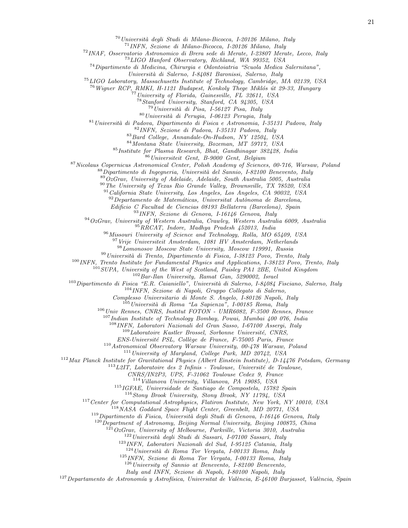$^{70}$ Università degli Studi di Milano-Bicocca, I-20126 Milano, Italy

INFN, Sezione di Milano-Bicocca, I-20126 Milano, Italy

INAF, Osservatorio Astronomico di Brera sede di Merate, I-23807 Merate, Lecco, Italy

LIGO Hanford Observatory, Richland, WA 99352, USA

Dipartimento di Medicina, Chirurgia e Odontoiatria "Scuola Medica Salernitana",

Universit`a di Salerno, I-84081 Baronissi, Salerno, Italy

LIGO Laboratory, Massachusetts Institute of Technology, Cambridge, MA 02139, USA

 $^{76}$ Wigner RCP, RMKI, H-1121 Budapest, Konkoly Thege Miklós út 29-33, Hungary

University of Florida, Gainesville, FL 32611, USA

Stanford University, Stanford, CA 94305, USA

Università di Pisa, I-56127 Pisa, Italy

Università di Perugia, I-06123 Perugia, Italy

<sup>81</sup> Università di Padova, Dipartimento di Fisica e Astronomia, I-35131 Padova, Italy

INFN, Sezione di Padova, I-35131 Padova, Italy

Bard College, Annandale-On-Hudson, NY 12504, USA

Montana State University, Bozeman, MT 59717, USA

Institute for Plasma Research, Bhat, Gandhinagar 382428, India

Universiteit Gent, B-9000 Gent, Belgium

Nicolaus Copernicus Astronomical Center, Polish Academy of Sciences, 00-716, Warsaw, Poland

Dipartimento di Ingegneria, Università del Sannio, I-82100 Benevento, Italy

 $89\overline{O}zGrav$ , University of Adelaide, Adelaide, South Australia 5005, Australia

<sup>90</sup>The University of Texas Rio Grande Valley, Brownsville, TX 78520, USA

California State University, Los Angeles, Los Angeles, CA 90032, USA

Departamento de Matemáticas, Universitat Autònoma de Barcelona,

Edificio C Facultad de Ciencias 08193 Bellaterra (Barcelona), Spain

INFN, Sezione di Genova, I-16146 Genova, Italy

OzGrav, University of Western Australia, Crawley, Western Australia 6009, Australia

RRCAT, Indore, Madhya Pradesh 452013, India

Missouri University of Science and Technology, Rolla, MO 65409, USA

<sup>97</sup> Vrije Universiteit Amsterdam, 1081 HV Amsterdam, Netherlands

Lomonosov Moscow State University, Moscow 119991, Russia

Università di Trento, Dipartimento di Fisica, I-38123 Povo, Trento, Italy

<sup>100</sup> INFN, Trento Institute for Fundamental Physics and Applications, I-38123 Povo, Trento, Italy

<sup>101</sup>SUPA, University of the West of Scotland, Paisley PA1 2BE, United Kingdom

 $^{102}Bar$ -Ilan University, Ramat Gan, 5290002, Israel

<sup>103</sup>Dipartimento di Fisica "E.R. Caianiello", Università di Salerno, I-84084 Fisciano, Salerno, Italy

INFN, Sezione di Napoli, Gruppo Collegato di Salerno,

Complesso Universitario di Monte S. Angelo, I-80126 Napoli, Italy

 $^{105}$ Università di Roma "La Sapienza", I-00185 Roma, Italy

Univ Rennes, CNRS, Institut FOTON - UMR6082, F-3500 Rennes, France

Indian Institute of Technology Bombay, Powai, Mumbai 400 076, India

INFN, Laboratori Nazionali del Gran Sasso, I-67100 Assergi, Italy

Laboratoire Kastler Brossel, Sorbonne Université, CNRS,

ENS-Université PSL, Collège de France, F-75005 Paris, France

Astronomical Observatory Warsaw University, 00-478 Warsaw, Poland

 $^{111}$  University of Maryland, College Park, MD 20742, USA

Max Planck Institute for Gravitational Physics (Albert Einstein Institute), D-14476 Potsdam, Germany

 $^{113}$ L2IT, Laboratoire des 2 Infinis - Toulouse, Université de Toulouse,

CNRS/IN2P3, UPS, F-31062 Toulouse Cedex 9, France

Villanova University, Villanova, PA 19085, USA

IGFAE, Universidade de Santiago de Compostela, 15782 Spain

Stony Brook University, Stony Brook, NY 11794, USA

<sup>117</sup> Center for Computational Astrophysics, Flatiron Institute, New York, NY 10010, USA

NASA Goddard Space Flight Center, Greenbelt, MD 20771, USA

Dipartimento di Fisica, Università degli Studi di Genova, I-16146 Genova, Italy

 $^{120}$ Department of Astronomy, Beijing Normal University, Beijing 100875, China

 $1^{21}OzGrav$ , University of Melbourne, Parkville, Victoria 3010, Australia

Università degli Studi di Sassari, I-07100 Sassari, Italy

INFN, Laboratori Nazionali del Sud, I-95125 Catania, Italy

Università di Roma Tor Vergata, I-00133 Roma, Italy

INFN, Sezione di Roma Tor Vergata, I-00133 Roma, Italy

University of Sannio at Benevento, I-82100 Benevento,

Italy and INFN, Sezione di Napoli, I-80100 Napoli, Italy

<sup>127</sup> Departamento de Astronomía y Astrofísica, Universitat de València, E-46100 Burjassot, València, Spain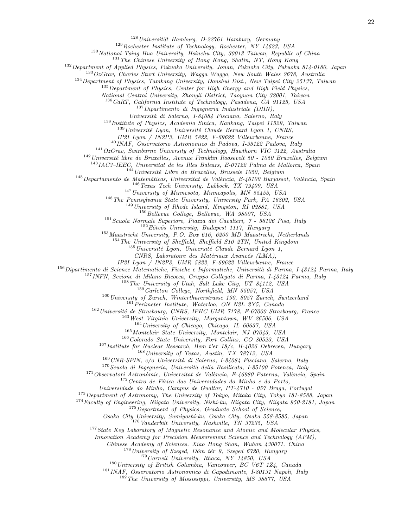Universität Hamburg, D-22761 Hamburg, Germany

Rochester Institute of Technology, Rochester, NY 14623, USA

<sup>130</sup>National Tsing Hua University, Hsinchu City, 30013 Taiwan, Republic of China

The Chinese University of Hong Kong, Shatin, NT, Hong Kong

Department of Applied Physics, Fukuoka University, Jonan, Fukuoka City, Fukuoka 814-0180, Japan

<sup>133</sup>OzGrav, Charles Sturt University, Wagga Wagga, New South Wales 2678, Australia

Department of Physics, Tamkang University, Danshui Dist., New Taipei City 25137, Taiwan

<sup>135</sup> Department of Physics, Center for High Energy and High Field Physics,

National Central University, Zhongli District, Taoyuan City 32001, Taiwan

CaRT, California Institute of Technology, Pasadena, CA 91125, USA

Dipartimento di Ingegneria Industriale (DIIN),

Universit`a di Salerno, I-84084 Fisciano, Salerno, Italy

Institute of Physics, Academia Sinica, Nankang, Taipei 11529, Taiwan

Université Lyon, Université Claude Bernard Lyon 1, CNRS,

IP2I Lyon / IN2P3, UMR 5822, F-69622 Villeurbanne, France

INAF, Osservatorio Astronomico di Padova, I-35122 Padova, Italy

OzGrav, Swinburne University of Technology, Hawthorn VIC 3122, Australia

Université libre de Bruxelles, Avenue Franklin Roosevelt 50 - 1050 Bruxelles, Belgium

IAC3–IEEC, Universitat de les Illes Balears, E-07122 Palma de Mallorca, Spain

Université Libre de Bruxelles, Brussels 1050, Belgium

Departamento de Matemáticas, Universitat de València, E-46100 Burjassot, València, Spain

Texas Tech University, Lubbock, TX 79409, USA

University of Minnesota, Minneapolis, MN 55455, USA

The Pennsylvania State University, University Park, PA 16802, USA

University of Rhode Island, Kingston, RI 02881, USA

<sup>150</sup>Bellevue College, Bellevue, WA 98007, USA

Scuola Normale Superiore, Piazza dei Cavalieri, 7 - 56126 Pisa, Italy

 $^{152}E\ddot{o}t\ddot{o}s$  University, Budapest 1117, Hungary

Maastricht University, P.O. Box 616, 6200 MD Maastricht, Netherlands

<sup>154</sup>The University of Sheffield, Sheffield S10 2TN, United Kingdom

 $1^{155}$ Université Lyon, Université Claude Bernard Lyon 1,

CNRS, Laboratoire des Matériaux Avancés (LMA),

IP2I Lyon / IN2P3, UMR 5822, F-69622 Villeurbanne, France

<sup>156</sup>Dipartimento di Scienze Matematiche, Fisiche e Informatiche, Università di Parma, I-43124 Parma, Italy

INFN, Sezione di Milano Bicocca, Gruppo Collegato di Parma, I-43124 Parma, Italy

The University of Utah, Salt Lake City, UT 84112, USA

Carleton College, Northfield, MN 55057, USA

University of Zurich, Winterthurerstrasse 190, 8057 Zurich, Switzerland

<sup>161</sup> Perimeter Institute, Waterloo, ON N2L 2Y5, Canada

Université de Strasbourg, CNRS, IPHC UMR 7178, F-67000 Strasbourg, France

West Virginia University, Morgantown, WV 26506, USA

University of Chicago, Chicago, IL 60637, USA

Montclair State University, Montclair, NJ 07043, USA

<sup>166</sup>Colorado State University, Fort Collins, CO 80523, USA

Institute for Nuclear Research, Bem t'er 18/c, H-4026 Debrecen, Hungary

University of Texas, Austin, TX 78712, USA

CNR-SPIN, c/o Università di Salerno, I-84084 Fisciano, Salerno, Italy

 $1^{70}$ Scuola di Ingegneria, Università della Basilicata, I-85100 Potenza, Italy

 $171 Observatory$ Observatori Astronòmic, Universitat de València, E-46980 Paterna, València, Spain

Centro de Física das Universidades do Minho e do Porto,

Universidade do Minho, Campus de Gualtar, PT-4710 - 057 Braga, Portugal

<sup>173</sup>Department of Astronomy, The University of Tokyo, Mitaka City, Tokyo 181-8588, Japan

Faculty of Engineering, Niigata University, Nishi-ku, Niigata City, Niigata 950-2181, Japan

Department of Physics, Graduate School of Science,

Osaka City University, Sumiyoshi-ku, Osaka City, Osaka 558-8585, Japan

<sup>176</sup> Vanderbilt University, Nashville, TN 37235, USA

<sup>177</sup> State Key Laboratory of Magnetic Resonance and Atomic and Molecular Physics,

Innovation Academy for Precision Measurement Science and Technology (APM),

Chinese Academy of Sciences, Xiao Hong Shan, Wuhan 430071, China

University of Szeged, Dóm tér 9, Szeged 6720, Hungary

Cornell University, Ithaca, NY 14850, USA

University of British Columbia, Vancouver, BC V6T 1Z4, Canada

INAF, Osservatorio Astronomico di Capodimonte, I-80131 Napoli, Italy

The University of Mississippi, University, MS 38677, USA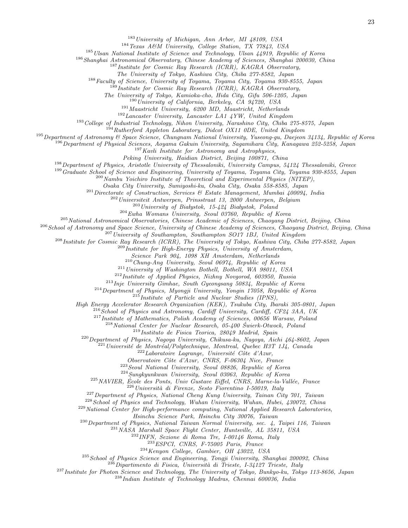<sup>183</sup>University of Michigan, Ann Arbor, MI 48109, USA

<sup>184</sup>Texas A&M University, College Station, TX 77843, USA

<sup>185</sup>Ulsan National Institute of Science and Technology, Ulsan 44919, Republic of Korea

<sup>186</sup>Shanghai Astronomical Observatory, Chinese Academy of Sciences, Shanghai 200030, China

 $187$  Institute for Cosmic Ray Research (ICRR), KAGRA Observatory,

The University of Tokyo, Kashiwa City, Chiba 277-8582, Japan

<sup>188</sup>Faculty of Science, University of Toyama, Toyama City, Toyama 930-8555, Japan

<sup>189</sup> Institute for Cosmic Ray Research (ICRR), KAGRA Observatory,

The University of Tokyo, Kamioka-cho, Hida City, Gifu 506-1205, Japan

 $190$  University of California, Berkeley, CA 94720, USA

 $191$  Maastricht University, 6200 MD, Maastricht, Netherlands

<sup>192</sup>Lancaster University, Lancaster LA1 4YW, United Kingdom

<sup>193</sup>College of Industrial Technology, Nihon University, Narashino City, Chiba 275-8575, Japan

 $^{194}Rutherford$  Appleton Laboratory, Didcot OX11 0DE, United Kingdom

<sup>195</sup>Department of Astronomy & Space Science, Chungnam National University, Yuseong-gu, Daejeon 34134, Republic of Korea

<sup>196</sup>Department of Physical Sciences, Aoyama Gakuin University, Sagamihara City, Kanagawa 252-5258, Japan

 $197$  Kavli Institute for Astronomy and Astrophysics,

Peking University, Haidian District, Beijing 100871, China

<sup>198</sup>Department of Physics, Aristotle University of Thessaloniki, University Campus, 54124 Thessaloniki, Greece

<sup>199</sup>Graduate School of Science and Engineering, University of Toyama, Toyama City, Toyama 930-8555, Japan

 $^{200}$  Nambu Yoichiro Institute of Theoretical and Experimental Physics (NITEP),

Osaka City University, Sumiyoshi-ku, Osaka City, Osaka 558-8585, Japan

<sup>201</sup>Directorate of Construction, Services & Estate Management, Mumbai 400094, India

 $^{202}$ Universiteit Antwerpen, Prinsstraat 13, 2000 Antwerpen, Belgium

 $^{203}$  University of Białystok, 15-424 Białystok, Poland

<sup>204</sup>Ewha Womans University, Seoul 03760, Republic of Korea

<sup>205</sup>National Astronomical Observatories, Chinese Academic of Sciences, Chaoyang District, Beijing, China

 $^{206}$ School of Astronomy and Space Science, University of Chinese Academy of Sciences, Chaoyang District, Beijing, China

<sup>207</sup> University of Southampton, Southampton SO17 1BJ, United Kingdom

 $^{208}$ Institute for Cosmic Ray Research (ICRR), The University of Tokyo, Kashiwa City, Chiba 277-8582, Japan

<sup>209</sup>Institute for High-Energy Physics, University of Amsterdam,

Science Park 904, 1098 XH Amsterdam, Netherlands

<sup>210</sup>Chung-Ang University, Seoul 06974, Republic of Korea

<sup>211</sup>University of Washington Bothell, Bothell, WA 98011, USA

<sup>212</sup>Institute of Applied Physics, Nizhny Novgorod, 603950, Russia

 $^{213}$ Inie University Gimhae, South Gyeongsang 50834, Republic of Korea

<sup>214</sup>Department of Physics, Myongji University, Yongin 17058, Republic of Korea

 $^{215}$ Institute of Particle and Nuclear Studies (IPNS),

High Energy Accelerator Research Organization (KEK), Tsukuba City, Ibaraki 305-0801, Japan

 $^{216}$  School of Physics and Astronomy, Cardiff University, Cardiff, CF24 3AA, UK

<sup>217</sup>Institute of Mathematics, Polish Academy of Sciences, 00656 Warsaw, Poland

 $^{218}$ National Center for Nuclear Research, 05-400 Świerk-Otwock, Poland

<sup>219</sup>Instituto de Fisica Teorica, 28049 Madrid, Spain

<sup>220</sup>Department of Physics, Nagoya University, Chikusa-ku, Nagoya, Aichi 464-8602, Japan

 $^{221}$ Université de Montréal/Polytechnique, Montreal, Quebec H3T 1J4, Canada

 $222$ Laboratoire Lagrange, Université Côte d'Azur,

Observatoire Côte d'Azur, CNRS, F-06304 Nice, France

 $^{223}Seoul$  National University, Seoul 08826, Republic of Korea

<sup>224</sup>Sungkyunkwan University, Seoul 03063, Republic of Korea

<sup>225</sup>NAVIER, École des Ponts, Univ Gustave Eiffel, CNRS, Marne-la-Vallée, France

 $^{226}$ Università di Firenze, Sesto Fiorentino I-50019, Italy

<sup>227</sup>Department of Physics, National Cheng Kung University, Tainan City 701, Taiwan

<sup>228</sup> School of Physics and Technology, Wuhan University, Wuhan, Hubei, 430072, China

 $229$  National Center for High-performance computing, National Applied Research Laboratories,

Hsinchu Science Park, Hsinchu City 30076, Taiwan

 $^{230}$ Department of Physics, National Taiwan Normal University, sec. 4, Taipei 116, Taiwan

 $^{231}NASA$  Marshall Space Flight Center, Huntsville, AL 35811, USA

<sup>232</sup>INFN, Sezione di Roma Tre, I-00146 Roma, Italy

 $233$ ESPCI, CNRS, F-75005 Paris, France

<sup>234</sup>Kenyon College, Gambier, OH 43022, USA

<sup>235</sup> School of Physics Science and Engineering, Tongji University, Shanghai 200092, China

 $^{236}$ Dipartimento di Fisica, Università di Trieste, I-34127 Trieste, Italy

<sup>237</sup> Institute for Photon Science and Technology, The University of Tokyo, Bunkyo-ku, Tokyo 113-8656, Japan

<sup>238</sup>Indian Institute of Technology Madras, Chennai 600036, India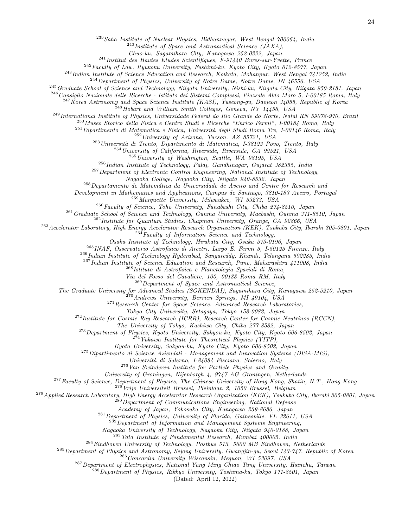<sup>239</sup>Saha Institute of Nuclear Physics, Bidhannagar, West Bengal 700064, India

 $^{240}$ Institute of Space and Astronautical Science (JAXA),

Chuo-ku, Sagamihara City, Kanagawa 252-0222, Japan

<sup>241</sup> Institut des Hautes Etudes Scientifiques, F-91440 Bures-sur-Yvette, France

<sup>242</sup>Faculty of Law, Ryukoku University, Fushimi-ku, Kyoto City, Kyoto 612-8577, Japan

<sup>243</sup>Indian Institute of Science Education and Research, Kolkata, Mohanpur, West Bengal 741252, India

 $^{244}$ Department of Physics, University of Notre Dame, Notre Dame, IN  $46556$ , USA

<sup>245</sup>Graduate School of Science and Technology, Niigata University, Nishi-ku, Niigata City, Niigata 950-2181, Japan

<sup>246</sup> Consiglio Nazionale delle Ricerche - Istituto dei Sistemi Complessi, Piazzale Aldo Moro 5, I-00185 Roma, Italy

 $^{247}$ Korea Astronomy and Space Science Institute (KASI), Yuseong-gu, Daejeon 34055, Republic of Korea  $^{248}$ Hobart and William Smith Colleges, Geneva, NY 14456, USA

<sup>249</sup>International Institute of Physics, Universidade Federal do Rio Grande do Norte, Natal RN 59078-970, Brazil

<sup>250</sup>Museo Storico della Fisica e Centro Studi e Ricerche "Enrico Fermi", I-00184 Roma, Italy

 $^{251}$ Dipartimento di Matematica e Fisica, Università degli Studi Roma Tre, I-00146 Roma, Italy

 $^{252}$ University of Arizona, Tucson, AZ 85721, USA

 $^{253}$ Università di Trento, Dipartimento di Matematica, I-38123 Povo, Trento, Italy

<sup>254</sup>University of California, Riverside, Riverside, CA 92521, USA

 $^{255}$ University of Washington, Seattle, WA 98195, USA

 $^{256}$ Indian Institute of Technology, Palaj, Gandhinagar, Gujarat 382355, India

<sup>257</sup>Department of Electronic Control Engineering, National Institute of Technology,

Nagaoka College, Nagaoka City, Niigata 940-8532, Japan

<sup>258</sup>Departamento de Matemática da Universidade de Aveiro and Centre for Research and

Development in Mathematics and Applications, Campus de Santiago, 3810-183 Aveiro, Portugal

<sup>259</sup>Marquette University, Milwaukee, WI 53233, USA

 $^{260}$ Faculty of Science, Toho University, Funabashi City, Chiba 274-8510, Japan

<sup>261</sup>Graduate School of Science and Technology, Gunma University, Maebashi, Gunma 371-8510, Japan

<sup>262</sup> Institute for Quantum Studies, Chapman University, Orange, CA 92866, USA

<sup>263</sup>Accelerator Laboratory, High Energy Accelerator Research Organization (KEK), Tsukuba City, Ibaraki 305-0801, Japan  $^{264}$ Faculty of Information Science and Technology,

Osaka Institute of Technology, Hirakata City, Osaka 573-0196, Japan

<sup>265</sup>INAF, Osservatorio Astrofisico di Arcetri, Largo E. Fermi 5, I-50125 Firenze, Italy

<sup>266</sup>Indian Institute of Technology Hyderabad, Sangareddy, Khandi, Telangana 502285, India

<sup>267</sup>Indian Institute of Science Education and Research, Pune, Maharashtra 411008, India

<sup>268</sup>Istituto di Astrofisica e Planetologia Spaziali di Roma,

Via del Fosso del Cavaliere, 100, 00133 Roma RM, Italy

<sup>269</sup>Department of Space and Astronautical Science,

The Graduate University for Advanced Studies (SOKENDAI), Sagamihara City, Kanagawa 252-5210, Japan

<sup>270</sup>Andrews University, Berrien Springs, MI 49104, USA

 $^{271}$ Research Center for Space Science, Advanced Research Laboratories,

Tokyo City University, Setagaya, Tokyo 158-0082, Japan

<sup>272</sup> Institute for Cosmic Ray Research (ICRR), Research Center for Cosmic Neutrinos (RCCN),

The University of Tokyo, Kashiwa City, Chiba 277-8582, Japan

<sup>273</sup>Department of Physics, Kyoto University, Sakyou-ku, Kyoto City, Kyoto 606-8502, Japan

 $^{274}$ Yukawa Institute for Theoretical Physics (YITP),

Kyoto University, Sakyou-ku, Kyoto City, Kyoto 606-8502, Japan

<sup>275</sup>Dipartimento di Scienze Aziendali - Management and Innovation Systems (DISA-MIS),

Universit`a di Salerno, I-84084 Fisciano, Salerno, Italy

 $^{276}$  Van Swinderen Institute for Particle Physics and Gravity,

University of Groningen, Nijenborgh 4, 9747 AG Groningen, Netherlands

<sup>277</sup> Faculty of Science, Department of Physics, The Chinese University of Hong Kong, Shatin, N.T., Hong Kong

 $^{278}$ Vrije Universiteit Brussel, Pleinlaan 2, 1050 Brussel, Belgium

 $^{279}$ Applied Research Laboratory, High Energy Accelerator Research Organization (KEK), Tsukuba City, Ibaraki 305-0801, Japan

 $^{280}$ Department of Communications Engineering, National Defense

Academy of Japan, Yokosuka City, Kanagawa 239-8686, Japan

<sup>281</sup>Department of Physics, University of Florida, Gainesville, FL 32611, USA

 $^{282}$ Department of Information and Management Systems Engineering,

Nagaoka University of Technology, Nagaoka City, Niigata 940-2188, Japan

<sup>283</sup>Tata Institute of Fundamental Research, Mumbai 400005, India

 $^{284}$ Eindhoven University of Technology, Postbus 513, 5600 MB Eindhoven, Netherlands

<sup>285</sup>Department of Physics and Astronomy, Sejong University, Gwangjin-gu, Seoul 143-747, Republic of Korea

<sup>286</sup>Concordia University Wisconsin, Mequon, WI 53097, USA

<sup>287</sup>Department of Electrophysics, National Yang Ming Chiao Tung University, Hsinchu, Taiwan

 $^{288}$ Department of Physics, Rikkyo University, Toshima-ku, Tokyo 171-8501, Japan

(Dated: April 12, 2022)